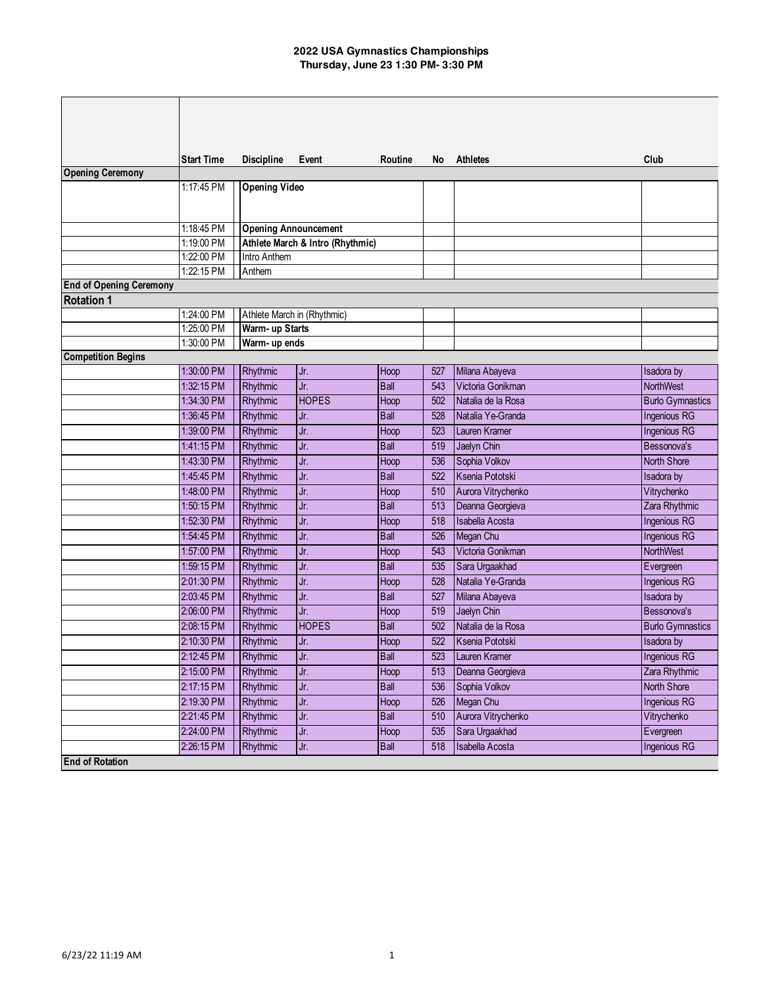|                                | <b>Start Time</b> | <b>Discipline</b>           | Event                            | Routine     | No. | <b>Athletes</b>    | Club                    |
|--------------------------------|-------------------|-----------------------------|----------------------------------|-------------|-----|--------------------|-------------------------|
| <b>Opening Ceremony</b>        |                   |                             |                                  |             |     |                    |                         |
|                                | 1:17:45 PM        | <b>Opening Video</b>        |                                  |             |     |                    |                         |
|                                |                   |                             |                                  |             |     |                    |                         |
|                                |                   |                             |                                  |             |     |                    |                         |
|                                | 1:18:45 PM        | <b>Opening Announcement</b> |                                  |             |     |                    |                         |
|                                | 1:19:00 PM        |                             | Athlete March & Intro (Rhythmic) |             |     |                    |                         |
|                                | 1:22:00 PM        | Intro Anthem                |                                  |             |     |                    |                         |
|                                | 1:22:15 PM        | Anthem                      |                                  |             |     |                    |                         |
| <b>End of Opening Ceremony</b> |                   |                             |                                  |             |     |                    |                         |
| <b>Rotation 1</b>              |                   |                             |                                  |             |     |                    |                         |
|                                | 1:24:00 PM        | Athlete March in (Rhythmic) |                                  |             |     |                    |                         |
|                                | 1:25:00 PM        | Warm- up Starts             |                                  |             |     |                    |                         |
|                                | 1:30:00 PM        | Warm- up ends               |                                  |             |     |                    |                         |
| <b>Competition Begins</b>      |                   |                             |                                  |             |     |                    |                         |
|                                | 1:30:00 PM        | Rhythmic                    | Jr.                              | Hoop        | 527 | Milana Abayeva     | Isadora by              |
|                                | 1:32:15 PM        | Rhythmic                    | Jr.                              | <b>Ball</b> | 543 | Victoria Gonikman  | NorthWest               |
|                                | 1:34:30 PM        | Rhythmic                    | <b>HOPES</b>                     | Hoop        | 502 | Natalia de la Rosa | <b>Burlo Gymnastics</b> |
|                                | 1:36:45 PM        | Rhythmic                    | Jr.                              | <b>Ball</b> | 528 | Natalia Ye-Granda  | <b>Ingenious RG</b>     |
|                                | 1:39:00 PM        | Rhythmic                    | Jr.                              | Hoop        | 523 | Lauren Kramer      | Ingenious RG            |
|                                | 1:41:15 PM        | Rhythmic                    | Jr.                              | <b>Ball</b> | 519 | Jaelyn Chin        | Bessonova's             |
|                                | 1:43:30 PM        | Rhythmic                    | Jr.                              | Hoop        | 536 | Sophia Volkov      | <b>North Shore</b>      |
|                                | 1:45:45 PM        | Rhythmic                    | Jr.                              | <b>Ball</b> | 522 | Ksenia Pototski    | Isadora by              |
|                                | 1:48:00 PM        | Rhythmic                    | Jr.                              | Hoop        | 510 | Aurora Vitrychenko | Vitrychenko             |
|                                | 1:50:15 PM        | Rhythmic                    | Jr.                              | <b>Ball</b> | 513 | Deanna Georgieva   | Zara Rhythmic           |
|                                | 1:52:30 PM        | Rhythmic                    | Jr.                              | Hoop        | 518 | Isabella Acosta    | <b>Ingenious RG</b>     |
|                                | 1:54:45 PM        | Rhythmic                    | Jr.                              | <b>Ball</b> | 526 | Megan Chu          | <b>Ingenious RG</b>     |
|                                | 1:57:00 PM        | Rhythmic                    | Jr.                              | Hoop        | 543 | Victoria Gonikman  | <b>NorthWest</b>        |
|                                | 1:59:15 PM        | Rhythmic                    | Jr.                              | <b>Ball</b> | 535 | Sara Urgaakhad     | Evergreen               |
|                                | 2:01:30 PM        | Rhythmic                    | Jr.                              | Hoop        | 528 | Natalia Ye-Granda  | <b>Ingenious RG</b>     |
|                                | 2:03:45 PM        | Rhythmic                    | Jr.                              | <b>Ball</b> | 527 | Milana Abayeva     | Isadora by              |
|                                | 2:06:00 PM        | Rhythmic                    | Jr.                              | Hoop        | 519 | Jaelyn Chin        | Bessonova's             |
|                                | 2:08:15 PM        | Rhythmic                    | <b>HOPES</b>                     | <b>Ball</b> | 502 | Natalia de la Rosa | <b>Burlo Gymnastics</b> |
|                                | 2:10:30 PM        | Rhythmic                    | Jr.                              | Hoop        | 522 | Ksenia Pototski    | Isadora by              |
|                                | 2:12:45 PM        | Rhythmic                    | Jr.                              | Ball        |     | 523 Lauren Kramer  | Ingenious RG            |
|                                | 2:15:00 PM        | Rhythmic                    | Jr.                              | Hoop        | 513 | Deanna Georgieva   | Zara Rhythmic           |
|                                | 2:17:15 PM        |                             |                                  | <b>Ball</b> | 536 | Sophia Volkov      | North Shore             |
|                                |                   | Rhythmic                    | Jr.                              |             |     |                    |                         |
|                                | 2:19:30 PM        | Rhythmic                    | Jr.                              | Hoop        | 526 | Megan Chu          | Ingenious RG            |
|                                | 2:21:45 PM        | Rhythmic                    | Jr.                              | Ball        | 510 | Aurora Vitrychenko | Vitrychenko             |
|                                | 2:24:00 PM        | Rhythmic                    | Jr.                              | Hoop        | 535 | Sara Urgaakhad     | Evergreen               |
|                                | 2:26:15 PM        | Rhythmic                    | Jr.                              | <b>Ball</b> | 518 | Isabella Acosta    | <b>Ingenious RG</b>     |
| <b>End of Rotation</b>         |                   |                             |                                  |             |     |                    |                         |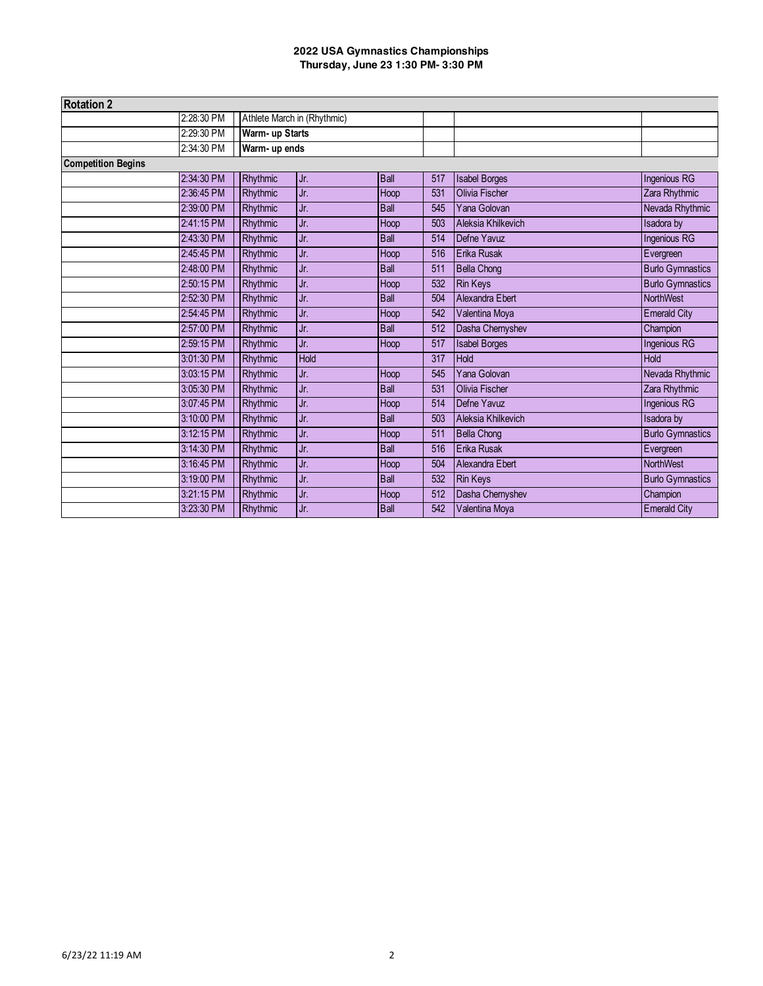| <b>Rotation 2</b>         |            |               |                             |             |     |                      |                         |
|---------------------------|------------|---------------|-----------------------------|-------------|-----|----------------------|-------------------------|
|                           | 2:28:30 PM |               | Athlete March in (Rhythmic) |             |     |                      |                         |
|                           | 2:29:30 PM |               | Warm- up Starts             |             |     |                      |                         |
|                           | 2:34:30 PM | Warm- up ends |                             |             |     |                      |                         |
| <b>Competition Begins</b> |            |               |                             |             |     |                      |                         |
|                           | 2:34:30 PM | Rhythmic      | Jr.                         | <b>Ball</b> | 517 | <b>Isabel Borges</b> | Ingenious RG            |
|                           | 2:36:45 PM | Rhythmic      | Jr.                         | Hoop        | 531 | Olivia Fischer       | Zara Rhythmic           |
|                           | 2:39:00 PM | Rhythmic      | Jr.                         | <b>Ball</b> | 545 | Yana Golovan         | Nevada Rhythmic         |
|                           | 2:41:15 PM | Rhythmic      | Jr.                         | Hoop        | 503 | Aleksia Khilkevich   | Isadora by              |
|                           | 2:43:30 PM | Rhythmic      | Jr.                         | <b>Ball</b> | 514 | Defne Yavuz          | Ingenious RG            |
|                           | 2:45:45 PM | Rhythmic      | Jr.                         | Hoop        | 516 | Erika Rusak          | Evergreen               |
|                           | 2:48:00 PM | Rhythmic      | Jr.                         | <b>Ball</b> | 511 | <b>Bella Chong</b>   | <b>Burlo Gymnastics</b> |
|                           | 2:50:15 PM | Rhythmic      | Jr.                         | Hoop        | 532 | <b>Rin Keys</b>      | <b>Burlo Gymnastics</b> |
|                           | 2:52:30 PM | Rhythmic      | Jr.                         | <b>Ball</b> | 504 | Alexandra Ebert      | <b>NorthWest</b>        |
|                           | 2:54:45 PM | Rhythmic      | Jr.                         | Hoop        | 542 | Valentina Moya       | <b>Emerald City</b>     |
|                           | 2:57:00 PM | Rhythmic      | Jr.                         | <b>Ball</b> | 512 | Dasha Chernyshev     | Champion                |
|                           | 2:59:15 PM | Rhythmic      | Jr.                         | Hoop        | 517 | <b>Isabel Borges</b> | Ingenious RG            |
|                           | 3:01:30 PM | Rhythmic      | <b>Hold</b>                 |             | 317 | Hold                 | Hold                    |
|                           | 3:03:15 PM | Rhythmic      | Jr.                         | Hoop        | 545 | Yana Golovan         | Nevada Rhythmic         |
|                           | 3:05:30 PM | Rhythmic      | Jr.                         | <b>Ball</b> | 531 | Olivia Fischer       | Zara Rhythmic           |
|                           | 3:07:45 PM | Rhythmic      | Jr.                         | Hoop        | 514 | Defne Yavuz          | Ingenious RG            |
|                           | 3:10:00 PM | Rhythmic      | Jr.                         | <b>Ball</b> | 503 | Aleksia Khilkevich   | <b>Isadora</b> by       |
|                           | 3:12:15 PM | Rhythmic      | Jr.                         | Hoop        | 511 | <b>Bella Chong</b>   | <b>Burlo Gymnastics</b> |
|                           | 3:14:30 PM | Rhythmic      | Jr.                         | <b>Ball</b> | 516 | Erika Rusak          | Evergreen               |
|                           | 3:16:45 PM | Rhythmic      | Jr.                         | Hoop        | 504 | Alexandra Ebert      | NorthWest               |
|                           | 3:19:00 PM | Rhythmic      | Jr.                         | <b>Ball</b> | 532 | <b>Rin Keys</b>      | <b>Burlo Gymnastics</b> |
|                           | 3:21:15 PM | Rhythmic      | Jr.                         | Hoop        | 512 | Dasha Chernyshev     | Champion                |
|                           | 3:23:30 PM | Rhythmic      | Jr.                         | <b>Ball</b> | 542 | Valentina Moya       | <b>Emerald City</b>     |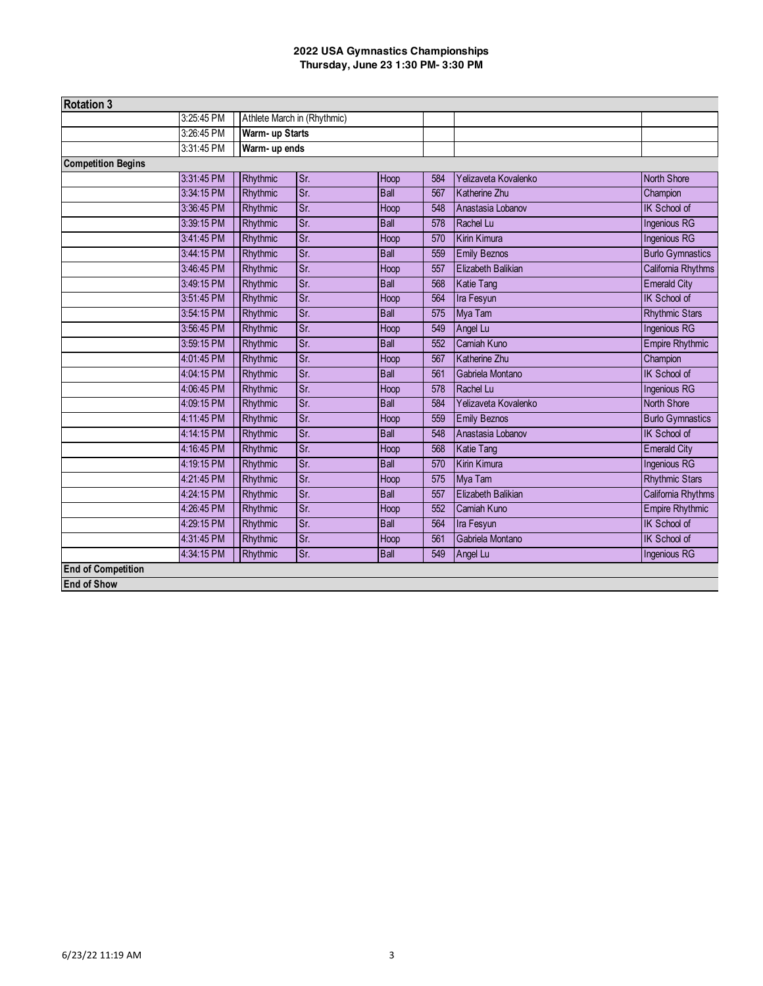| <b>Rotation 3</b>         |            |          |                             |             |     |                           |                         |
|---------------------------|------------|----------|-----------------------------|-------------|-----|---------------------------|-------------------------|
|                           | 3:25:45 PM |          | Athlete March in (Rhythmic) |             |     |                           |                         |
|                           | 3:26:45 PM |          | Warm- up Starts             |             |     |                           |                         |
|                           | 3:31:45 PM |          | Warm- up ends               |             |     |                           |                         |
| <b>Competition Begins</b> |            |          |                             |             |     |                           |                         |
|                           | 3:31:45 PM | Rhythmic | Sr.                         | Hoop        | 584 | Yelizaveta Kovalenko      | North Shore             |
|                           | 3:34:15 PM | Rhythmic | Sr.                         | <b>Ball</b> | 567 | Katherine Zhu             | Champion                |
|                           | 3:36:45 PM | Rhythmic | Sr.                         | Hoop        | 548 | Anastasia Lobanov         | <b>IK School of</b>     |
|                           | 3:39:15 PM | Rhythmic | Sr.                         | <b>Ball</b> | 578 | Rachel Lu                 | <b>Ingenious RG</b>     |
|                           | 3:41:45 PM | Rhythmic | Sr.                         | Hoop        | 570 | Kirin Kimura              | Ingenious RG            |
|                           | 3:44:15 PM | Rhythmic | $\overline{\text{Sr}}$      | <b>Ball</b> | 559 | <b>Emily Beznos</b>       | <b>Burlo Gymnastics</b> |
|                           | 3:46:45 PM | Rhythmic | Sr.                         | Hoop        | 557 | <b>Elizabeth Balikian</b> | California Rhythms      |
|                           | 3:49:15 PM | Rhythmic | Sr.                         | <b>Ball</b> | 568 | <b>Katie Tang</b>         | <b>Emerald City</b>     |
|                           | 3:51:45 PM | Rhythmic | Sr.                         | Hoop        | 564 | Ira Fesyun                | <b>IK School of</b>     |
|                           | 3:54:15 PM | Rhythmic | Sr.                         | <b>Ball</b> | 575 | Mya Tam                   | <b>Rhythmic Stars</b>   |
|                           | 3:56:45 PM | Rhythmic | Sr.                         | Hoop        | 549 | Angel Lu                  | <b>Ingenious RG</b>     |
|                           | 3:59:15 PM | Rhythmic | $\overline{\text{Sr}}$      | <b>Ball</b> | 552 | Camiah Kuno               | <b>Empire Rhythmic</b>  |
|                           | 4:01:45 PM | Rhythmic | $\overline{\text{Sr}}$      | Hoop        | 567 | Katherine Zhu             | Champion                |
|                           | 4:04:15 PM | Rhythmic | Sr.                         | <b>Ball</b> | 561 | Gabriela Montano          | IK School of            |
|                           | 4:06:45 PM | Rhythmic | Sr.                         | Hoop        | 578 | Rachel Lu                 | <b>Ingenious RG</b>     |
|                           | 4:09:15 PM | Rhythmic | $\overline{\text{Sr}}$      | <b>Ball</b> | 584 | Yelizaveta Kovalenko      | <b>North Shore</b>      |
|                           | 4:11:45 PM | Rhythmic | Sr.                         | Hoop        | 559 | <b>Emily Beznos</b>       | <b>Burlo Gymnastics</b> |
|                           | 4:14:15 PM | Rhythmic | Sr.                         | Ball        | 548 | Anastasia Lobanov         | <b>IK School of</b>     |
|                           | 4:16:45 PM | Rhythmic | Sr.                         | Hoop        | 568 | <b>Katie Tang</b>         | <b>Emerald City</b>     |
|                           | 4:19:15 PM | Rhythmic | Sr.                         | <b>Ball</b> | 570 | <b>Kirin Kimura</b>       | <b>Ingenious RG</b>     |
|                           | 4:21:45 PM | Rhythmic | Sr.                         | Hoop        | 575 | Mya Tam                   | <b>Rhythmic Stars</b>   |
|                           | 4:24:15 PM | Rhythmic | Sr.                         | <b>Ball</b> | 557 | <b>Elizabeth Balikian</b> | California Rhythms      |
|                           | 4:26:45 PM | Rhythmic | Sr.                         | Hoop        | 552 | Camiah Kuno               | <b>Empire Rhythmic</b>  |
|                           | 4:29:15 PM | Rhythmic | Sr.                         | <b>Ball</b> | 564 | Ira Fesyun                | IK School of            |
|                           | 4:31:45 PM | Rhythmic | Sr.                         | Hoop        | 561 | Gabriela Montano          | IK School of            |
|                           | 4:34:15 PM | Rhythmic | Sr.                         | Ball        | 549 | Angel Lu                  | Ingenious RG            |
| <b>End of Competition</b> |            |          |                             |             |     |                           |                         |
| <b>End of Show</b>        |            |          |                             |             |     |                           |                         |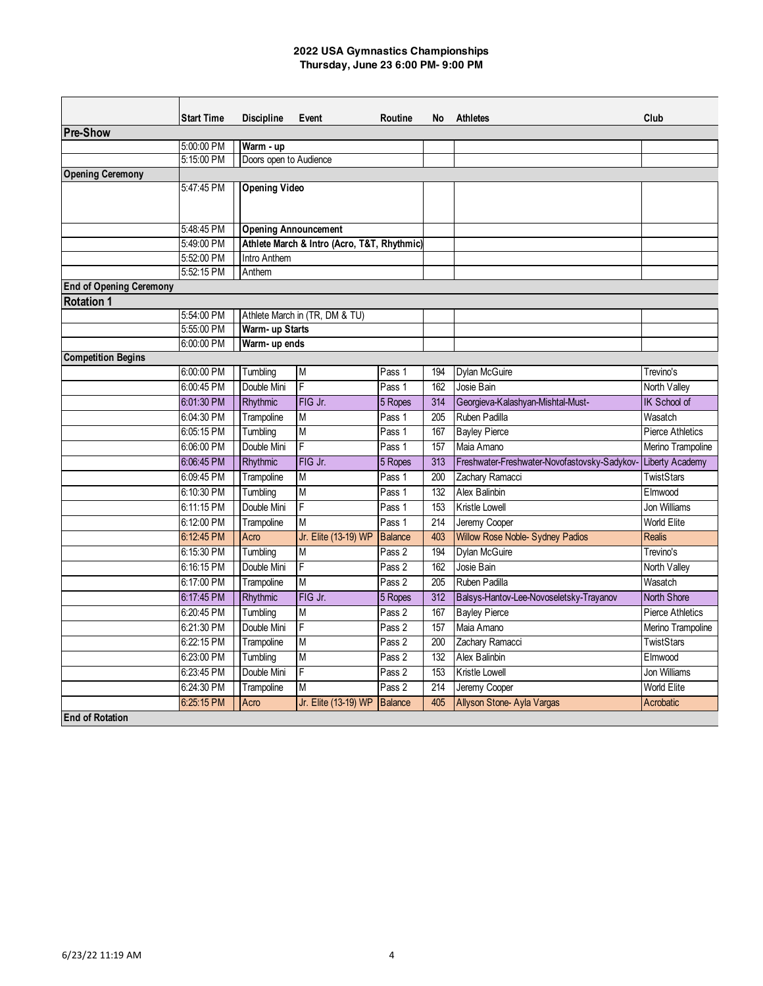|                                | <b>Start Time</b>        | <b>Discipline</b>           | Event                                       | Routine          | No  | <b>Athletes</b>                              | Club                           |
|--------------------------------|--------------------------|-----------------------------|---------------------------------------------|------------------|-----|----------------------------------------------|--------------------------------|
| <b>Pre-Show</b>                |                          |                             |                                             |                  |     |                                              |                                |
|                                | 5:00:00 PM               | Warm - up                   |                                             |                  |     |                                              |                                |
|                                | 5:15:00 PM               | Doors open to Audience      |                                             |                  |     |                                              |                                |
| <b>Opening Ceremony</b>        |                          |                             |                                             |                  |     |                                              |                                |
|                                | 5:47:45 PM               | <b>Opening Video</b>        |                                             |                  |     |                                              |                                |
|                                |                          |                             |                                             |                  |     |                                              |                                |
|                                |                          |                             |                                             |                  |     |                                              |                                |
|                                | 5:48:45 PM               | <b>Opening Announcement</b> |                                             |                  |     |                                              |                                |
|                                | 5:49:00 PM               |                             | Athlete March & Intro (Acro, T&T, Rhythmic) |                  |     |                                              |                                |
|                                | 5:52:00 PM               | Intro Anthem                |                                             |                  |     |                                              |                                |
|                                | 5:52:15 PM               | Anthem                      |                                             |                  |     |                                              |                                |
| <b>End of Opening Ceremony</b> |                          |                             |                                             |                  |     |                                              |                                |
| <b>Rotation 1</b>              |                          |                             |                                             |                  |     |                                              |                                |
|                                | 5:54:00 PM<br>5:55:00 PM | Warm- up Starts             | Athlete March in (TR, DM & TU)              |                  |     |                                              |                                |
|                                | 6:00:00 PM               | Warm- up ends               |                                             |                  |     |                                              |                                |
| <b>Competition Begins</b>      |                          |                             |                                             |                  |     |                                              |                                |
|                                | 6:00:00 PM               | Tumbling                    | M                                           | Pass 1           | 194 | Dylan McGuire                                | Trevino's                      |
|                                | 6:00:45 PM               | Double Mini                 | $\overline{F}$                              | Pass 1           | 162 | Josie Bain                                   | North Valley                   |
|                                | 6:01:30 PM               | Rhythmic                    | FIG Jr.                                     | 5 Ropes          | 314 | Georgieva-Kalashyan-Mishtal-Must-            | IK School of                   |
|                                | 6:04:30 PM               | Trampoline                  | M                                           | Pass 1           | 205 | Ruben Padilla                                | Wasatch                        |
|                                | 6:05:15 PM               | Tumbling                    | M                                           | Pass 1           | 167 | <b>Bayley Pierce</b>                         | <b>Pierce Athletics</b>        |
|                                | 6:06:00 PM               | Double Mini                 | $\overline{F}$                              | Pass 1           | 157 | Maia Amano                                   | Merino Trampoline              |
|                                | 6:06:45 PM               | Rhythmic                    | FIG Jr.                                     | 5 Ropes          | 313 | Freshwater-Freshwater-Novofastovsky-Sadykov- | Liberty Academy                |
|                                | 6:09:45 PM               | Trampoline                  | M                                           | Pass 1           | 200 | Zachary Ramacci                              | <b>TwistStars</b>              |
|                                | 6:10:30 PM               | Tumbling                    | M                                           | Pass 1           | 132 | Alex Balinbin                                | Flmwood                        |
|                                | 6:11:15 PM               | Double Mini                 | F                                           | Pass 1           | 153 | Kristle Lowell                               | <b>Jon Williams</b>            |
|                                | 6:12:00 PM               | Trampoline                  | M                                           | Pass 1           | 214 | Jeremy Cooper                                | <b>World Elite</b>             |
|                                | 6:12:45 PM               | Acro                        | Jr. Elite (13-19) WP                        | <b>Balance</b>   | 403 | Willow Rose Noble- Sydney Padios             | <b>Realis</b>                  |
|                                | 6:15:30 PM               | Tumbling                    | M                                           | Pass 2           | 194 | Dylan McGuire                                | Trevino's                      |
|                                | 6:16:15 PM               | Double Mini                 | $\overline{F}$                              | Pass 2           | 162 | Josie Bain                                   | North Valley                   |
|                                | 6:17:00 PM               | Trampoline                  | M                                           | Pass 2           | 205 | Ruben Padilla                                | Wasatch                        |
|                                | 6:17:45 PM               | Rhythmic                    | FIG Jr.                                     | 5 Ropes          | 312 | Balsys-Hantov-Lee-Novoseletsky-Trayanov      | <b>North Shore</b>             |
|                                | 6:20:45 PM               | Tumbling                    | M                                           | Pass 2           | 167 | <b>Bayley Pierce</b>                         | <b>Pierce Athletics</b>        |
|                                | 6:21:30 PM               | Double Mini                 | F                                           | Pass 2           | 157 | Maia Amano                                   | Merino Trampoline              |
|                                | 6:22:15 PM               | Trampoline                  | M                                           | Pass 2           | 200 | Zachary Ramacci                              | <b>TwistStars</b>              |
|                                |                          |                             |                                             |                  | 132 |                                              |                                |
|                                | 6:23:00 PM<br>6:23:45 PM | Tumbling<br>Double Mini     | M<br>F                                      | Pass 2<br>Pass 2 | 153 | Alex Balinbin<br>Kristle Lowell              | Elmwood<br><b>Jon Williams</b> |
|                                | 6:24:30 PM               |                             | M                                           | Pass 2           | 214 |                                              | World Elite                    |
|                                |                          | Trampoline                  | Jr. Elite (13-19) WP                        | <b>Balance</b>   | 405 | Jeremy Cooper<br>Allyson Stone- Ayla Vargas  |                                |
| <b>End of Rotation</b>         | 6:25:15 PM               | Acro                        |                                             |                  |     |                                              | Acrobatic                      |
|                                |                          |                             |                                             |                  |     |                                              |                                |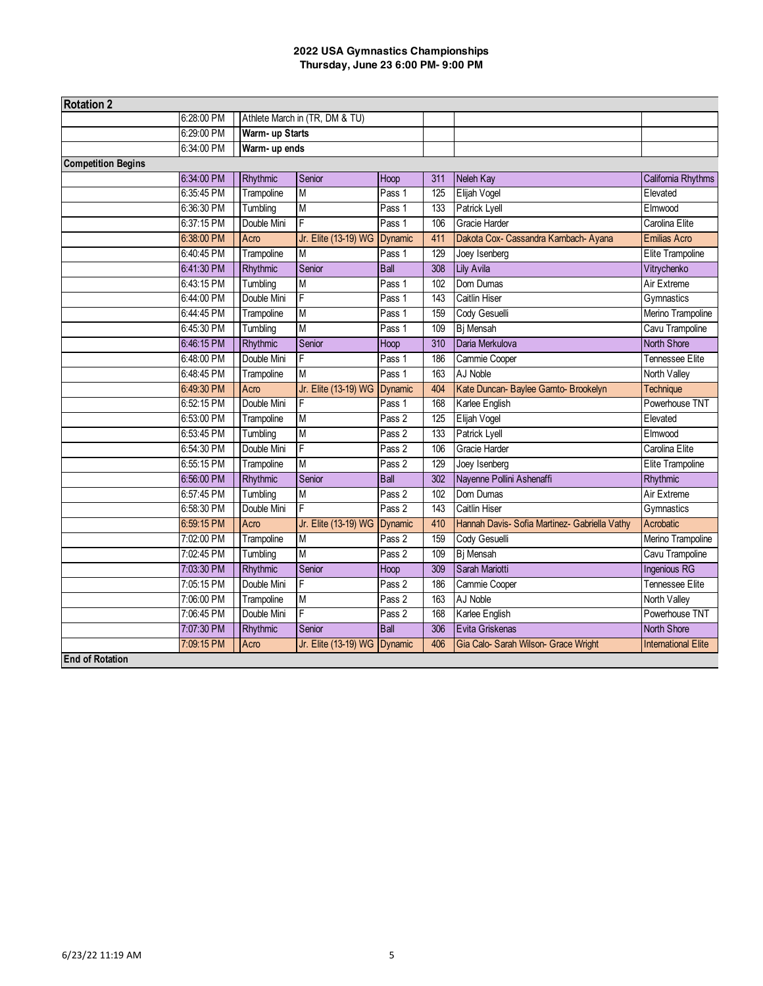| <b>Rotation 2</b>         |            |                 |                                |             |     |                                               |                            |
|---------------------------|------------|-----------------|--------------------------------|-------------|-----|-----------------------------------------------|----------------------------|
|                           | 6:28:00 PM |                 | Athlete March in (TR, DM & TU) |             |     |                                               |                            |
|                           | 6:29:00 PM | Warm- up Starts |                                |             |     |                                               |                            |
|                           | 6:34:00 PM | Warm- up ends   |                                |             |     |                                               |                            |
| <b>Competition Begins</b> |            |                 |                                |             |     |                                               |                            |
|                           | 6:34:00 PM | Rhythmic        | Senior                         | Hoop        | 311 | Neleh Kay                                     | California Rhythms         |
|                           | 6:35:45 PM | Trampoline      | $\overline{M}$                 | Pass 1      | 125 | Elijah Vogel                                  | Elevated                   |
|                           | 6:36:30 PM | Tumbling        | M                              | Pass 1      | 133 | Patrick Lyell                                 | Elmwood                    |
|                           | 6:37:15 PM | Double Mini     | F                              | Pass 1      | 106 | Gracie Harder                                 | Carolina Elite             |
|                           | 6:38:00 PM | Acro            | Jr. Elite (13-19) WG Dynamic   |             | 411 | Dakota Cox- Cassandra Karnbach- Ayana         | Emilias Acro               |
|                           | 6:40:45 PM | Trampoline      | M                              | Pass 1      | 129 | Joey Isenberg                                 | <b>Elite Trampoline</b>    |
|                           | 6:41:30 PM | Rhythmic        | Senior                         | <b>Ball</b> | 308 | <b>Lily Avila</b>                             | Vitrychenko                |
|                           | 6:43:15 PM | Tumbling        | M                              | Pass 1      | 102 | Dom Dumas                                     | Air Extreme                |
|                           | 6:44:00 PM | Double Mini     | F                              | Pass 1      | 143 | <b>Caitlin Hiser</b>                          | Gymnastics                 |
|                           | 6:44:45 PM | Trampoline      | M                              | Pass 1      | 159 | Cody Gesuelli                                 | Merino Trampoline          |
|                           | 6:45:30 PM | Tumbling        | M                              | Pass 1      | 109 | Bj Mensah                                     | Cavu Trampoline            |
|                           | 6:46:15 PM | Rhythmic        | Senior                         | Hoop        | 310 | Daria Merkulova                               | <b>North Shore</b>         |
|                           | 6:48:00 PM | Double Mini     | $\overline{F}$                 | Pass 1      | 186 | Cammie Cooper                                 | Tennessee Elite            |
|                           | 6:48:45 PM | Trampoline      | M                              | Pass 1      | 163 | AJ Noble                                      | North Valley               |
|                           | 6:49:30 PM | Acro            | Jr. Elite (13-19) WG Dynamic   |             | 404 | Kate Duncan- Baylee Garnto- Brookelyn         | Technique                  |
|                           | 6:52:15 PM | Double Mini     | F                              | Pass 1      | 168 | Karlee English                                | Powerhouse TNT             |
|                           | 6:53:00 PM | Trampoline      | $\overline{M}$                 | Pass 2      | 125 | Elijah Vogel                                  | Elevated                   |
|                           | 6:53:45 PM | Tumbling        | M                              | Pass 2      | 133 | Patrick Lyell                                 | Elmwood                    |
|                           | 6:54:30 PM | Double Mini     | F                              | Pass 2      | 106 | Gracie Harder                                 | Carolina Elite             |
|                           | 6:55:15 PM | Trampoline      | $\overline{\mathsf{M}}$        | Pass 2      | 129 | Joey Isenberg                                 | Elite Trampoline           |
|                           | 6:56:00 PM | Rhythmic        | Senior                         | <b>Ball</b> | 302 | Nayenne Pollini Ashenaffi                     | Rhythmic                   |
|                           | 6:57:45 PM | Tumbling        | $\overline{M}$                 | Pass 2      | 102 | Dom Dumas                                     | Air Extreme                |
|                           | 6:58:30 PM | Double Mini     | F                              | Pass 2      | 143 | Caitlin Hiser                                 | Gymnastics                 |
|                           | 6:59:15 PM | Acro            | Jr. Elite (13-19) WG Dynamic   |             | 410 | Hannah Davis- Sofia Martinez- Gabriella Vathy | Acrobatic                  |
|                           | 7:02:00 PM | Trampoline      | M                              | Pass 2      | 159 | Cody Gesuelli                                 | Merino Trampoline          |
|                           | 7:02:45 PM | Tumbling        | M                              | Pass 2      | 109 | Bj Mensah                                     | Cavu Trampoline            |
|                           | 7:03:30 PM | Rhythmic        | Senior                         | Hoop        | 309 | Sarah Mariotti                                | Ingenious RG               |
|                           | 7:05:15 PM | Double Mini     | F                              | Pass 2      | 186 | Cammie Cooper                                 | Tennessee Elite            |
|                           | 7:06:00 PM | Trampoline      | М                              | Pass 2      | 163 | AJ Noble                                      | North Valley               |
|                           | 7:06:45 PM | Double Mini     | F                              | Pass 2      | 168 | Karlee English                                | Powerhouse TNT             |
|                           | 7:07:30 PM | Rhythmic        | Senior                         | <b>Ball</b> | 306 | Evita Griskenas                               | <b>North Shore</b>         |
|                           | 7:09:15 PM | Acro            | Jr. Elite (13-19) WG Dynamic   |             | 406 | Gia Calo- Sarah Wilson- Grace Wright          | <b>International Elite</b> |
| <b>End of Rotation</b>    |            |                 |                                |             |     |                                               |                            |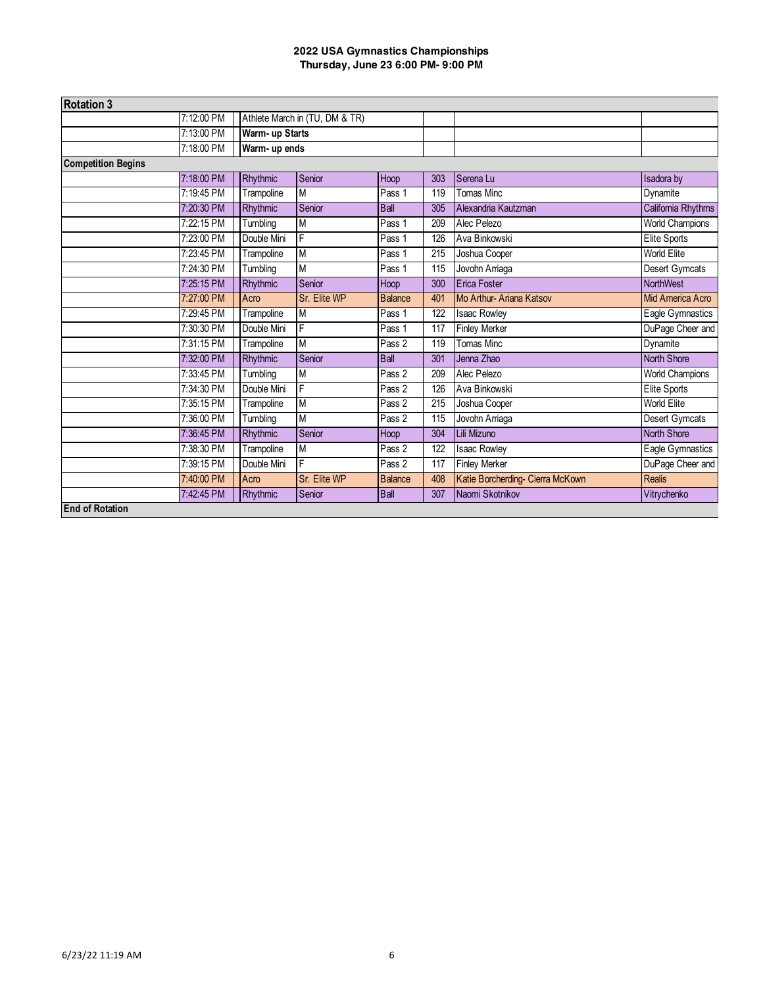| <b>Rotation 3</b>         |            |                 |                                |                |     |                                  |                        |
|---------------------------|------------|-----------------|--------------------------------|----------------|-----|----------------------------------|------------------------|
|                           | 7:12:00 PM |                 | Athlete March in (TU, DM & TR) |                |     |                                  |                        |
|                           | 7:13:00 PM | Warm- up Starts |                                |                |     |                                  |                        |
|                           | 7:18:00 PM | Warm- up ends   |                                |                |     |                                  |                        |
| <b>Competition Begins</b> |            |                 |                                |                |     |                                  |                        |
|                           | 7:18:00 PM | Rhythmic        | Senior                         | Hoop           | 303 | Serena Lu                        | Isadora by             |
|                           | 7:19:45 PM | Trampoline      | $\overline{M}$                 | Pass 1         | 119 | <b>Tomas Minc</b>                | Dynamite               |
|                           | 7:20:30 PM | Rhythmic        | Senior                         | <b>Ball</b>    | 305 | Alexandria Kautzman              | California Rhythms     |
|                           | 7:22:15 PM | Tumbling        | M                              | Pass 1         | 209 | Alec Pelezo                      | <b>World Champions</b> |
|                           | 7:23:00 PM | Double Mini     | F                              | Pass 1         | 126 | Ava Binkowski                    | Elite Sports           |
|                           | 7:23:45 PM | Trampoline      | M                              | Pass 1         | 215 | Joshua Cooper                    | World Elite            |
|                           | 7:24:30 PM | Tumbling        | M                              | Pass 1         | 115 | Jovohn Arriaga                   | <b>Desert Gymcats</b>  |
|                           | 7:25:15 PM | Rhythmic        | Senior                         | Hoop           | 300 | <b>Erica Foster</b>              | NorthWest              |
|                           | 7:27:00 PM | Acro            | Sr. Elite WP                   | <b>Balance</b> | 401 | Mo Arthur-Ariana Katsov          | Mid America Acro       |
|                           | 7:29:45 PM | Trampoline      | M                              | Pass 1         | 122 | <b>Isaac Rowley</b>              | Eagle Gymnastics       |
|                           | 7:30:30 PM | Double Mini     | F                              | Pass 1         | 117 | <b>Finley Merker</b>             | DuPage Cheer and       |
|                           | 7:31:15 PM | Trampoline      | M                              | Pass 2         | 119 | Tomas Minc                       | Dynamite               |
|                           | 7:32:00 PM | Rhythmic        | Senior                         | <b>Ball</b>    | 301 | Jenna Zhao                       | North Shore            |
|                           | 7:33:45 PM | Tumbling        | M                              | Pass 2         | 209 | Alec Pelezo                      | <b>World Champions</b> |
|                           | 7:34:30 PM | Double Mini     | F                              | Pass 2         | 126 | Ava Binkowski                    | Elite Sports           |
|                           | 7:35:15 PM | Trampoline      | M                              | Pass 2         | 215 | Joshua Cooper                    | World Elite            |
|                           | 7:36:00 PM | Tumbling        | M                              | Pass 2         | 115 | Jovohn Arriaga                   | <b>Desert Gymcats</b>  |
|                           | 7:36:45 PM | Rhythmic        | Senior                         | Hoop           | 304 | Lili Mizuno                      | <b>North Shore</b>     |
|                           | 7:38:30 PM | Trampoline      | M                              | Pass 2         | 122 | <b>Isaac Rowley</b>              | Eagle Gymnastics       |
|                           | 7:39:15 PM | Double Mini     | F                              | Pass 2         | 117 | <b>Finley Merker</b>             | DuPage Cheer and       |
|                           | 7:40:00 PM | Acro            | Sr. Elite WP                   | <b>Balance</b> | 408 | Katie Borcherding- Cierra McKown | Realis                 |
|                           | 7:42:45 PM | Rhythmic        | Senior                         | <b>Ball</b>    | 307 | Naomi Skotnikov                  | Vitrychenko            |
| <b>End of Rotation</b>    |            |                 |                                |                |     |                                  |                        |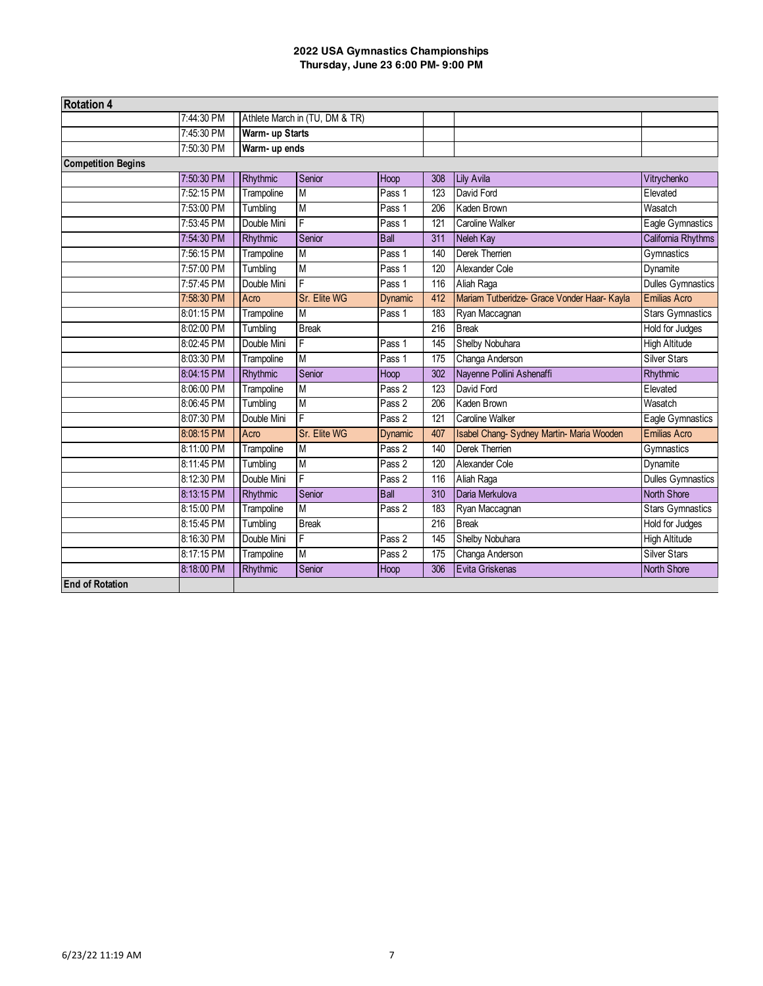| <b>Rotation 4</b>         |            |                                |                         |                     |     |                                             |                          |
|---------------------------|------------|--------------------------------|-------------------------|---------------------|-----|---------------------------------------------|--------------------------|
|                           | 7:44:30 PM | Athlete March in (TU, DM & TR) |                         |                     |     |                                             |                          |
|                           | 7:45:30 PM | Warm- up Starts                |                         |                     |     |                                             |                          |
|                           | 7:50:30 PM | Warm- up ends                  |                         |                     |     |                                             |                          |
| <b>Competition Begins</b> |            |                                |                         |                     |     |                                             |                          |
|                           | 7:50:30 PM | Rhythmic                       | Senior                  | Hoop                | 308 | <b>Lily Avila</b>                           | Vitrychenko              |
|                           | 7:52:15 PM | Trampoline                     | M                       | Pass 1              | 123 | David Ford                                  | Elevated                 |
|                           | 7:53:00 PM | Tumbling                       | M                       | Pass 1              | 206 | Kaden Brown                                 | Wasatch                  |
|                           | 7:53:45 PM | Double Mini                    | F                       | Pass 1              | 121 | Caroline Walker                             | Eagle Gymnastics         |
|                           | 7:54:30 PM | Rhythmic                       | Senior                  | <b>Ball</b>         | 311 | Neleh Kay                                   | California Rhythms       |
|                           | 7:56:15 PM | Trampoline                     | M                       | Pass 1              | 140 | Derek Therrien                              | Gymnastics               |
|                           | 7:57:00 PM | Tumbling                       | $\overline{M}$          | Pass 1              | 120 | Alexander Cole                              | Dynamite                 |
|                           | 7:57:45 PM | Double Mini                    | F                       | Pass 1              | 116 | Aliah Raga                                  | <b>Dulles Gymnastics</b> |
|                           | 7:58:30 PM | Acro                           | Sr. Elite WG            | <b>Dynamic</b>      | 412 | Mariam Tutberidze- Grace Vonder Haar- Kayla | Emilias Acro             |
|                           | 8:01:15 PM | Trampoline                     | M                       | Pass 1              | 183 | Ryan Maccagnan                              | <b>Stars Gymnastics</b>  |
|                           | 8:02:00 PM | Tumbling                       | <b>Break</b>            |                     | 216 | <b>Break</b>                                | <b>Hold for Judges</b>   |
|                           | 8:02:45 PM | Double Mini                    | F                       | Pass 1              | 145 | Shelby Nobuhara                             | <b>High Altitude</b>     |
|                           | 8:03:30 PM | Trampoline                     | M                       | Pass 1              | 175 | Changa Anderson                             | Silver Stars             |
|                           | 8:04:15 PM | Rhythmic                       | Senior                  | Hoop                | 302 | Nayenne Pollini Ashenaffi                   | Rhythmic                 |
|                           | 8:06:00 PM | Trampoline                     | M                       | Pass 2              | 123 | David Ford                                  | Elevated                 |
|                           | 8:06:45 PM | Tumbling                       | M                       | Pass 2              | 206 | Kaden Brown                                 | Wasatch                  |
|                           | 8:07:30 PM | Double Mini                    | $\overline{\mathsf{F}}$ | Pass $\overline{2}$ | 121 | Caroline Walker                             | Eagle Gymnastics         |
|                           | 8:08:15 PM | Acro                           | Sr. Elite WG            | <b>Dynamic</b>      | 407 | Isabel Chang-Sydney Martin-Maria Wooden     | <b>Emilias Acro</b>      |
|                           | 8:11:00 PM | Trampoline                     | M                       | Pass 2              | 140 | <b>Derek Therrien</b>                       | Gymnastics               |
|                           | 8:11:45 PM | Tumbling                       | M                       | Pass 2              | 120 | Alexander Cole                              | Dynamite                 |
|                           | 8:12:30 PM | Double Mini                    | F                       | Pass 2              | 116 | Aliah Raga                                  | <b>Dulles Gymnastics</b> |
|                           | 8:13:15 PM | Rhythmic                       | Senior                  | <b>Ball</b>         | 310 | Daria Merkulova                             | <b>North Shore</b>       |
|                           | 8:15:00 PM | Trampoline                     | $\overline{M}$          | Pass 2              | 183 | Ryan Maccagnan                              | <b>Stars Gymnastics</b>  |
|                           | 8:15:45 PM | Tumbling                       | <b>Break</b>            |                     | 216 | <b>Break</b>                                | <b>Hold for Judges</b>   |
|                           | 8:16:30 PM | Double Mini                    | F                       | Pass 2              | 145 | Shelby Nobuhara                             | <b>High Altitude</b>     |
|                           | 8:17:15 PM | Trampoline                     | M                       | Pass 2              | 175 | Changa Anderson                             | <b>Silver Stars</b>      |
|                           | 8:18:00 PM | Rhythmic                       | Senior                  | Hoop                | 306 | Evita Griskenas                             | <b>North Shore</b>       |
| <b>End of Rotation</b>    |            |                                |                         |                     |     |                                             |                          |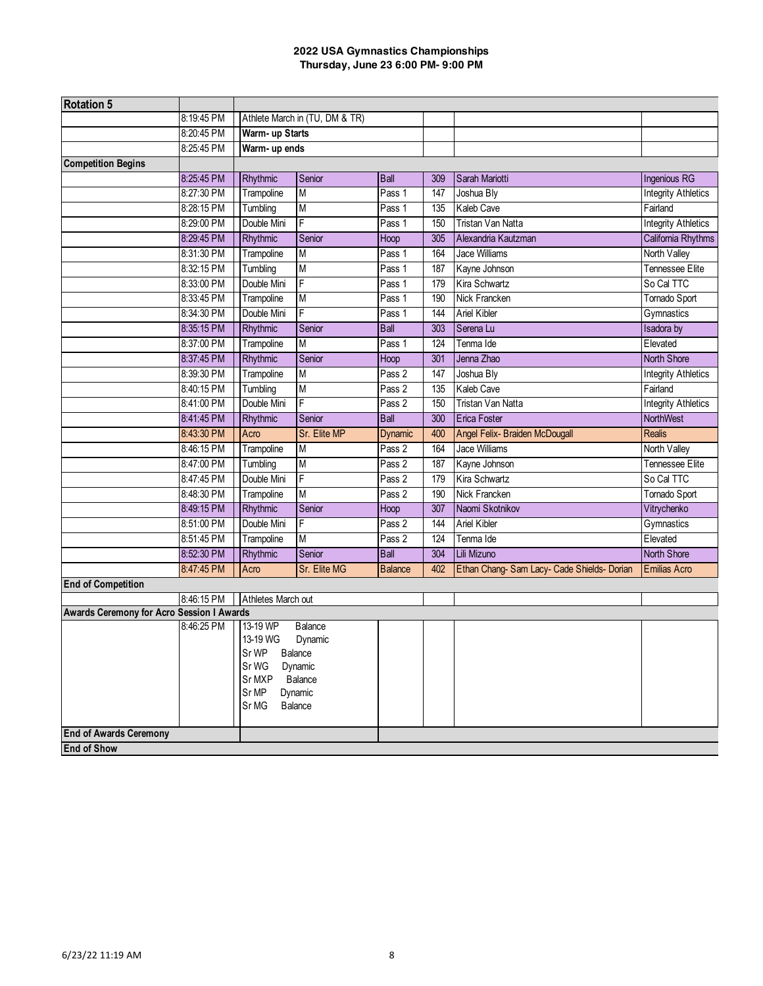| <b>Rotation 5</b>                         |            |                      |                                |                   |     |                                          |                            |
|-------------------------------------------|------------|----------------------|--------------------------------|-------------------|-----|------------------------------------------|----------------------------|
|                                           | 8:19:45 PM |                      | Athlete March in (TU, DM & TR) |                   |     |                                          |                            |
|                                           | 8:20:45 PM | Warm- up Starts      |                                |                   |     |                                          |                            |
|                                           | 8:25:45 PM |                      | Warm- up ends                  |                   |     |                                          |                            |
| <b>Competition Begins</b>                 |            |                      |                                |                   |     |                                          |                            |
|                                           | 8:25:45 PM | Rhythmic             | Senior                         | <b>Ball</b>       | 309 | Sarah Mariotti                           | Ingenious RG               |
|                                           | 8:27:30 PM | Trampoline           | M                              | Pass 1            | 147 | Joshua Bly                               | <b>Integrity Athletics</b> |
|                                           | 8:28:15 PM | Tumbling             | M                              | Pass 1            | 135 | Kaleb Cave                               | Fairland                   |
|                                           | 8:29:00 PM | Double Mini          | F                              | Pass 1            | 150 | Tristan Van Natta                        | <b>Integrity Athletics</b> |
|                                           | 8:29:45 PM | Rhythmic             | Senior                         | Hoop              | 305 | Alexandria Kautzman                      | California Rhythms         |
|                                           | 8:31:30 PM | Trampoline           | M                              | Pass 1            | 164 | Jace Williams                            | North Valley               |
|                                           | 8:32:15 PM | Tumbling             | M                              | Pass 1            | 187 | Kayne Johnson                            | Tennessee Elite            |
|                                           | 8:33:00 PM | Double Mini          | F                              | Pass <sub>1</sub> | 179 | Kira Schwartz                            | So Cal TTC                 |
|                                           | 8:33:45 PM | Trampoline           | M                              | Pass 1            | 190 | Nick Francken                            | Tornado Sport              |
|                                           | 8:34:30 PM | Double Mini          | F<br>Pass 1                    |                   | 144 | Ariel Kibler                             | Gymnastics                 |
|                                           | 8:35:15 PM | Rhythmic             | Senior                         | <b>Ball</b>       | 303 | Serena Lu                                | <b>Isadora</b> by          |
|                                           | 8:37:00 PM | Trampoline           | M                              | Pass 1            | 124 | Tenma Ide                                | Elevated                   |
|                                           | 8:37:45 PM | Rhythmic             | Senior                         | Hoop              | 301 | Jenna Zhao                               | <b>North Shore</b>         |
|                                           | 8:39:30 PM | Trampoline           | M                              | Pass 2            | 147 | Joshua Bly                               | <b>Integrity Athletics</b> |
|                                           | 8:40:15 PM | Tumbling             | M                              | Pass 2            | 135 | Kaleb Cave                               | Fairland                   |
|                                           | 8:41:00 PM | Double Mini          | F                              | Pass 2            | 150 | Tristan Van Natta                        | <b>Integrity Athletics</b> |
|                                           | 8:41:45 PM | Rhythmic             | <b>Ball</b><br>Senior          |                   | 300 | Erica Foster                             | NorthWest                  |
|                                           | 8:43:30 PM | Acro                 | Sr. Elite MP                   | <b>Dynamic</b>    | 400 | Angel Felix- Braiden McDougall           | <b>Realis</b>              |
|                                           | 8:46:15 PM | Trampoline           | M                              | Pass 2            | 164 | <b>Jace Williams</b>                     | North Valley               |
|                                           | 8:47:00 PM | Tumbling             | M                              | Pass 2            | 187 | Kayne Johnson                            | Tennessee Elite            |
|                                           | 8:47:45 PM | Double Mini          | F                              | Pass 2            | 179 | Kira Schwartz                            | So Cal TTC                 |
|                                           | 8:48:30 PM | Trampoline           | M                              | Pass 2            | 190 | Nick Francken                            | Tornado Sport              |
|                                           | 8:49:15 PM | Rhythmic             | Senior                         | Hoop              | 307 | Naomi Skotnikov                          | Vitrychenko                |
|                                           | 8:51:00 PM | Double Mini          | F                              | Pass 2            | 144 | <b>Ariel Kibler</b>                      | Gymnastics                 |
|                                           | 8:51:45 PM | Trampoline           | M                              | Pass 2            | 124 | Tenma Ide                                | Elevated                   |
|                                           | 8:52:30 PM | Rhythmic             | Senior                         | <b>Ball</b>       | 304 | Lili Mizuno                              | <b>North Shore</b>         |
|                                           | 8:47:45 PM | Acro                 | Sr. Elite MG                   | <b>Balance</b>    | 402 | Ethan Chang-Sam Lacy-Cade Shields-Dorian | <b>Emilias Acro</b>        |
| <b>End of Competition</b>                 |            |                      |                                |                   |     |                                          |                            |
|                                           | 8:46:15 PM | Athletes March out   |                                |                   |     |                                          |                            |
| Awards Ceremony for Acro Session I Awards | 8:46:25 PM |                      |                                |                   |     |                                          |                            |
|                                           |            | 13-19 WP<br>13-19 WG | Balance<br>Dynamic             |                   |     |                                          |                            |
|                                           |            | Sr WP Balance        |                                |                   |     |                                          |                            |
|                                           |            | Sr WG                | Dynamic                        |                   |     |                                          |                            |
|                                           |            | Sr MXP               | Balance                        |                   |     |                                          |                            |
|                                           |            | Sr MP                | Dynamic                        |                   |     |                                          |                            |
|                                           |            | Sr MG                | Balance                        |                   |     |                                          |                            |
|                                           |            |                      |                                |                   |     |                                          |                            |
| <b>End of Awards Ceremony</b>             |            |                      |                                |                   |     |                                          |                            |
| <b>End of Show</b>                        |            |                      |                                |                   |     |                                          |                            |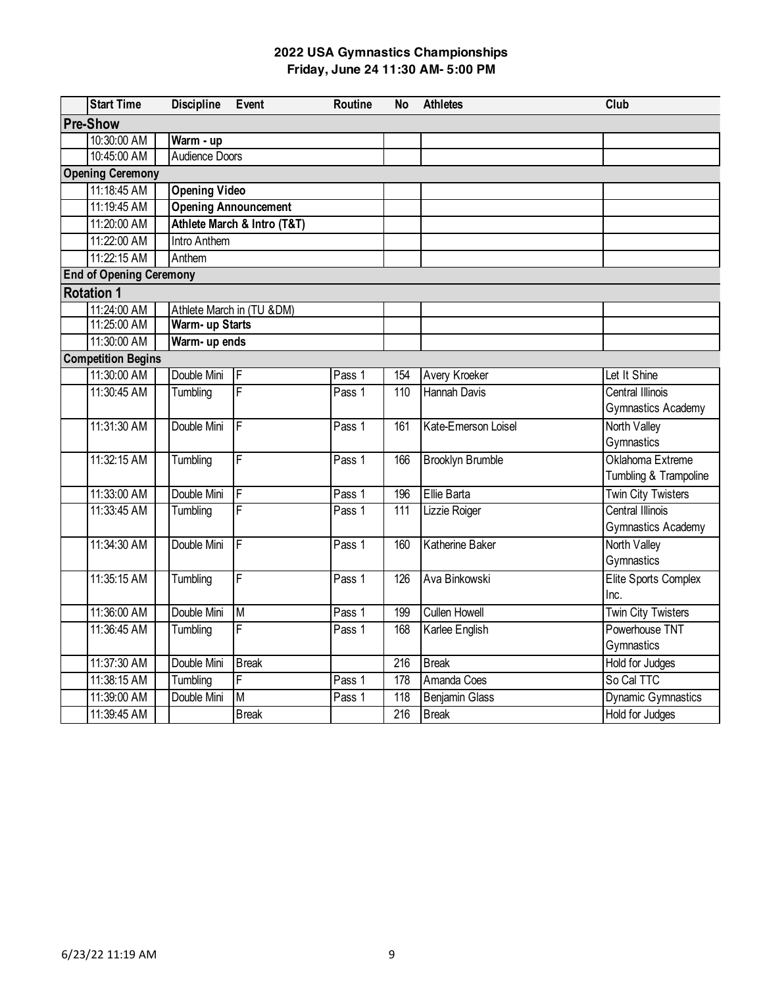| <b>Start Time</b>              | <b>Discipline</b>    | Event                       | <b>Routine</b> | <b>No</b>        | <b>Athletes</b>         | Club                      |
|--------------------------------|----------------------|-----------------------------|----------------|------------------|-------------------------|---------------------------|
| <b>Pre-Show</b>                |                      |                             |                |                  |                         |                           |
| 10:30:00 AM                    | Warm - up            |                             |                |                  |                         |                           |
| 10:45:00 AM                    | Audience Doors       |                             |                |                  |                         |                           |
| <b>Opening Ceremony</b>        |                      |                             |                |                  |                         |                           |
| 11:18:45 AM                    | <b>Opening Video</b> |                             |                |                  |                         |                           |
| 11:19:45 AM                    |                      | <b>Opening Announcement</b> |                |                  |                         |                           |
| 11:20:00 AM                    |                      | Athlete March & Intro (T&T) |                |                  |                         |                           |
| 11:22:00 AM                    | Intro Anthem         |                             |                |                  |                         |                           |
| 11:22:15 AM                    | Anthem               |                             |                |                  |                         |                           |
| <b>End of Opening Ceremony</b> |                      |                             |                |                  |                         |                           |
| <b>Rotation 1</b>              |                      |                             |                |                  |                         |                           |
| 11:24:00 AM                    |                      | Athlete March in (TU &DM)   |                |                  |                         |                           |
| 11:25:00 AM                    | Warm- up Starts      |                             |                |                  |                         |                           |
| 11:30:00 AM                    | Warm- up ends        |                             |                |                  |                         |                           |
| <b>Competition Begins</b>      |                      |                             |                |                  |                         |                           |
| 11:30:00 AM                    | Double Mini          | F                           | Pass 1         | 154              | Avery Kroeker           | Let It Shine              |
| 11:30:45 AM                    | Tumbling             | $\overline{\mathsf{F}}$     | Pass 1         | 110              | <b>Hannah Davis</b>     | <b>Central Illinois</b>   |
|                                |                      |                             |                |                  |                         | <b>Gymnastics Academy</b> |
| 11:31:30 AM                    | Double Mini          | $\overline{F}$              | Pass 1         | 161              | Kate-Emerson Loisel     | North Valley              |
|                                |                      |                             |                |                  |                         | Gymnastics                |
| 11:32:15 AM                    | Tumbling             | F                           | Pass 1         | 166              | <b>Brooklyn Brumble</b> | Oklahoma Extreme          |
|                                |                      |                             |                |                  |                         | Tumbling & Trampoline     |
| 11:33:00 AM                    | Double Mini          | F                           | Pass 1         | 196              | Ellie Barta             | <b>Twin City Twisters</b> |
| 11:33:45 AM                    | Tumbling             | F                           | Pass 1         | $\overline{111}$ | Lizzie Roiger           | <b>Central Illinois</b>   |
|                                |                      |                             |                |                  |                         | <b>Gymnastics Academy</b> |
| 11:34:30 AM                    | Double Mini          | $\overline{F}$              | Pass 1         | 160              | <b>Katherine Baker</b>  | North Valley              |
|                                |                      |                             |                |                  |                         | Gymnastics                |
| 11:35:15 AM                    | Tumbling             | F                           | Pass 1         | 126              | Ava Binkowski           | Elite Sports Complex      |
|                                |                      |                             |                |                  |                         | Inc.                      |
| 11:36:00 AM                    | Double Mini          | M                           | Pass 1         | 199              | <b>Cullen Howell</b>    | <b>Twin City Twisters</b> |
| 11:36:45 AM                    | Tumbling             | F                           | Pass 1         | 168              | Karlee English          | Powerhouse TNT            |
|                                |                      |                             |                |                  |                         | Gymnastics                |
| 11:37:30 AM                    | Double Mini          | <b>Break</b>                |                | 216              | <b>Break</b>            | <b>Hold for Judges</b>    |
| 11:38:15 AM                    | Tumbling             | F                           | Pass 1         | 178              | Amanda Coes             | So Cal TTC                |
| 11:39:00 AM                    | Double Mini          | $\overline{M}$              | Pass 1         | $\overline{118}$ | <b>Benjamin Glass</b>   | <b>Dynamic Gymnastics</b> |
| 11:39:45 AM                    |                      | <b>Break</b>                |                | 216              | <b>Break</b>            | Hold for Judges           |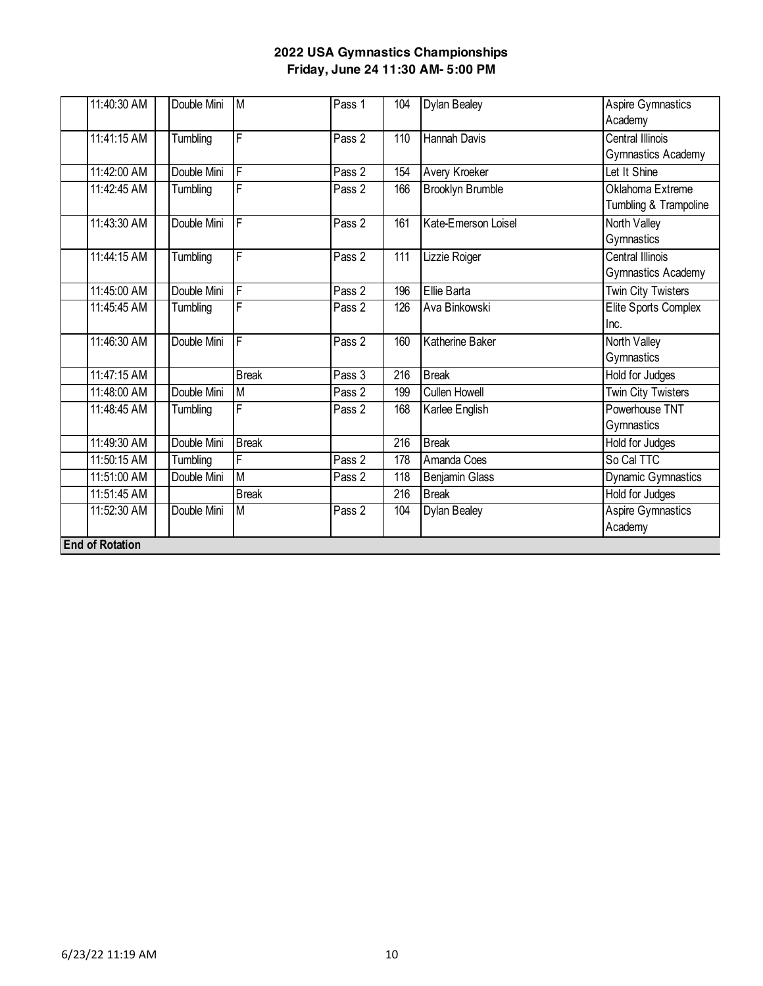| 11:40:30 AM            | Double Mini | M              | Pass 1 | 104 | <b>Dylan Bealey</b>     | <b>Aspire Gymnastics</b><br>Academy |
|------------------------|-------------|----------------|--------|-----|-------------------------|-------------------------------------|
| 11:41:15 AM            | Tumbling    | F              | Pass 2 | 110 | Hannah Davis            | <b>Central Illinois</b>             |
|                        |             |                |        |     |                         | Gymnastics Academy                  |
| 11:42:00 AM            | Double Mini | F              | Pass 2 | 154 | Avery Kroeker           | Let It Shine                        |
| 11:42:45 AM            | Tumbling    | F              | Pass 2 | 166 | <b>Brooklyn Brumble</b> | Oklahoma Extreme                    |
|                        |             |                |        |     |                         | Tumbling & Trampoline               |
| 11:43:30 AM            | Double Mini | F              | Pass 2 | 161 | Kate-Emerson Loisel     | North Valley                        |
|                        |             |                |        |     |                         | Gymnastics                          |
| 11:44:15 AM            | Tumbling    | F              | Pass 2 | 111 | Lizzie Roiger           | <b>Central Illinois</b>             |
|                        |             |                |        |     |                         | Gymnastics Academy                  |
| 11:45:00 AM            | Double Mini | F              | Pass 2 | 196 | Ellie Barta             | <b>Twin City Twisters</b>           |
| 11:45:45 AM            | Tumbling    | F              | Pass 2 | 126 | Ava Binkowski           | Elite Sports Complex                |
|                        |             |                |        |     |                         | Inc.                                |
| 11:46:30 AM            | Double Mini | $\overline{F}$ | Pass 2 | 160 | <b>Katherine Baker</b>  | <b>North Valley</b>                 |
|                        |             |                |        |     |                         | Gymnastics                          |
| 11:47:15 AM            |             | <b>Break</b>   | Pass 3 | 216 | <b>Break</b>            | Hold for Judges                     |
| 11:48:00 AM            | Double Mini | M              | Pass 2 | 199 | <b>Cullen Howell</b>    | <b>Twin City Twisters</b>           |
| 11:48:45 AM            | Tumbling    | F              | Pass 2 | 168 | Karlee English          | Powerhouse TNT                      |
|                        |             |                |        |     |                         | Gymnastics                          |
| 11:49:30 AM            | Double Mini | <b>Break</b>   |        | 216 | <b>Break</b>            | Hold for Judges                     |
| 11:50:15 AM            | Tumbling    | F              | Pass 2 | 178 | Amanda Coes             | So Cal TTC                          |
| 11:51:00 AM            | Double Mini | M              | Pass 2 | 118 | <b>Benjamin Glass</b>   | <b>Dynamic Gymnastics</b>           |
| 11:51:45 AM            |             | <b>Break</b>   |        | 216 | <b>Break</b>            | Hold for Judges                     |
| 11:52:30 AM            | Double Mini | M              | Pass 2 | 104 | <b>Dylan Bealey</b>     | Aspire Gymnastics                   |
|                        |             |                |        |     |                         | Academy                             |
| <b>End of Rotation</b> |             |                |        |     |                         |                                     |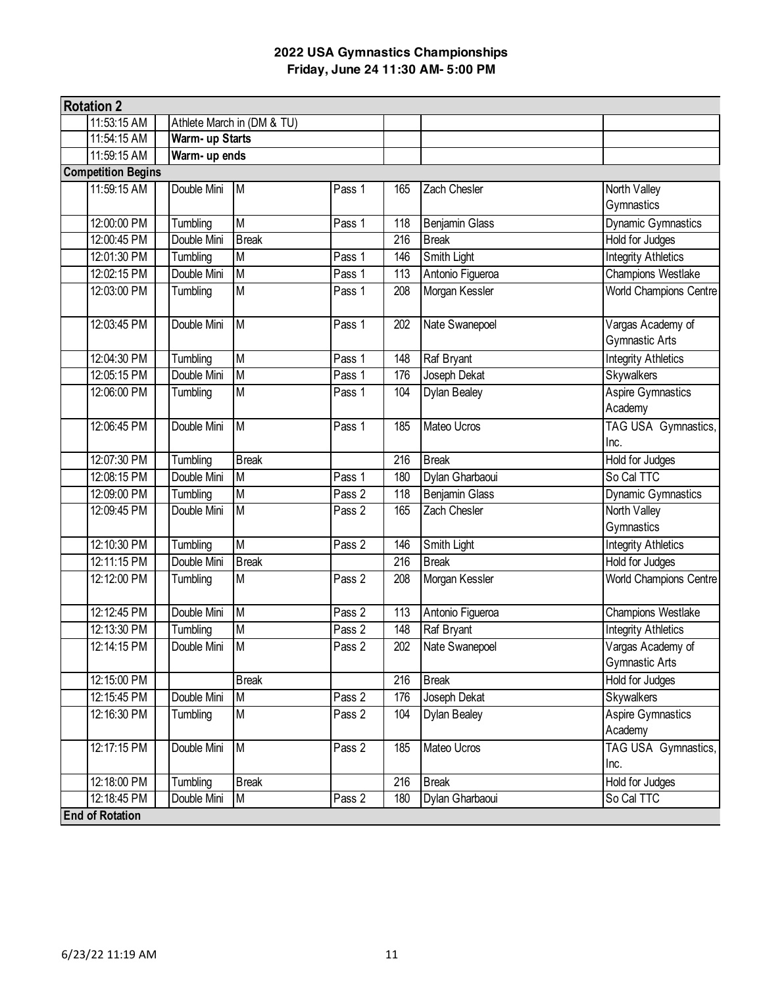| <b>Rotation 2</b>         |               |                 |                            |        |     |                       |                               |
|---------------------------|---------------|-----------------|----------------------------|--------|-----|-----------------------|-------------------------------|
|                           | 11:53:15 AM   |                 | Athlete March in (DM & TU) |        |     |                       |                               |
|                           | 11:54:15 AM   | Warm- up Starts |                            |        |     |                       |                               |
|                           | 11:59:15 AM   | Warm- up ends   |                            |        |     |                       |                               |
| <b>Competition Begins</b> |               |                 |                            |        |     |                       |                               |
|                           | 11:59:15 AM   | Double Mini     | M                          | Pass 1 | 165 | Zach Chesler          | North Valley                  |
|                           |               |                 |                            |        |     |                       | Gymnastics                    |
|                           | 12:00:00 PM   | Tumbling        | M                          | Pass 1 | 118 | <b>Benjamin Glass</b> | <b>Dynamic Gymnastics</b>     |
|                           | 12:00:45 PM   | Double Mini     | <b>Break</b>               |        | 216 | <b>Break</b>          | <b>Hold for Judges</b>        |
|                           | 12:01:30 PM   | Tumbling        | M                          | Pass 1 | 146 | Smith Light           | <b>Integrity Athletics</b>    |
|                           | 12:02:15 PM   | Double Mini     | M                          | Pass 1 | 113 | Antonio Figueroa      | <b>Champions Westlake</b>     |
|                           | 12:03:00 PM   | Tumbling        | M                          | Pass 1 | 208 | Morgan Kessler        | <b>World Champions Centre</b> |
|                           | 12:03:45 PM   | Double Mini     | $\overline{M}$             | Pass 1 | 202 | Nate Swanepoel        | Vargas Academy of             |
|                           |               |                 |                            |        |     |                       | Gymnastic Arts                |
|                           | 12:04:30 PM   | Tumbling        | M                          | Pass 1 | 148 | Raf Bryant            | <b>Integrity Athletics</b>    |
|                           | 12:05:15 PM   | Double Mini     | M                          | Pass 1 | 176 | Joseph Dekat          | <b>Skywalkers</b>             |
|                           | 12:06:00 PM   | Tumbling        | $\overline{\mathsf{M}}$    | Pass 1 | 104 | Dylan Bealey          | Aspire Gymnastics             |
|                           |               |                 |                            |        |     |                       | Academy                       |
|                           | 12:06:45 PM   | Double Mini     | $\overline{M}$             | Pass 1 | 185 | Mateo Ucros           | TAG USA Gymnastics,           |
|                           |               |                 |                            |        |     |                       | Inc.                          |
|                           | 12:07:30 PM   | Tumbling        | <b>Break</b>               |        | 216 | <b>Break</b>          | Hold for Judges               |
|                           | 12:08:15 PM   | Double Mini     | M                          | Pass 1 | 180 | Dylan Gharbaoui       | So Cal TTC                    |
|                           | 12:09:00 PM   | Tumbling        | M                          | Pass 2 | 118 | <b>Benjamin Glass</b> | <b>Dynamic Gymnastics</b>     |
|                           | 12:09:45 PM   | Double Mini     | M                          | Pass 2 | 165 | Zach Chesler          | North Valley                  |
|                           |               |                 |                            |        |     |                       | Gymnastics                    |
|                           | 12:10:30 PM   | Tumbling        | M                          | Pass 2 | 146 | Smith Light           | <b>Integrity Athletics</b>    |
|                           | 12:11:15 PM   | Double Mini     | <b>Break</b>               |        | 216 | <b>Break</b>          | Hold for Judges               |
|                           | $12:12:00$ PM | Tumbling        | M                          | Pass 2 | 208 | Morgan Kessler        | <b>World Champions Centre</b> |
|                           | 12:12:45 PM   | Double Mini     | M                          | Pass 2 | 113 | Antonio Figueroa      | <b>Champions Westlake</b>     |
|                           | 12:13:30 PM   | Tumbling        | M                          | Pass 2 | 148 | Raf Bryant            | <b>Integrity Athletics</b>    |
|                           | 12:14:15 PM   | Double Mini     | $\overline{M}$             | Pass 2 | 202 | Nate Swanepoel        | Vargas Academy of             |
|                           |               |                 |                            |        |     |                       | Gymnastic Arts                |
|                           | 12:15:00 PM   |                 | <b>Break</b>               |        | 216 | <b>Break</b>          | Hold for Judges               |
|                           | 12:15:45 PM   | Double Mini     | M                          | Pass 2 | 176 | Joseph Dekat          | <b>Skywalkers</b>             |
|                           | 12:16:30 PM   | Tumbling        | M                          | Pass 2 | 104 | Dylan Bealey          | <b>Aspire Gymnastics</b>      |
|                           |               |                 |                            |        |     |                       | Academy                       |
|                           | 12:17:15 PM   | Double Mini     | $\overline{M}$             | Pass 2 | 185 | Mateo Ucros           | TAG USA Gymnastics,           |
|                           |               |                 |                            |        |     |                       | Inc.                          |
|                           | 12:18:00 PM   | Tumbling        | <b>Break</b>               |        | 216 | <b>Break</b>          | Hold for Judges               |
|                           | 12:18:45 PM   | Double Mini     | M                          | Pass 2 | 180 | Dylan Gharbaoui       | So Cal TTC                    |
| <b>End of Rotation</b>    |               |                 |                            |        |     |                       |                               |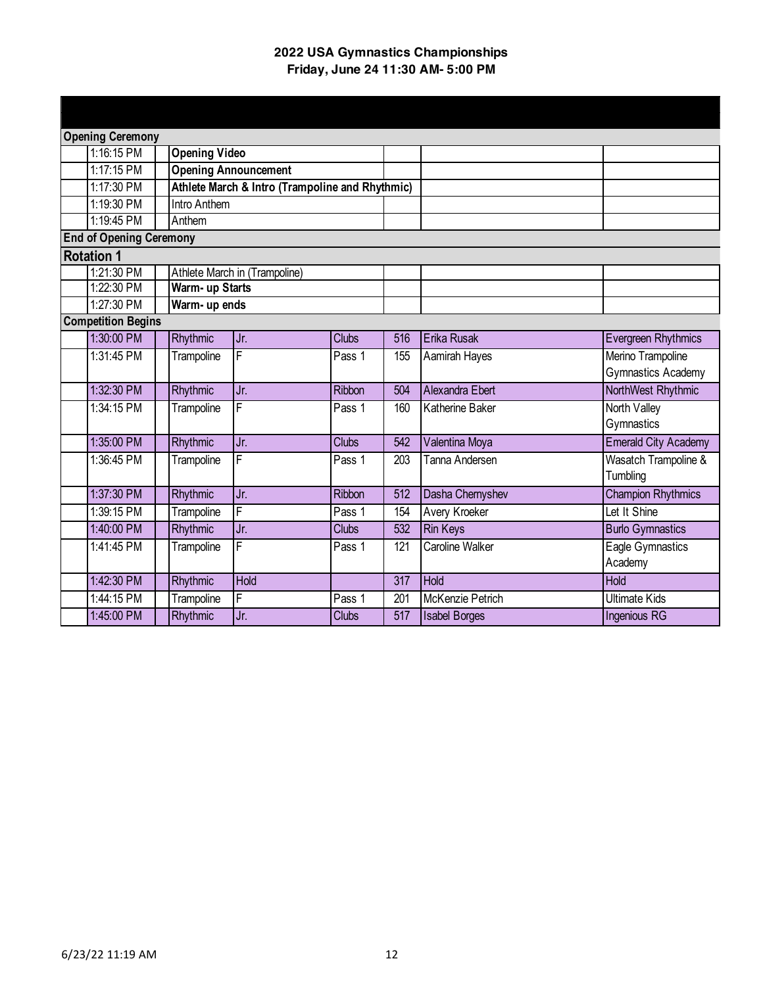| <b>Opening Ceremony</b>        |                      |                                                 |               |                  |                        |                                         |
|--------------------------------|----------------------|-------------------------------------------------|---------------|------------------|------------------------|-----------------------------------------|
| 1:16:15 PM                     | <b>Opening Video</b> |                                                 |               |                  |                        |                                         |
| 1:17:15 PM                     |                      | <b>Opening Announcement</b>                     |               |                  |                        |                                         |
| 1:17:30 PM                     |                      | Athlete March & Intro (Trampoline and Rhythmic) |               |                  |                        |                                         |
| 1:19:30 PM                     | <b>Intro Anthem</b>  |                                                 |               |                  |                        |                                         |
| 1:19:45 PM                     | Anthem               |                                                 |               |                  |                        |                                         |
| <b>End of Opening Ceremony</b> |                      |                                                 |               |                  |                        |                                         |
| <b>Rotation 1</b>              |                      |                                                 |               |                  |                        |                                         |
| 1:21:30 PM                     |                      | Athlete March in (Trampoline)                   |               |                  |                        |                                         |
| 1:22:30 PM                     | Warm- up Starts      |                                                 |               |                  |                        |                                         |
| 1:27:30 PM                     | Warm- up ends        |                                                 |               |                  |                        |                                         |
| <b>Competition Begins</b>      |                      |                                                 |               |                  |                        |                                         |
| 1:30:00 PM                     | Rhythmic             | Jr.                                             | <b>Clubs</b>  | 516              | Erika Rusak            | <b>Evergreen Rhythmics</b>              |
| 1:31:45 PM                     | Trampoline           | $\overline{F}$                                  | Pass 1        | 155              | Aamirah Hayes          | Merino Trampoline<br>Gymnastics Academy |
| 1:32:30 PM                     | Rhythmic             | Jr.                                             | <b>Ribbon</b> | 504              | Alexandra Ebert        | NorthWest Rhythmic                      |
| 1:34:15 PM                     | Trampoline           | F                                               | Pass 1        | 160              | Katherine Baker        | North Valley<br>Gymnastics              |
| 1:35:00 PM                     | Rhythmic             | Jr.                                             | <b>Clubs</b>  | 542              | Valentina Moya         | <b>Emerald City Academy</b>             |
| 1:36:45 PM                     | Trampoline           | F                                               | Pass 1        | 203              | Tanna Andersen         | Wasatch Trampoline &<br>Tumbling        |
| 1:37:30 PM                     | Rhythmic             | Jr.                                             | Ribbon        | 512              | Dasha Chernyshev       | <b>Champion Rhythmics</b>               |
| 1:39:15 PM                     | Trampoline           | F                                               | Pass 1        | 154              | Avery Kroeker          | Let It Shine                            |
| 1:40:00 PM                     | <b>Rhythmic</b>      | Jr.                                             | <b>Clubs</b>  | 532              | <b>Rin Keys</b>        | <b>Burlo Gymnastics</b>                 |
| 1:41:45 PM                     | Trampoline           | F                                               | Pass 1        | 121              | <b>Caroline Walker</b> | Eagle Gymnastics<br>Academy             |
| 1:42:30 PM                     | Rhythmic             | <b>Hold</b>                                     |               | 317              | <b>Hold</b>            | <b>Hold</b>                             |
| 1:44:15 PM                     | Trampoline           | $\overline{F}$                                  | Pass 1        | 201              | McKenzie Petrich       | <b>Ultimate Kids</b>                    |
| 1:45:00 PM                     | <b>Rhythmic</b>      | Jr.                                             | <b>Clubs</b>  | $\overline{517}$ | <b>Isabel Borges</b>   | Ingenious RG                            |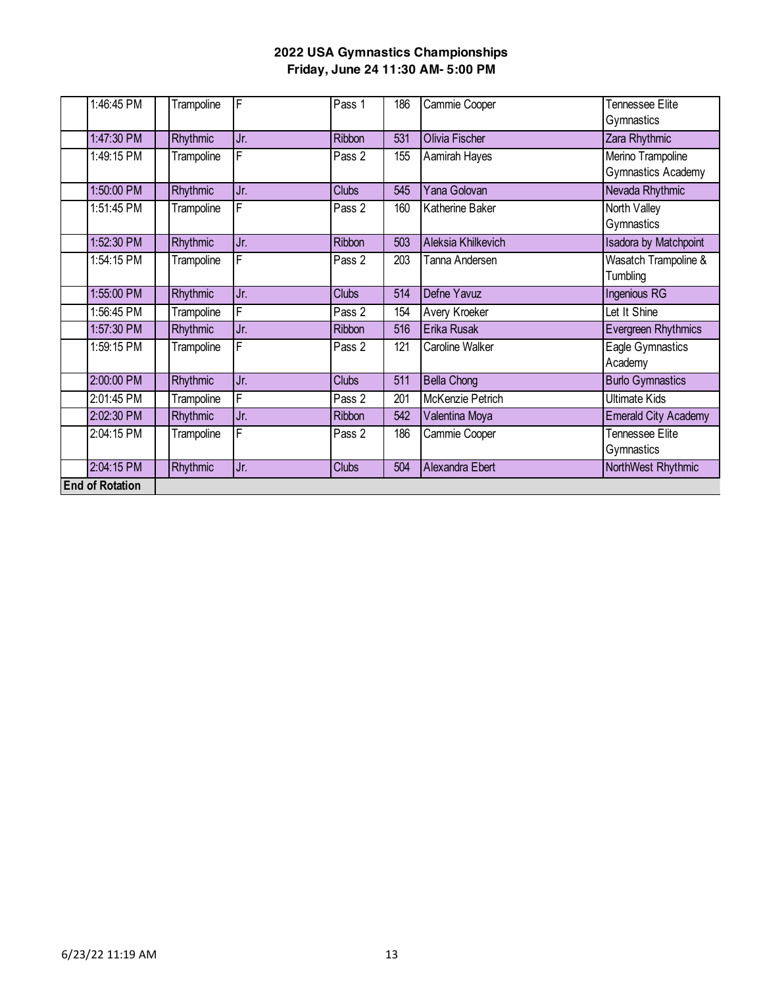| 1:46:45 PM             | Trampoline | F   | Pass 1       | 186 | Cammie Cooper          | Tennessee Elite                                |
|------------------------|------------|-----|--------------|-----|------------------------|------------------------------------------------|
|                        |            |     |              |     |                        | Gymnastics                                     |
| 1:47:30 PM             | Rhythmic   | Jr. | Ribbon       | 531 | Olivia Fischer         | Zara Rhythmic                                  |
| 1:49:15 PM             | Trampoline | F   | Pass 2       | 155 | Aamirah Hayes          | Merino Trampoline<br><b>Gymnastics Academy</b> |
| 1:50:00 PM             | Rhythmic   | Jr. | <b>Clubs</b> | 545 | Yana Golovan           | Nevada Rhythmic                                |
| 1:51:45 PM             | Trampoline | F   | Pass 2       | 160 | Katherine Baker        | North Valley<br>Gymnastics                     |
| 1:52:30 PM             | Rhythmic   | Jr. | Ribbon       | 503 | Aleksia Khilkevich     | <b>Isadora by Matchpoint</b>                   |
| 1:54:15 PM             | Trampoline | F   | Pass 2       | 203 | Tanna Andersen         | Wasatch Trampoline &<br>Tumbling               |
| 1:55:00 PM             | Rhythmic   | Jr. | <b>Clubs</b> | 514 | Defne Yavuz            | Ingenious RG                                   |
| 1:56:45 PM             | Trampoline | F   | Pass 2       | 154 | Avery Kroeker          | Let It Shine                                   |
| 1:57:30 PM             | Rhythmic   | Jr. | Ribbon       | 516 | Erika Rusak            | <b>Evergreen Rhythmics</b>                     |
| 1:59:15 PM             | Trampoline | F   | Pass 2       | 121 | <b>Caroline Walker</b> | Eagle Gymnastics<br>Academy                    |
| 2:00:00 PM             | Rhythmic   | Jr. | <b>Clubs</b> | 511 | <b>Bella Chong</b>     | <b>Burlo Gymnastics</b>                        |
| 2:01:45 PM             | Trampoline | F   | Pass 2       | 201 | McKenzie Petrich       | <b>Ultimate Kids</b>                           |
| 2:02:30 PM             | Rhythmic   | Jr. | Ribbon       | 542 | Valentina Moya         | <b>Emerald City Academy</b>                    |
| 2:04:15 PM             | Trampoline | F   | Pass 2       | 186 | Cammie Cooper          | Tennessee Elite<br>Gymnastics                  |
| 2:04:15 PM             | Rhythmic   | Jr. | <b>Clubs</b> | 504 | Alexandra Ebert        | NorthWest Rhythmic                             |
| <b>End of Rotation</b> |            |     |              |     |                        |                                                |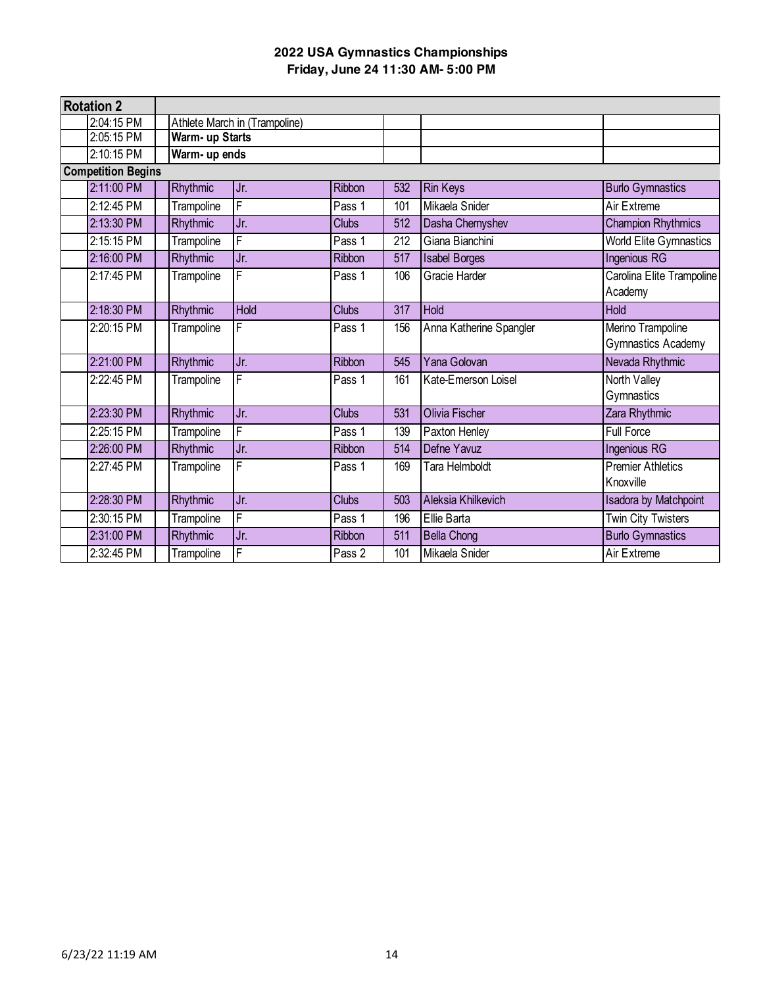| <b>Rotation 2</b>         |                 |                               |               |                  |                         |                              |
|---------------------------|-----------------|-------------------------------|---------------|------------------|-------------------------|------------------------------|
| 2:04:15 PM                |                 | Athlete March in (Trampoline) |               |                  |                         |                              |
| 2:05:15 PM                | Warm- up Starts |                               |               |                  |                         |                              |
| 2:10:15 PM                | Warm- up ends   |                               |               |                  |                         |                              |
| <b>Competition Begins</b> |                 |                               |               |                  |                         |                              |
| 2:11:00 PM                | Rhythmic        | Jr.                           | Ribbon        | 532              | <b>Rin Keys</b>         | <b>Burlo Gymnastics</b>      |
| 2:12:45 PM                | Trampoline      | F                             | Pass 1        | 101              | Mikaela Snider          | Air Extreme                  |
| 2:13:30 PM                | Rhythmic        | Jr.                           | <b>Clubs</b>  | 512              | Dasha Chernyshev        | <b>Champion Rhythmics</b>    |
| 2:15:15 PM                | Trampoline      | F                             | Pass 1        | 212              | Giana Bianchini         | World Elite Gymnastics       |
| 2:16:00 PM                | Rhythmic        | Jr.                           | <b>Ribbon</b> | 517              | <b>Isabel Borges</b>    | <b>Ingenious RG</b>          |
| 2:17:45 PM                | Trampoline      | F                             | Pass 1        | 106              | Gracie Harder           | Carolina Elite Trampoline    |
|                           |                 |                               |               |                  |                         | Academy                      |
| 2:18:30 PM                | Rhythmic        | <b>Hold</b>                   | <b>Clubs</b>  | $\overline{317}$ | Hold                    | <b>Hold</b>                  |
| 2:20:15 PM                | Trampoline      | F                             | Pass 1        | 156              | Anna Katherine Spangler | Merino Trampoline            |
|                           |                 |                               |               |                  |                         | <b>Gymnastics Academy</b>    |
| 2:21:00 PM                | Rhythmic        | Jr.                           | Ribbon        | 545              | Yana Golovan            | Nevada Rhythmic              |
| 2:22:45 PM                | Trampoline      | F                             | Pass 1        | 161              | Kate-Emerson Loisel     | North Valley                 |
|                           |                 |                               |               |                  |                         | Gymnastics                   |
| 2:23:30 PM                | Rhythmic        | Jr.                           | <b>Clubs</b>  | $\overline{531}$ | <b>Olivia Fischer</b>   | Zara Rhythmic                |
| 2:25:15 PM                | Trampoline      | F                             | Pass 1        | 139              | Paxton Henley           | <b>Full Force</b>            |
| 2:26:00 PM                | Rhythmic        | Jr.                           | <b>Ribbon</b> | 514              | Defne Yavuz             | Ingenious RG                 |
| 2:27:45 PM                | Trampoline      | F                             | Pass 1        | 169              | Tara Helmboldt          | <b>Premier Athletics</b>     |
|                           |                 |                               |               |                  |                         | Knoxville                    |
| 2:28:30 PM                | Rhythmic        | Jr.                           | <b>Clubs</b>  | 503              | Aleksia Khilkevich      | <b>Isadora by Matchpoint</b> |
| 2:30:15 PM                | Trampoline      | F                             | Pass 1        | 196              | Ellie Barta             | <b>Twin City Twisters</b>    |
| 2:31:00 PM                | Rhythmic        | Jr.                           | Ribbon        | 511              | <b>Bella Chong</b>      | <b>Burlo Gymnastics</b>      |
| 2:32:45 PM                | Trampoline      | F                             | Pass 2        | 101              | Mikaela Snider          | Air Extreme                  |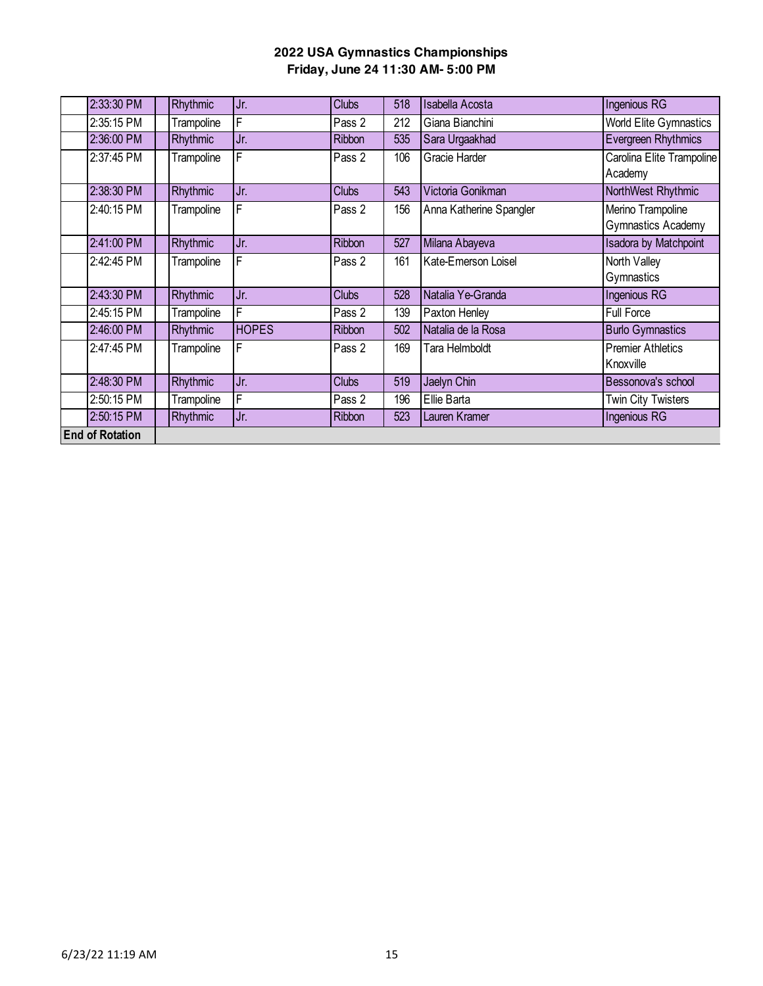| 2:33:30 PM             | Rhythmic   | Jr.          | <b>Clubs</b>  | 518 | <b>Isabella Acosta</b>     | <b>Ingenious RG</b>                            |
|------------------------|------------|--------------|---------------|-----|----------------------------|------------------------------------------------|
| 2:35:15 PM             | Trampoline | F            | Pass 2        | 212 | Giana Bianchini            | <b>World Elite Gymnastics</b>                  |
| 2:36:00 PM             | Rhythmic   | Jr.          | <b>Ribbon</b> | 535 | Sara Urgaakhad             | Evergreen Rhythmics                            |
| 2:37:45 PM             | Trampoline | $\mathsf F$  | Pass 2        | 106 | Gracie Harder              | Carolina Elite Trampoline<br>Academy           |
| 2:38:30 PM             | Rhythmic   | Jr.          | <b>Clubs</b>  | 543 | Victoria Gonikman          | NorthWest Rhythmic                             |
| 2:40:15 PM             | Trampoline | F            | Pass 2        | 156 | Anna Katherine Spangler    | Merino Trampoline<br><b>Gymnastics Academy</b> |
| 2:41:00 PM             | Rhythmic   | Jr.          | <b>Ribbon</b> | 527 | Milana Abayeva             | <b>Isadora by Matchpoint</b>                   |
| 2:42:45 PM             | Trampoline | F            | Pass 2        | 161 | <b>Kate-Emerson Loisel</b> | North Valley<br>Gymnastics                     |
| 2:43:30 PM             | Rhythmic   | Jr.          | <b>Clubs</b>  | 528 | Natalia Ye-Granda          | Ingenious RG                                   |
| 2:45:15 PM             | Trampoline | F            | Pass 2        | 139 | Paxton Henley              | <b>Full Force</b>                              |
| 2:46:00 PM             | Rhythmic   | <b>HOPES</b> | Ribbon        | 502 | Natalia de la Rosa         | <b>Burlo Gymnastics</b>                        |
| 2:47:45 PM             | Trampoline | F            | Pass 2        | 169 | Tara Helmboldt             | <b>Premier Athletics</b><br>Knoxville          |
| 2:48:30 PM             | Rhythmic   | Jr.          | <b>Clubs</b>  | 519 | Jaelyn Chin                | Bessonova's school                             |
| 2:50:15 PM             | Trampoline | $\mathsf F$  | Pass 2        | 196 | Ellie Barta                | <b>Twin City Twisters</b>                      |
| 2:50:15 PM             | Rhythmic   | Jr.          | Ribbon        | 523 | Lauren Kramer              | Ingenious RG                                   |
| <b>End of Rotation</b> |            |              |               |     |                            |                                                |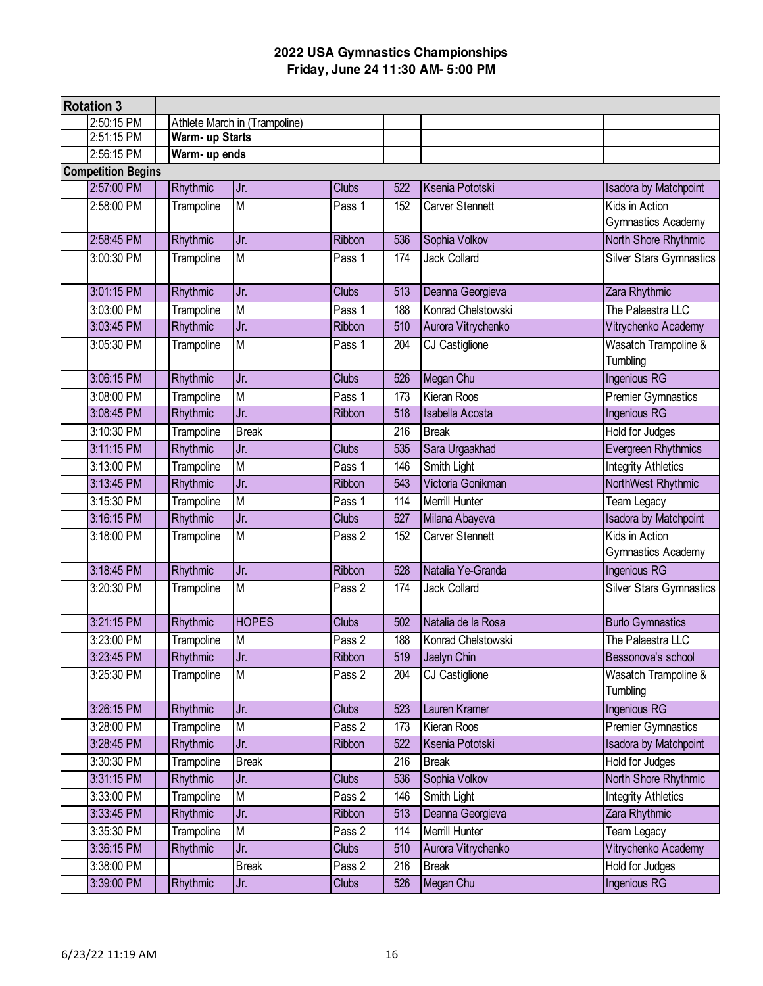| <b>Rotation 3</b>         |                 |                               |              |     |                        |                                |
|---------------------------|-----------------|-------------------------------|--------------|-----|------------------------|--------------------------------|
| 2:50:15 PM                |                 | Athlete March in (Trampoline) |              |     |                        |                                |
| 2:51:15 PM                | Warm- up Starts |                               |              |     |                        |                                |
| 2:56:15 PM                | Warm- up ends   |                               |              |     |                        |                                |
| <b>Competition Begins</b> |                 |                               |              |     |                        |                                |
| 2:57:00 PM                | Rhythmic        | Jr.                           | <b>Clubs</b> | 522 | Ksenia Pototski        | <b>Isadora by Matchpoint</b>   |
| 2:58:00 PM                | Trampoline      | M                             | Pass 1       | 152 | Carver Stennett        | Kids in Action                 |
|                           |                 |                               |              |     |                        | Gymnastics Academy             |
| 2:58:45 PM                | Rhythmic        | Jr.                           | Ribbon       | 536 | Sophia Volkov          | North Shore Rhythmic           |
| 3:00:30 PM                | Trampoline      | M                             | Pass 1       | 174 | <b>Jack Collard</b>    | <b>Silver Stars Gymnastics</b> |
|                           |                 |                               |              |     |                        |                                |
| 3:01:15 PM                | Rhythmic        | Jr.                           | <b>Clubs</b> | 513 | Deanna Georgieva       | Zara Rhythmic                  |
| 3:03:00 PM                | Trampoline      | M                             | Pass 1       | 188 | Konrad Chelstowski     | The Palaestra LLC              |
| 3:03:45 PM                | Rhythmic        | Jr.                           | Ribbon       | 510 | Aurora Vitrychenko     | Vitrychenko Academy            |
| 3:05:30 PM                | Trampoline      | M                             | Pass 1       | 204 | CJ Castiglione         | Wasatch Trampoline &           |
|                           |                 |                               |              |     |                        | Tumbling                       |
| 3:06:15 PM                | Rhythmic        | Jr.                           | <b>Clubs</b> | 526 | Megan Chu              | Ingenious RG                   |
| 3:08:00 PM                | Trampoline      | M                             | Pass 1       | 173 | Kieran Roos            | <b>Premier Gymnastics</b>      |
| 3:08:45 PM                | Rhythmic        | Jr.                           | Ribbon       | 518 | <b>Isabella Acosta</b> | <b>Ingenious RG</b>            |
| 3:10:30 PM                | Trampoline      | <b>Break</b>                  |              | 216 | <b>Break</b>           | Hold for Judges                |
| 3:11:15 PM                | Rhythmic        | Jr.                           | <b>Clubs</b> | 535 | Sara Urgaakhad         | <b>Evergreen Rhythmics</b>     |
| 3:13:00 PM                | Trampoline      | M                             | Pass 1       | 146 | Smith Light            | <b>Integrity Athletics</b>     |
| 3:13:45 PM                | Rhythmic        | Jr.                           | Ribbon       | 543 | Victoria Gonikman      | NorthWest Rhythmic             |
| 3:15:30 PM                | Trampoline      | $\overline{M}$                | Pass 1       | 114 | Merrill Hunter         | Team Legacy                    |
| 3:16:15 PM                | Rhythmic        | Jr.                           | <b>Clubs</b> | 527 | Milana Abayeva         | <b>Isadora by Matchpoint</b>   |
| 3:18:00 PM                | Trampoline      | M                             | Pass 2       | 152 | <b>Carver Stennett</b> | Kids in Action                 |
|                           |                 |                               |              |     |                        | <b>Gymnastics Academy</b>      |
| 3:18:45 PM                | Rhythmic        | Jr.                           | Ribbon       | 528 | Natalia Ye-Granda      | Ingenious RG                   |
| 3:20:30 PM                | Trampoline      | M                             | Pass 2       | 174 | <b>Jack Collard</b>    | <b>Silver Stars Gymnastics</b> |
|                           |                 |                               |              |     |                        |                                |
| 3:21:15 PM                | Rhythmic        | <b>HOPES</b>                  | <b>Clubs</b> | 502 | Natalia de la Rosa     | <b>Burlo Gymnastics</b>        |
| 3:23:00 PM                | Trampoline      | M                             | Pass 2       | 188 | Konrad Chelstowski     | The Palaestra LLC              |
| 3:23:45 PM                | Rhythmic        | Jr.                           | Ribbon       | 519 | Jaelyn Chin            | Bessonova's school             |
| 3:25:30 PM                | Trampoline      | M                             | Pass 2       | 204 | CJ Castiglione         | Wasatch Trampoline &           |
|                           |                 |                               |              |     |                        | Tumbling                       |
| 3:26:15 PM                | Rhythmic        | Jr.                           | <b>Clubs</b> | 523 | Lauren Kramer          | Ingenious RG                   |
| 3:28:00 PM                | Trampoline      | M                             | Pass 2       | 173 | Kieran Roos            | <b>Premier Gymnastics</b>      |
| 3:28:45 PM                | Rhythmic        | Jr.                           | Ribbon       | 522 | Ksenia Pototski        | <b>Isadora by Matchpoint</b>   |
| 3:30:30 PM                | Trampoline      | <b>Break</b>                  |              | 216 | <b>Break</b>           | Hold for Judges                |
| 3:31:15 PM                | Rhythmic        | Jr.                           | <b>Clubs</b> | 536 | Sophia Volkov          | North Shore Rhythmic           |
| 3:33:00 PM                | Trampoline      | M                             | Pass 2       | 146 | Smith Light            | <b>Integrity Athletics</b>     |
| 3:33:45 PM                | <b>Rhythmic</b> | Jr.                           | Ribbon       | 513 | Deanna Georgieva       | Zara Rhythmic                  |
| 3:35:30 PM                | Trampoline      | M                             | Pass 2       | 114 | Merrill Hunter         | Team Legacy                    |
| 3:36:15 PM                | Rhythmic        | Jr.                           | <b>Clubs</b> | 510 | Aurora Vitrychenko     | Vitrychenko Academy            |
| 3:38:00 PM                |                 | <b>Break</b>                  | Pass 2       | 216 | <b>Break</b>           | Hold for Judges                |
| 3:39:00 PM                | Rhythmic        | Jr.                           | <b>Clubs</b> | 526 | Megan Chu              | Ingenious RG                   |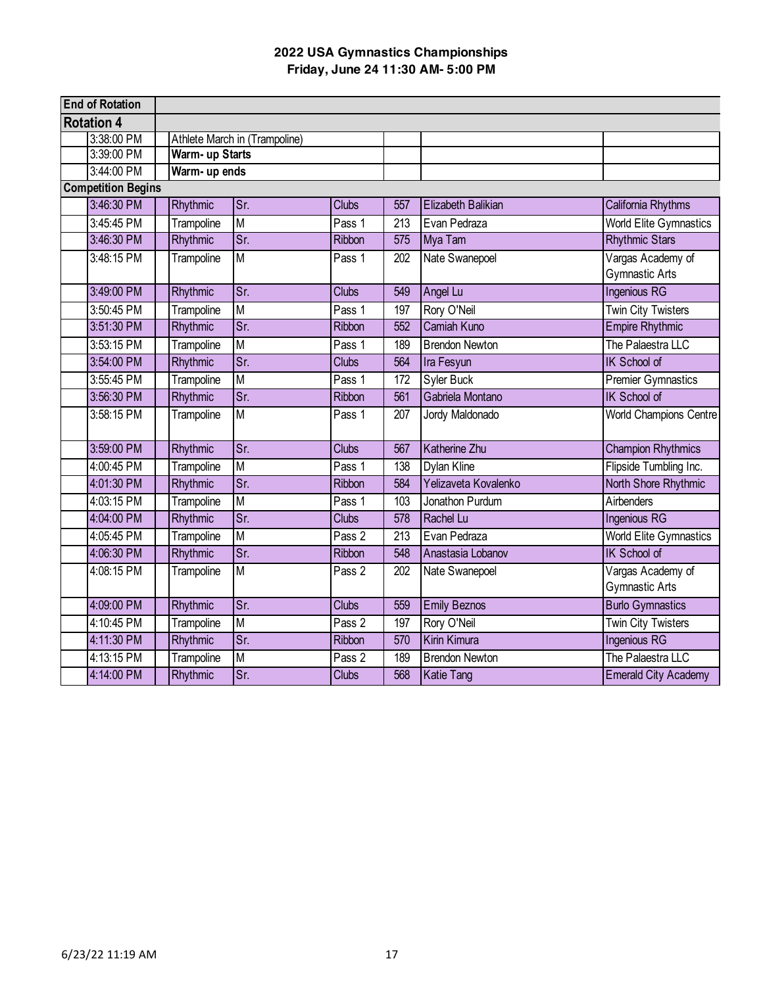| <b>End of Rotation</b>    |                 |                               |               |                  |                       |                                            |
|---------------------------|-----------------|-------------------------------|---------------|------------------|-----------------------|--------------------------------------------|
| <b>Rotation 4</b>         |                 |                               |               |                  |                       |                                            |
| 3:38:00 PM                |                 | Athlete March in (Trampoline) |               |                  |                       |                                            |
| 3:39:00 PM                | Warm- up Starts |                               |               |                  |                       |                                            |
| 3:44:00 PM                | Warm- up ends   |                               |               |                  |                       |                                            |
| <b>Competition Begins</b> |                 |                               |               |                  |                       |                                            |
| 3:46:30 PM                | Rhythmic        | $\overline{\text{Sr}}$        | <b>Clubs</b>  | 557              | Elizabeth Balikian    | California Rhythms                         |
| 3:45:45 PM                | Trampoline      | M                             | Pass 1        | $\overline{213}$ | Evan Pedraza          | <b>World Elite Gymnastics</b>              |
| 3:46:30 PM                | Rhythmic        | $\overline{\text{Sr.}}$       | Ribbon        | 575              | Mya Tam               | <b>Rhythmic Stars</b>                      |
| 3:48:15 PM                | Trampoline      | $\overline{M}$                | Pass 1        | 202              | Nate Swanepoel        | Vargas Academy of<br><b>Gymnastic Arts</b> |
| 3:49:00 PM                | Rhythmic        | $\overline{\text{Sr}}$        | <b>Clubs</b>  | 549              | Angel Lu              | <b>Ingenious RG</b>                        |
| 3:50:45 PM                | Trampoline      | $\overline{\mathsf{M}}$       | Pass 1        | 197              | Rory O'Neil           | <b>Twin City Twisters</b>                  |
| 3:51:30 PM                | Rhythmic        | $\overline{\text{Sr}}$        | <b>Ribbon</b> | 552              | <b>Camiah Kuno</b>    | <b>Empire Rhythmic</b>                     |
| 3:53:15 PM                | Trampoline      | $\overline{\mathsf{M}}$       | Pass 1        | 189              | <b>Brendon Newton</b> | The Palaestra LLC                          |
| 3:54:00 PM                | <b>Rhythmic</b> | $\overline{\text{Sr.}}$       | <b>Clubs</b>  | 564              | Ira Fesyun            | <b>IK School of</b>                        |
| 3:55:45 PM                | Trampoline      | M                             | Pass 1        | 172              | Syler Buck            | <b>Premier Gymnastics</b>                  |
| 3:56:30 PM                | Rhythmic        | $\overline{\text{Sr}}$        | Ribbon        | 561              | Gabriela Montano      | IK School of                               |
| 3:58:15 PM                | Trampoline      | $\overline{\mathsf{M}}$       | Pass 1        | 207              | Jordy Maldonado       | <b>World Champions Centre</b>              |
| 3:59:00 PM                | Rhythmic        | $\overline{\text{Sr}}$        | <b>Clubs</b>  | 567              | <b>Katherine Zhu</b>  | <b>Champion Rhythmics</b>                  |
| 4:00:45 PM                | Trampoline      | M                             | Pass 1        | 138              | Dylan Kline           | Flipside Tumbling Inc.                     |
| 4:01:30 PM                | Rhythmic        | $\overline{\text{Sr}}$        | Ribbon        | 584              | Yelizaveta Kovalenko  | North Shore Rhythmic                       |
| 4:03:15 PM                | Trampoline      | $\overline{\mathsf{M}}$       | Pass 1        | 103              | Jonathon Purdum       | Airbenders                                 |
| 4:04:00 PM                | Rhythmic        | Sr.                           | <b>Clubs</b>  | 578              | Rachel Lu             | Ingenious RG                               |
| 4:05:45 PM                | Trampoline      | $\overline{\mathsf{M}}$       | Pass 2        | 213              | Evan Pedraza          | <b>World Elite Gymnastics</b>              |
| 4:06:30 PM                | Rhythmic        | $\overline{\text{Sr}}$        | <b>Ribbon</b> | 548              | Anastasia Lobanov     | <b>IK School of</b>                        |
| 4:08:15 PM                | Trampoline      | $\overline{\mathsf{M}}$       | Pass 2        | 202              | Nate Swanepoel        | Vargas Academy of<br><b>Gymnastic Arts</b> |
| 4:09:00 PM                | Rhythmic        | Sr.                           | <b>Clubs</b>  | 559              | <b>Emily Beznos</b>   | <b>Burlo Gymnastics</b>                    |
| 4:10:45 PM                | Trampoline      | $\overline{\mathsf{M}}$       | Pass 2        | 197              | Rory O'Neil           | <b>Twin City Twisters</b>                  |
| 4:11:30 PM                | Rhythmic        | $\overline{\text{Sr}}$        | <b>Ribbon</b> | 570              | Kirin Kimura          | <b>Ingenious RG</b>                        |
| 4:13:15 PM                | Trampoline      | $\overline{M}$                | Pass 2        | 189              | <b>Brendon Newton</b> | The Palaestra LLC                          |
| 4:14:00 PM                | Rhythmic        | $\overline{\text{Sr.}}$       | Clubs         | 568              | <b>Katie Tang</b>     | <b>Emerald City Academy</b>                |
|                           |                 |                               |               |                  |                       |                                            |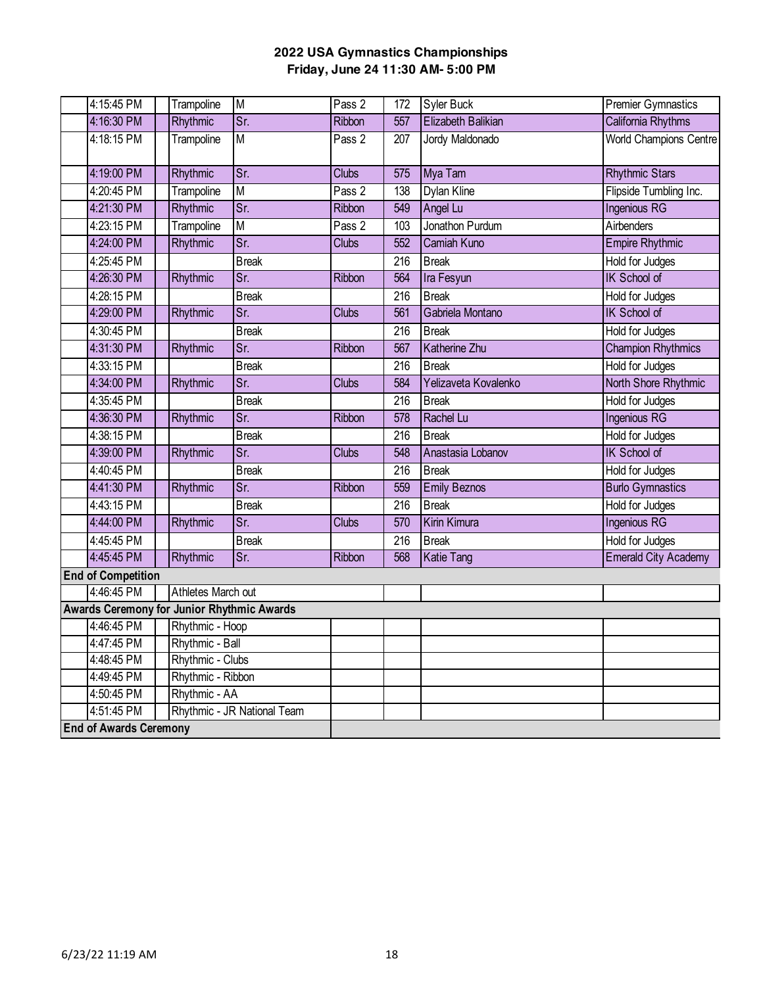| 4:15:45 PM                                 | Trampoline         | M                           | Pass <sub>2</sub> | 172              | Syler Buck             | <b>Premier Gymnastics</b>   |
|--------------------------------------------|--------------------|-----------------------------|-------------------|------------------|------------------------|-----------------------------|
| 4:16:30 PM                                 | Rhythmic           | Sr.                         | Ribbon            | 557              | Elizabeth Balikian     | California Rhythms          |
| 4:18:15 PM                                 | Trampoline         | M                           | Pass 2            | 207              | <b>Jordy Maldonado</b> | World Champions Centre      |
|                                            |                    |                             |                   |                  |                        |                             |
| 4:19:00 PM                                 | Rhythmic           | Sr.                         | Clubs             | 575              | Mya Tam                | <b>Rhythmic Stars</b>       |
| 4:20:45 PM                                 | Trampoline         | M                           | Pass 2            | 138              | Dylan Kline            | Flipside Tumbling Inc.      |
| 4:21:30 PM                                 | Rhythmic           | $\overline{\text{Sr}}$      | <b>Ribbon</b>     | 549              | Angel Lu               | <b>Ingenious RG</b>         |
| 4:23:15 PM                                 | Trampoline         | M                           | Pass 2            | 103              | Jonathon Purdum        | Airbenders                  |
| 4:24:00 PM                                 | Rhythmic           | $\overline{Sr.}$            | <b>Clubs</b>      | 552              | <b>Camiah Kuno</b>     | <b>Empire Rhythmic</b>      |
| 4:25:45 PM                                 |                    | <b>Break</b>                |                   | 216              | <b>Break</b>           | Hold for Judges             |
| 4:26:30 PM                                 | Rhythmic           | Sr.                         | Ribbon            | 564              | Ira Fesyun             | <b>IK School of</b>         |
| 4:28:15 PM                                 |                    | <b>Break</b>                |                   | 216              | <b>Break</b>           | Hold for Judges             |
| 4:29:00 PM                                 | Rhythmic           | Sr.                         | Clubs             | 561              | Gabriela Montano       | <b>IK School of</b>         |
| 4:30:45 PM                                 |                    | <b>Break</b>                |                   | $\overline{216}$ | <b>Break</b>           | <b>Hold for Judges</b>      |
| 4:31:30 PM                                 | Rhythmic           | Sr.                         | Ribbon            | 567              | Katherine Zhu          | <b>Champion Rhythmics</b>   |
| 4:33:15 PM                                 |                    | <b>Break</b>                |                   | $\overline{216}$ | <b>Break</b>           | Hold for Judges             |
| 4:34:00 PM                                 | Rhythmic           | Sr.                         | Clubs             | 584              | Yelizaveta Kovalenko   | North Shore Rhythmic        |
| 4:35:45 PM                                 |                    | <b>Break</b>                |                   | 216              | <b>Break</b>           | Hold for Judges             |
| 4:36:30 PM                                 | Rhythmic           | Sr.                         | Ribbon            | 578              | Rachel Lu              | <b>Ingenious RG</b>         |
| 4:38:15 PM                                 |                    | <b>Break</b>                |                   | 216              | <b>Break</b>           | Hold for Judges             |
| 4:39:00 PM                                 | Rhythmic           | Sr.                         | <b>Clubs</b>      | 548              | Anastasia Lobanov      | IK School of                |
| 4:40:45 PM                                 |                    | <b>Break</b>                |                   | 216              | <b>Break</b>           | <b>Hold for Judges</b>      |
| 4:41:30 PM                                 | Rhythmic           | Sr.                         | Ribbon            | 559              | <b>Emily Beznos</b>    | <b>Burlo Gymnastics</b>     |
| 4:43:15 PM                                 |                    | <b>Break</b>                |                   | 216              | <b>Break</b>           | Hold for Judges             |
| 4:44:00 PM                                 | Rhythmic           | Sr.                         | Clubs             | 570              | Kirin Kimura           | <b>Ingenious RG</b>         |
| 4:45:45 PM                                 |                    | <b>Break</b>                |                   | 216              | <b>Break</b>           | <b>Hold for Judges</b>      |
| 4:45:45 PM                                 | Rhythmic           | Sr.                         | Ribbon            | 568              | Katie Tang             | <b>Emerald City Academy</b> |
| <b>End of Competition</b>                  |                    |                             |                   |                  |                        |                             |
| 4:46:45 PM                                 | Athletes March out |                             |                   |                  |                        |                             |
| Awards Ceremony for Junior Rhythmic Awards |                    |                             |                   |                  |                        |                             |
| 4:46:45 PM                                 | Rhythmic - Hoop    |                             |                   |                  |                        |                             |
| 4:47:45 PM                                 | Rhythmic - Ball    |                             |                   |                  |                        |                             |
| 4:48:45 PM                                 | Rhythmic - Clubs   |                             |                   |                  |                        |                             |
| 4:49:45 PM                                 | Rhythmic - Ribbon  |                             |                   |                  |                        |                             |
| 4:50:45 PM                                 | Rhythmic - AA      |                             |                   |                  |                        |                             |
| 4:51:45 PM                                 |                    | Rhythmic - JR National Team |                   |                  |                        |                             |
| <b>End of Awards Ceremony</b>              |                    |                             |                   |                  |                        |                             |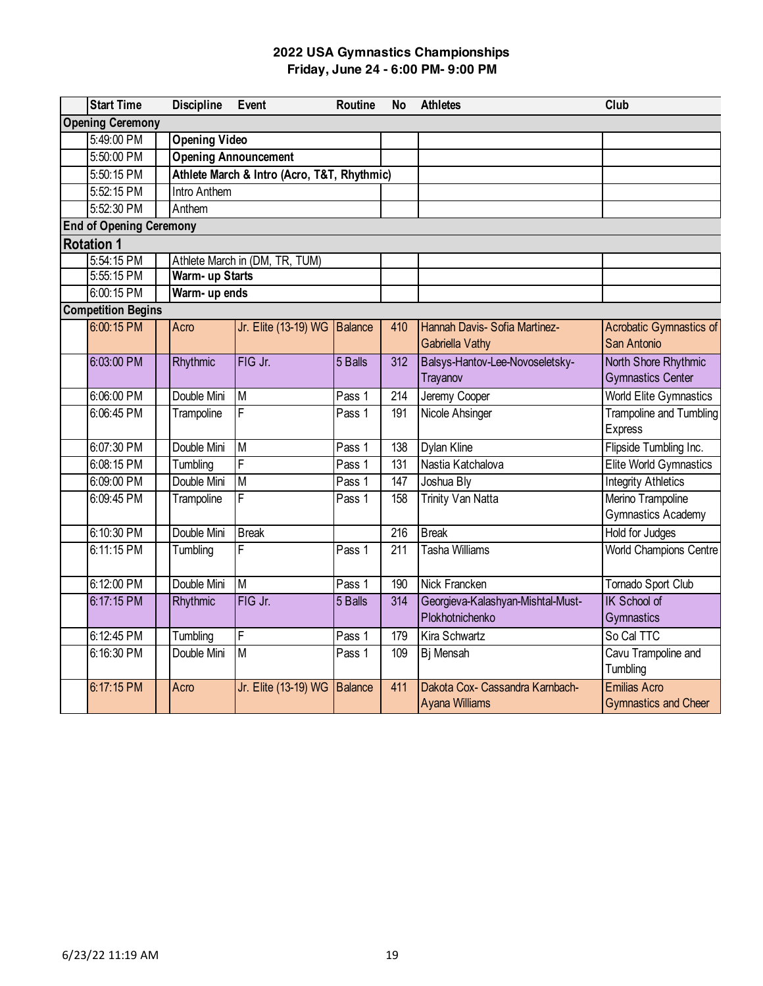| <b>Start Time</b>              |        | <b>Discipline</b>    | Event                                       | <b>Routine</b> | <b>No</b>        | <b>Athletes</b>                                          | Club                                               |
|--------------------------------|--------|----------------------|---------------------------------------------|----------------|------------------|----------------------------------------------------------|----------------------------------------------------|
| <b>Opening Ceremony</b>        |        |                      |                                             |                |                  |                                                          |                                                    |
| 5:49:00 PM                     |        | <b>Opening Video</b> |                                             |                |                  |                                                          |                                                    |
| 5:50:00 PM                     |        |                      | <b>Opening Announcement</b>                 |                |                  |                                                          |                                                    |
| 5:50:15 PM                     |        |                      | Athlete March & Intro (Acro, T&T, Rhythmic) |                |                  |                                                          |                                                    |
| 5:52:15 PM                     |        | <b>Intro Anthem</b>  |                                             |                |                  |                                                          |                                                    |
| 5:52:30 PM                     | Anthem |                      |                                             |                |                  |                                                          |                                                    |
| <b>End of Opening Ceremony</b> |        |                      |                                             |                |                  |                                                          |                                                    |
| <b>Rotation 1</b>              |        |                      |                                             |                |                  |                                                          |                                                    |
| 5:54:15 PM                     |        |                      | Athlete March in (DM, TR, TUM)              |                |                  |                                                          |                                                    |
| 5:55:15 PM                     |        | Warm- up Starts      |                                             |                |                  |                                                          |                                                    |
| 6:00:15 PM                     |        | Warm- up ends        |                                             |                |                  |                                                          |                                                    |
| <b>Competition Begins</b>      |        |                      |                                             |                |                  |                                                          |                                                    |
| 6:00:15 PM                     | Acro   |                      | Jr. Elite (13-19) WG Balance                |                | 410              | Hannah Davis- Sofia Martinez-<br><b>Gabriella Vathy</b>  | <b>Acrobatic Gymnastics of</b><br>San Antonio      |
| 6:03:00 PM                     |        | Rhythmic             | FIG Jr.                                     | 5 Balls        | 312              | Balsys-Hantov-Lee-Novoseletsky-<br>Trayanov              | North Shore Rhythmic<br><b>Gymnastics Center</b>   |
| 6:06:00 PM                     |        | Double Mini          | M                                           | Pass 1         | 214              | Jeremy Cooper                                            | <b>World Elite Gymnastics</b>                      |
| 6:06:45 PM                     |        | Trampoline           | F                                           | Pass 1         | 191              | <b>Nicole Ahsinger</b>                                   | <b>Trampoline and Tumbling</b><br><b>Express</b>   |
| 6:07:30 PM                     |        | Double Mini          | M                                           | Pass 1         | 138              | <b>Dylan Kline</b>                                       | Flipside Tumbling Inc.                             |
| 6:08:15 PM                     |        | Tumbling             | F                                           | Pass 1         | 131              | Nastia Katchalova                                        | Elite World Gymnastics                             |
| 6:09:00 PM                     |        | Double Mini          | M                                           | Pass 1         | 147              | Joshua Bly                                               | <b>Integrity Athletics</b>                         |
| 6:09:45 PM                     |        | Trampoline           | F                                           | Pass 1         | 158              | <b>Trinity Van Natta</b>                                 | Merino Trampoline<br><b>Gymnastics Academy</b>     |
| 6:10:30 PM                     |        | Double Mini          | <b>Break</b>                                |                | $\overline{216}$ | <b>Break</b>                                             | Hold for Judges                                    |
| 6:11:15 PM                     |        | Tumbling             | F                                           | Pass 1         | $\overline{211}$ | <b>Tasha Williams</b>                                    | <b>World Champions Centre</b>                      |
| 6:12:00 PM                     |        | Double Mini          | M                                           | Pass 1         | 190              | <b>Nick Francken</b>                                     | Tornado Sport Club                                 |
| 6:17:15 PM                     |        | Rhythmic             | FIG Jr.                                     | 5 Balls        | 314              | Georgieva-Kalashyan-Mishtal-Must-<br>Plokhotnichenko     | <b>IK School of</b><br>Gymnastics                  |
| 6:12:45 PM                     |        | Tumbling             | F                                           | Pass 1         | 179              | Kira Schwartz                                            | So Cal TTC                                         |
| 6:16:30 PM                     |        | Double Mini          | M                                           | Pass 1         | 109              | Bj Mensah                                                | Cavu Trampoline and<br>Tumbling                    |
| 6:17:15 PM                     | Acro   |                      | Jr. Elite (13-19) WG                        | <b>Balance</b> | 411              | Dakota Cox- Cassandra Karnbach-<br><b>Ayana Williams</b> | <b>Emilias Acro</b><br><b>Gymnastics and Cheer</b> |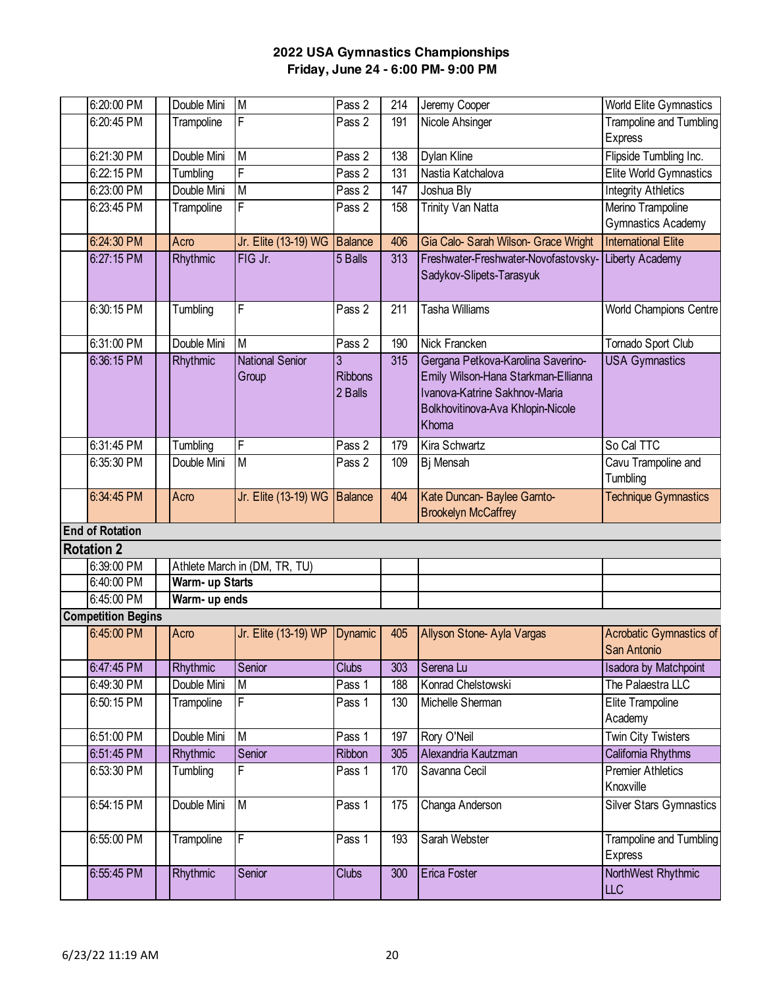| 6:20:00 PM                | Double Mini     | M                             | Pass 2         | 214 | Jeremy Cooper                        | World Elite Gymnastics                 |
|---------------------------|-----------------|-------------------------------|----------------|-----|--------------------------------------|----------------------------------------|
| 6:20:45 PM                | Trampoline      | F                             | Pass 2         | 191 | Nicole Ahsinger                      | <b>Trampoline and Tumbling</b>         |
|                           |                 |                               |                |     |                                      | <b>Express</b>                         |
| 6:21:30 PM                | Double Mini     | $\overline{\mathsf{M}}$       | Pass 2         | 138 | Dylan Kline                          | Flipside Tumbling Inc.                 |
| 6:22:15 PM                | Tumbling        | F                             | Pass 2         | 131 | Nastia Katchalova                    | Elite World Gymnastics                 |
| 6:23:00 PM                | Double Mini     | M                             | Pass 2         | 147 | Joshua Bly                           | <b>Integrity Athletics</b>             |
| 6:23:45 PM                | Trampoline      | F                             | Pass 2         | 158 | <b>Trinity Van Natta</b>             | Merino Trampoline                      |
|                           |                 |                               |                |     |                                      | Gymnastics Academy                     |
| 6:24:30 PM                | Acro            | Jr. Elite (13-19) WG Balance  |                | 406 | Gia Calo- Sarah Wilson- Grace Wright | <b>International Elite</b>             |
| 6:27:15 PM                | Rhythmic        | FIG Jr.                       | 5 Balls        | 313 | Freshwater-Freshwater-Novofastovsky- | Liberty Academy                        |
|                           |                 |                               |                |     | Sadykov-Slipets-Tarasyuk             |                                        |
|                           |                 |                               |                |     |                                      |                                        |
| 6:30:15 PM                | Tumbling        | F                             | Pass 2         | 211 | <b>Tasha Williams</b>                | World Champions Centre                 |
| 6:31:00 PM                | Double Mini     | M                             | Pass 2         | 190 | Nick Francken                        | Tornado Sport Club                     |
| 6:36:15 PM                | Rhythmic        | <b>National Senior</b>        | 3              | 315 | Gergana Petkova-Karolina Saverino-   | <b>USA Gymnastics</b>                  |
|                           |                 | Group                         | <b>Ribbons</b> |     | Emily Wilson-Hana Starkman-Ellianna  |                                        |
|                           |                 |                               | 2 Balls        |     | Ivanova-Katrine Sakhnov-Maria        |                                        |
|                           |                 |                               |                |     | Bolkhovitinova-Ava Khlopin-Nicole    |                                        |
|                           |                 |                               |                |     | Khoma                                |                                        |
| 6:31:45 PM                | Tumbling        | F                             | Pass 2         | 179 | Kira Schwartz                        | So Cal TTC                             |
| 6:35:30 PM                | Double Mini     | M                             | Pass 2         | 109 | <b>Bj</b> Mensah                     | Cavu Trampoline and                    |
|                           |                 |                               |                |     |                                      | Tumbling                               |
| 6:34:45 PM                | Acro            | Jr. Elite (13-19) WG Balance  |                | 404 | Kate Duncan- Baylee Garnto-          | <b>Technique Gymnastics</b>            |
|                           |                 |                               |                |     | <b>Brookelyn McCaffrey</b>           |                                        |
| <b>End of Rotation</b>    |                 |                               |                |     |                                      |                                        |
| <b>Rotation 2</b>         |                 |                               |                |     |                                      |                                        |
| 6:39:00 PM                |                 | Athlete March in (DM, TR, TU) |                |     |                                      |                                        |
| 6:40:00 PM                | Warm- up Starts |                               |                |     |                                      |                                        |
| 6:45:00 PM                | Warm- up ends   |                               |                |     |                                      |                                        |
| <b>Competition Begins</b> |                 |                               |                |     |                                      |                                        |
| 6:45:00 PM                | Acro            | Jr. Elite (13-19) WP          | <b>Dynamic</b> | 405 | Allyson Stone-Ayla Vargas            | Acrobatic Gymnastics of<br>San Antonio |
| 6:47:45 PM                | Rhythmic        | Senior                        | <b>Clubs</b>   | 303 | Serena Lu                            | <b>Isadora by Matchpoint</b>           |
| 6:49:30 PM                | Double Mini     | M                             | Pass 1         | 188 | Konrad Chelstowski                   | The Palaestra LLC                      |
| 6:50:15 PM                | Trampoline      | $\overline{F}$                | Pass 1         | 130 | Michelle Sherman                     | Elite Trampoline                       |
|                           |                 |                               |                |     |                                      | Academy                                |
| 6:51:00 PM                | Double Mini     | M                             | Pass 1         | 197 | Rory O'Neil                          | Twin City Twisters                     |
| 6:51:45 PM                | Rhythmic        | Senior                        | Ribbon         | 305 | Alexandria Kautzman                  | California Rhythms                     |
| 6:53:30 PM                | Tumbling        | F                             | Pass 1         | 170 | Savanna Cecil                        | <b>Premier Athletics</b>               |
|                           |                 |                               |                |     |                                      | Knoxville                              |
| 6:54:15 PM                | Double Mini     | M                             | Pass 1         | 175 | Changa Anderson                      | <b>Silver Stars Gymnastics</b>         |
| 6:55:00 PM                | Trampoline      | $\overline{F}$                | Pass 1         | 193 | Sarah Webster                        | Trampoline and Tumbling                |
|                           |                 |                               |                |     |                                      | <b>Express</b>                         |
| 6:55:45 PM                | Rhythmic        | Senior                        | <b>Clubs</b>   | 300 | <b>Erica Foster</b>                  | NorthWest Rhythmic                     |
|                           |                 |                               |                |     |                                      | LLC                                    |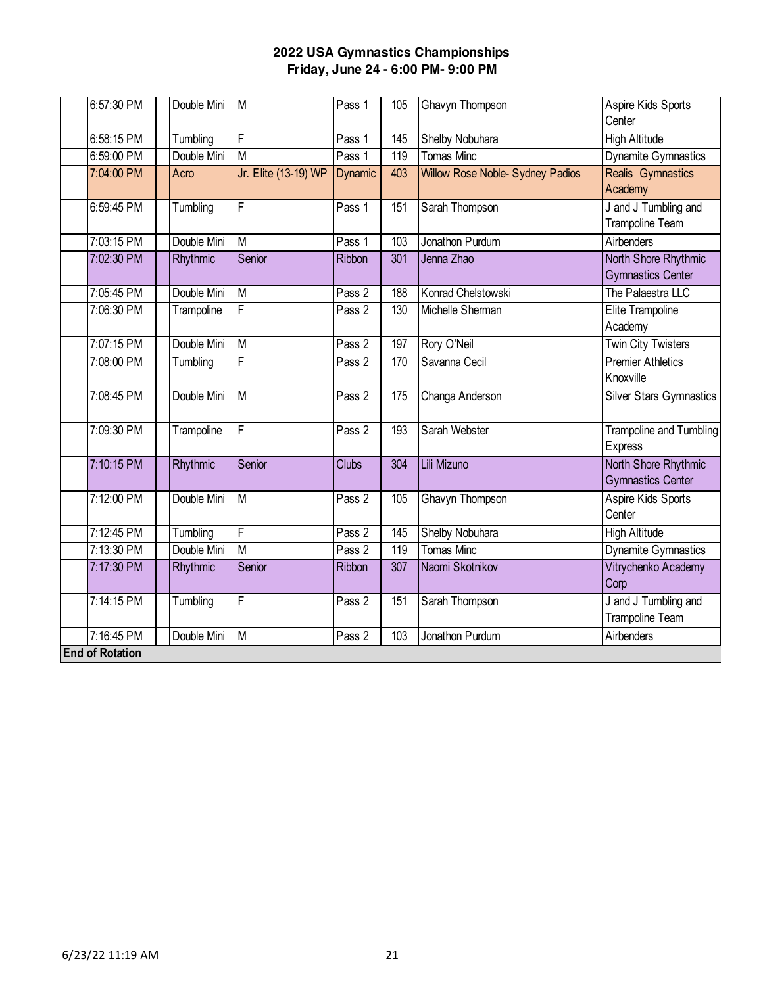| 6:57:30 PM             | Double Mini | <b>M</b>                | Pass 1            | 105              | Ghavyn Thompson                  | Aspire Kids Sports<br>Center                     |
|------------------------|-------------|-------------------------|-------------------|------------------|----------------------------------|--------------------------------------------------|
| 6:58:15 PM             | Tumbling    | F                       | Pass 1            | 145              | Shelby Nobuhara                  | <b>High Altitude</b>                             |
| 6:59:00 PM             | Double Mini | M                       | Pass 1            | 119              | <b>Tomas Minc</b>                | Dynamite Gymnastics                              |
| 7:04:00 PM             | Acro        | Jr. Elite (13-19) WP    | Dynamic           | 403              | Willow Rose Noble- Sydney Padios | Realis Gymnastics<br>Academy                     |
| 6:59:45 PM             | Tumbling    | F                       | Pass 1            | 151              | Sarah Thompson                   | J and J Tumbling and<br>Trampoline Team          |
| 7:03:15 PM             | Double Mini | $\overline{\mathsf{M}}$ | Pass <sub>1</sub> | 103              | Jonathon Purdum                  | Airbenders                                       |
| 7:02:30 PM             | Rhythmic    | Senior                  | <b>Ribbon</b>     | 301              | Jenna Zhao                       | North Shore Rhythmic<br><b>Gymnastics Center</b> |
| 7:05:45 PM             | Double Mini | $\overline{M}$          | Pass 2            | 188              | Konrad Chelstowski               | The Palaestra LLC                                |
| 7:06:30 PM             | Trampoline  | $\overline{F}$          | Pass <sub>2</sub> | 130              | Michelle Sherman                 | Elite Trampoline<br>Academy                      |
| 7:07:15 PM             | Double Mini | M                       | Pass <sub>2</sub> | 197              | Rory O'Neil                      | <b>Twin City Twisters</b>                        |
| 7:08:00 PM             | Tumbling    | $\overline{F}$          | Pass 2            | 170              | Savanna Cecil                    | <b>Premier Athletics</b><br>Knoxville            |
| 7:08:45 PM             | Double Mini | M                       | Pass <sub>2</sub> | $\overline{175}$ | Changa Anderson                  | <b>Silver Stars Gymnastics</b>                   |
| 7:09:30 PM             | Trampoline  | $\overline{\mathsf{F}}$ | Pass 2            | 193              | Sarah Webster                    | <b>Trampoline and Tumbling</b><br><b>Express</b> |
| 7:10:15 PM             | Rhythmic    | Senior                  | Clubs             | 304              | Lili Mizuno                      | North Shore Rhythmic<br><b>Gymnastics Center</b> |
| 7:12:00 PM             | Double Mini | $\overline{\mathsf{M}}$ | Pass 2            | 105              | Ghavyn Thompson                  | Aspire Kids Sports<br>Center                     |
| 7:12:45 PM             | Tumbling    | F                       | Pass 2            | 145              | Shelby Nobuhara                  | <b>High Altitude</b>                             |
| 7:13:30 PM             | Double Mini | $\overline{M}$          | Pass 2            | 119              | <b>Tomas Minc</b>                | <b>Dynamite Gymnastics</b>                       |
| 7:17:30 PM             | Rhythmic    | Senior                  | Ribbon            | 307              | Naomi Skotnikov                  | Vitrychenko Academy<br>Corp                      |
| 7:14:15 PM             | Tumbling    | $\overline{\mathsf{F}}$ | Pass 2            | 151              | Sarah Thompson                   | J and J Tumbling and<br>Trampoline Team          |
| 7:16:45 PM             | Double Mini | M                       | Pass 2            | 103              | Jonathon Purdum                  | Airbenders                                       |
| <b>End of Rotation</b> |             |                         |                   |                  |                                  |                                                  |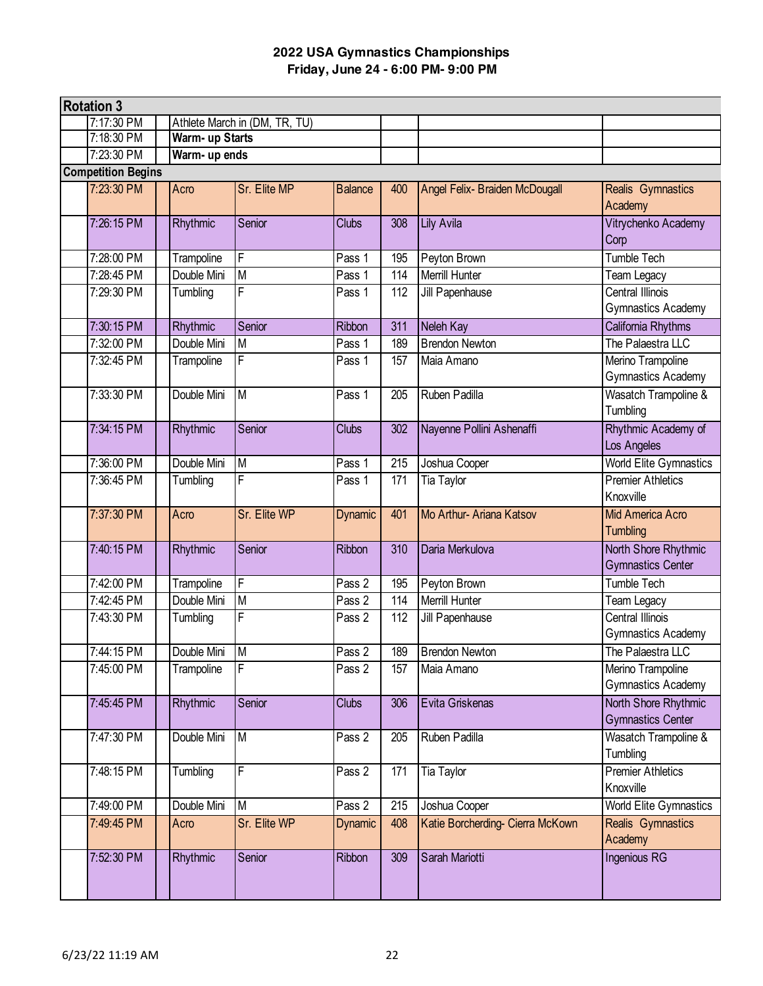| <b>Rotation 3</b>         |  |                 |                               |                   |     |                                  |                                                  |  |  |  |
|---------------------------|--|-----------------|-------------------------------|-------------------|-----|----------------------------------|--------------------------------------------------|--|--|--|
| 7:17:30 PM                |  |                 | Athlete March in (DM, TR, TU) |                   |     |                                  |                                                  |  |  |  |
| 7:18:30 PM                |  | Warm- up Starts |                               |                   |     |                                  |                                                  |  |  |  |
| 7:23:30 PM                |  | Warm- up ends   |                               |                   |     |                                  |                                                  |  |  |  |
| <b>Competition Begins</b> |  |                 |                               |                   |     |                                  |                                                  |  |  |  |
| 7:23:30 PM                |  | Acro            | Sr. Elite MP                  | <b>Balance</b>    | 400 | Angel Felix- Braiden McDougall   | Realis Gymnastics<br>Academy                     |  |  |  |
| 7:26:15 PM                |  | Rhythmic        | Senior                        | <b>Clubs</b>      | 308 | <b>Lily Avila</b>                | Vitrychenko Academy<br>Corp                      |  |  |  |
| 7:28:00 PM                |  | Trampoline      | F                             | Pass 1            | 195 | Peyton Brown                     | Tumble Tech                                      |  |  |  |
| 7:28:45 PM                |  | Double Mini     | M                             | Pass 1            | 114 | Merrill Hunter                   | Team Legacy                                      |  |  |  |
| 7:29:30 PM                |  | Tumbling        | F                             | Pass 1            | 112 | Jill Papenhause                  | Central Illinois<br>Gymnastics Academy           |  |  |  |
| 7:30:15 PM                |  | Rhythmic        | Senior                        | Ribbon            | 311 | Neleh Kay                        | California Rhythms                               |  |  |  |
| 7:32:00 PM                |  | Double Mini     | M                             | Pass 1            | 189 | <b>Brendon Newton</b>            | The Palaestra LLC                                |  |  |  |
| 7:32:45 PM                |  | Trampoline      | F                             | Pass 1            | 157 | Maia Amano                       | Merino Trampoline<br>Gymnastics Academy          |  |  |  |
| 7:33:30 PM                |  | Double Mini     | M                             | Pass <sub>1</sub> | 205 | Ruben Padilla                    | <b>Wasatch Trampoline &amp;</b><br>Tumbling      |  |  |  |
| 7:34:15 PM                |  | Rhythmic        | Senior                        | <b>Clubs</b>      | 302 | Nayenne Pollini Ashenaffi        | Rhythmic Academy of<br>Los Angeles               |  |  |  |
| 7:36:00 PM                |  | Double Mini     | M                             | Pass 1            | 215 | Joshua Cooper                    | <b>World Elite Gymnastics</b>                    |  |  |  |
| 7:36:45 PM                |  | Tumbling        | F                             | Pass 1            | 171 | Tia Taylor                       | <b>Premier Athletics</b><br>Knoxville            |  |  |  |
| 7:37:30 PM                |  | Acro            | Sr. Elite WP                  | Dynamic           | 401 | Mo Arthur- Ariana Katsov         | Mid America Acro<br><b>Tumbling</b>              |  |  |  |
| 7:40:15 PM                |  | Rhythmic        | Senior                        | Ribbon            | 310 | Daria Merkulova                  | North Shore Rhythmic<br><b>Gymnastics Center</b> |  |  |  |
| 7:42:00 PM                |  | Trampoline      | F                             | Pass 2            | 195 | Peyton Brown                     | Tumble Tech                                      |  |  |  |
| 7:42:45 PM                |  | Double Mini     | $\overline{M}$                | Pass 2            | 114 | <b>Merrill Hunter</b>            | Team Legacy                                      |  |  |  |
| 7:43:30 PM                |  | Tumbling        | F                             | Pass 2            | 112 | Jill Papenhause                  | <b>Central Illinois</b><br>Gymnastics Academy    |  |  |  |
| 7:44:15 PM                |  | Double Mini     | $\mathsf{M}$                  | Pass 2            | 189 | <b>Brendon Newton</b>            | The Palaestra LLC                                |  |  |  |
| 7:45:00 PM                |  | Trampoline      | F                             | Pass 2            | 157 | Maia Amano                       | Merino Trampoline<br>Gymnastics Academy          |  |  |  |
| 7:45:45 PM                |  | Rhythmic        | Senior                        | <b>Clubs</b>      | 306 | Evita Griskenas                  | North Shore Rhythmic<br><b>Gymnastics Center</b> |  |  |  |
| 7:47:30 PM                |  | Double Mini     | M                             | Pass 2            | 205 | Ruben Padilla                    | Wasatch Trampoline &<br>Tumbling                 |  |  |  |
| 7:48:15 PM                |  | Tumbling        | F                             | Pass 2            | 171 | Tia Taylor                       | <b>Premier Athletics</b><br>Knoxville            |  |  |  |
| 7:49:00 PM                |  | Double Mini     | M                             | $P$ ass 2         | 215 | Joshua Cooper                    | <b>World Elite Gymnastics</b>                    |  |  |  |
| 7:49:45 PM                |  | Acro            | Sr. Elite WP                  | Dynamic           | 408 | Katie Borcherding- Cierra McKown | Realis Gymnastics<br>Academy                     |  |  |  |
| 7:52:30 PM                |  | Rhythmic        | Senior                        | Ribbon            | 309 | Sarah Mariotti                   | Ingenious RG                                     |  |  |  |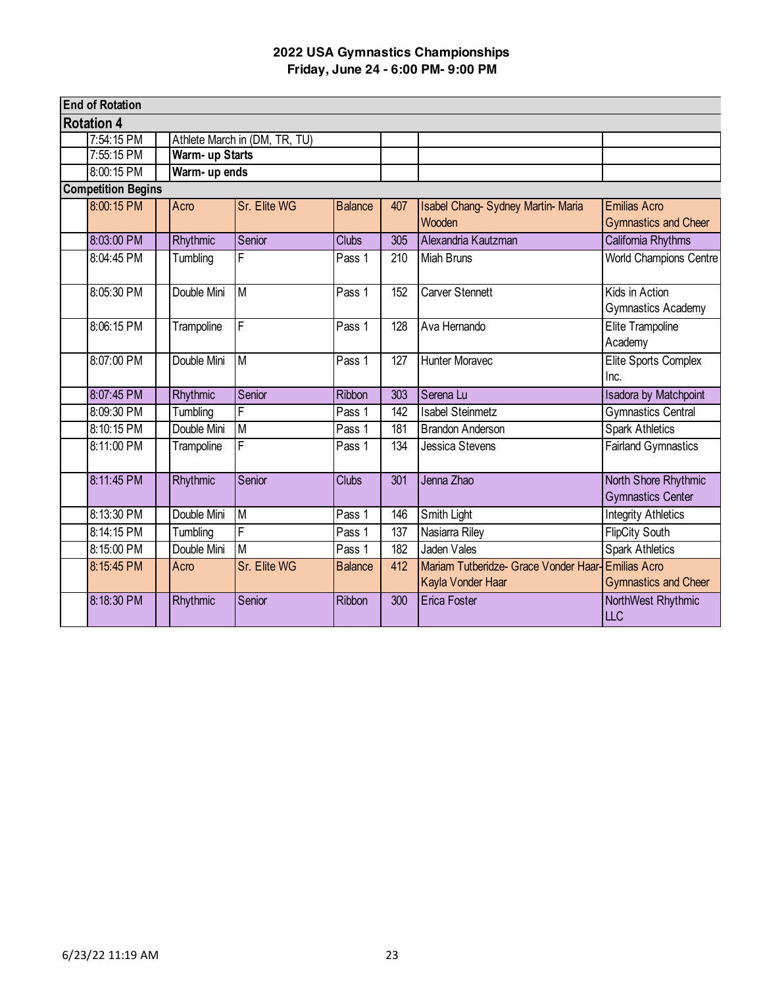| <b>End of Rotation</b>    |                 |                               |                |                  |                                                            |                                                    |
|---------------------------|-----------------|-------------------------------|----------------|------------------|------------------------------------------------------------|----------------------------------------------------|
| <b>Rotation 4</b>         |                 |                               |                |                  |                                                            |                                                    |
| 7:54:15 PM                |                 | Athlete March in (DM, TR, TU) |                |                  |                                                            |                                                    |
| 7:55:15 PM                | Warm- up Starts |                               |                |                  |                                                            |                                                    |
| 8:00:15 PM                | Warm- up ends   |                               |                |                  |                                                            |                                                    |
| <b>Competition Begins</b> |                 |                               |                |                  |                                                            |                                                    |
| 8:00:15 PM                | Acro            | Sr. Elite WG                  | <b>Balance</b> | 407              | Isabel Chang-Sydney Martin-Maria<br>Wooden                 | <b>Emilias Acro</b><br><b>Gymnastics and Cheer</b> |
| 8:03:00 PM                | Rhythmic        | Senior                        | <b>Clubs</b>   | 305              | Alexandria Kautzman                                        | California Rhythms                                 |
| 8:04:45 PM                | Tumbling        | F                             | Pass 1         | 210              | <b>Miah Bruns</b>                                          | <b>World Champions Centre</b>                      |
| 8:05:30 PM                | Double Mini     | $\overline{M}$                | Pass 1         | 152              | <b>Carver Stennett</b>                                     | Kids in Action<br>Gymnastics Academy               |
| 8:06:15 PM                | Trampoline      | F                             | Pass 1         | 128              | Ava Hernando                                               | <b>Elite Trampoline</b><br>Academy                 |
| 8:07:00 PM                | Double Mini     | M                             | Pass 1         | 127              | <b>Hunter Moravec</b>                                      | Elite Sports Complex<br>Inc.                       |
| 8:07:45 PM                | Rhythmic        | Senior                        | <b>Ribbon</b>  | $\overline{303}$ | Serena Lu                                                  | <b>Isadora by Matchpoint</b>                       |
| 8:09:30 PM                | Tumbling        | F                             | Pass 1         | 142              | <b>Isabel Steinmetz</b>                                    | <b>Gymnastics Central</b>                          |
| 8:10:15 PM                | Double Mini     | M                             | Pass 1         | $\overline{181}$ | <b>Brandon Anderson</b>                                    | <b>Spark Athletics</b>                             |
| 8:11:00 PM                | Trampoline      | F                             | Pass 1         | 134              | Jessica Stevens                                            | <b>Fairland Gymnastics</b>                         |
| 8:11:45 PM                | Rhythmic        | Senior                        | <b>Clubs</b>   | 301              | Jenna Zhao                                                 | North Shore Rhythmic<br><b>Gymnastics Center</b>   |
| 8:13:30 PM                | Double Mini     | M                             | Pass 1         | 146              | Smith Light                                                | <b>Integrity Athletics</b>                         |
| 8:14:15 PM                | Tumbling        | F                             | Pass 1         | 137              | Nasiarra Riley                                             | <b>FlipCity South</b>                              |
| 8:15:00 PM                | Double Mini     | M                             | Pass 1         | 182              | <b>Jaden Vales</b>                                         | <b>Spark Athletics</b>                             |
| 8:15:45 PM                | Acro            | Sr. Elite WG                  | <b>Balance</b> | 412              | Mariam Tutberidze- Grace Vonder Haar-<br>Kayla Vonder Haar | <b>Emilias Acro</b><br><b>Gymnastics and Cheer</b> |
| 8:18:30 PM                | Rhythmic        | Senior                        | <b>Ribbon</b>  | $\overline{300}$ | <b>Erica Foster</b>                                        | NorthWest Rhythmic<br>LLC                          |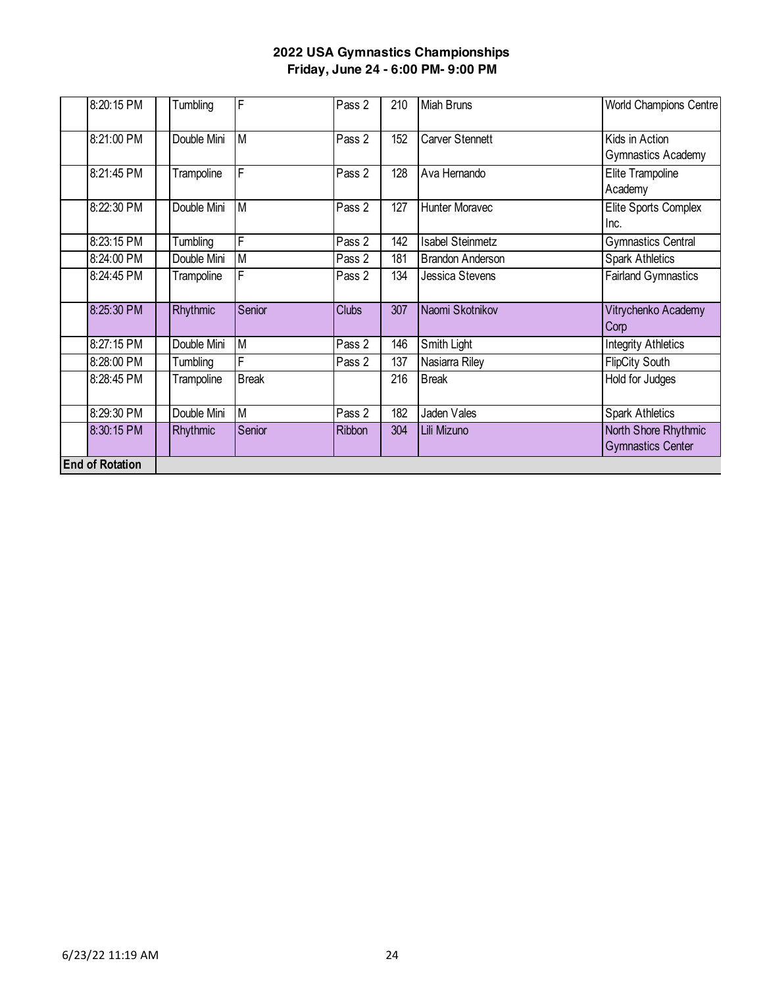| 8:20:15 PM             | Tumbling    | F                       | Pass 2        | 210 | <b>Miah Bruns</b>       | World Champions Centre                           |
|------------------------|-------------|-------------------------|---------------|-----|-------------------------|--------------------------------------------------|
| 8:21:00 PM             | Double Mini | M                       | Pass 2        | 152 | Carver Stennett         | Kids in Action<br>Gymnastics Academy             |
| 8:21:45 PM             | Trampoline  | F                       | Pass 2        | 128 | Ava Hernando            | Elite Trampoline<br>Academy                      |
| 8:22:30 PM             | Double Mini | M                       | Pass 2        | 127 | <b>Hunter Moravec</b>   | Elite Sports Complex<br>Inc.                     |
| 8:23:15 PM             | Tumbling    | F                       | Pass 2        | 142 | <b>Isabel Steinmetz</b> | <b>Gymnastics Central</b>                        |
| 8:24:00 PM             | Double Mini | M                       | Pass 2        | 181 | <b>Brandon Anderson</b> | <b>Spark Athletics</b>                           |
| 8:24:45 PM             | Trampoline  | F                       | Pass 2        | 134 | Jessica Stevens         | <b>Fairland Gymnastics</b>                       |
| 8:25:30 PM             | Rhythmic    | Senior                  | <b>Clubs</b>  | 307 | Naomi Skotnikov         | Vitrychenko Academy<br>Corp                      |
| 8:27:15 PM             | Double Mini | M                       | Pass 2        | 146 | Smith Light             | <b>Integrity Athletics</b>                       |
| 8:28:00 PM             | Tumbling    | F                       | Pass 2        | 137 | Nasiarra Riley          | <b>FlipCity South</b>                            |
| 8:28:45 PM             | Trampoline  | <b>Break</b>            |               | 216 | <b>Break</b>            | Hold for Judges                                  |
| 8:29:30 PM             | Double Mini | $\overline{\mathsf{M}}$ | Pass 2        | 182 | Jaden Vales             | <b>Spark Athletics</b>                           |
| 8:30:15 PM             | Rhythmic    | Senior                  | <b>Ribbon</b> | 304 | Lili Mizuno             | North Shore Rhythmic<br><b>Gymnastics Center</b> |
| <b>End of Rotation</b> |             |                         |               |     |                         |                                                  |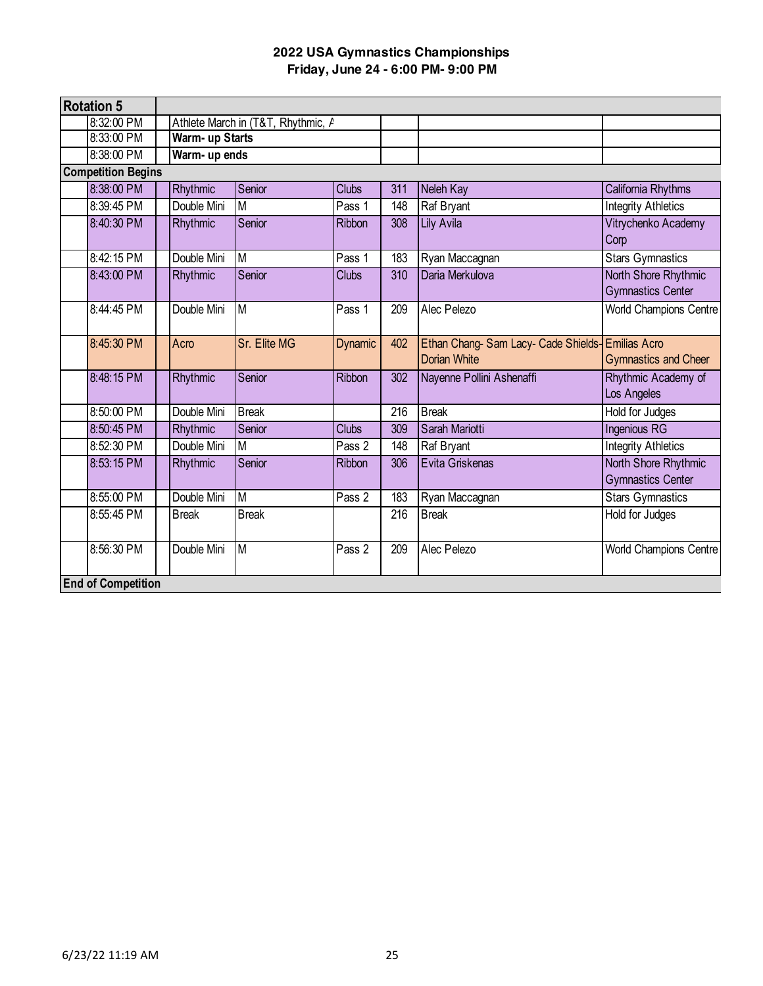| <b>Rotation 5</b>         |                 |                                    |              |     |                                                           |                                                    |
|---------------------------|-----------------|------------------------------------|--------------|-----|-----------------------------------------------------------|----------------------------------------------------|
| 8:32:00 PM                |                 | Athlete March in (T&T, Rhythmic, A |              |     |                                                           |                                                    |
| 8:33:00 PM                | Warm- up Starts |                                    |              |     |                                                           |                                                    |
| 8:38:00 PM                | Warm- up ends   |                                    |              |     |                                                           |                                                    |
| <b>Competition Begins</b> |                 |                                    |              |     |                                                           |                                                    |
| 8:38:00 PM                | Rhythmic        | Senior                             | <b>Clubs</b> | 311 | Neleh Kay                                                 | California Rhythms                                 |
| 8:39:45 PM                | Double Mini     | M                                  | Pass 1       | 148 | Raf Bryant                                                | <b>Integrity Athletics</b>                         |
| 8:40:30 PM                | Rhythmic        | Senior                             | Ribbon       | 308 | <b>Lily Avila</b>                                         | Vitrychenko Academy<br>Corp                        |
| 8:42:15 PM                | Double Mini     | M                                  | Pass 1       | 183 | Ryan Maccagnan                                            | <b>Stars Gymnastics</b>                            |
| 8:43:00 PM                | Rhythmic        | Senior                             | <b>Clubs</b> | 310 | Daria Merkulova                                           | North Shore Rhythmic<br><b>Gymnastics Center</b>   |
| 8:44:45 PM                | Double Mini     | M                                  | Pass 1       | 209 | Alec Pelezo                                               | World Champions Centre                             |
| 8:45:30 PM                | Acro            | Sr. Elite MG                       | Dynamic      | 402 | Ethan Chang-Sam Lacy-Cade Shields-<br><b>Dorian White</b> | <b>Emilias Acro</b><br><b>Gymnastics and Cheer</b> |
| 8:48:15 PM                | Rhythmic        | Senior                             | Ribbon       | 302 | Nayenne Pollini Ashenaffi                                 | Rhythmic Academy of<br>Los Angeles                 |
| 8:50:00 PM                | Double Mini     | <b>Break</b>                       |              | 216 | <b>Break</b>                                              | Hold for Judges                                    |
| 8:50:45 PM                | Rhythmic        | Senior                             | <b>Clubs</b> | 309 | Sarah Mariotti                                            | Ingenious RG                                       |
| 8:52:30 PM                | Double Mini     | M                                  | Pass 2       | 148 | Raf Bryant                                                | <b>Integrity Athletics</b>                         |
| 8:53:15 PM                | Rhythmic        | Senior                             | Ribbon       | 306 | Evita Griskenas                                           | North Shore Rhythmic<br><b>Gymnastics Center</b>   |
| 8:55:00 PM                | Double Mini     | $\overline{M}$                     | Pass 2       | 183 | Ryan Maccagnan                                            | <b>Stars Gymnastics</b>                            |
| 8:55:45 PM                | <b>Break</b>    | <b>Break</b>                       |              | 216 | <b>Break</b>                                              | Hold for Judges                                    |
| 8:56:30 PM                | Double Mini     | $\overline{M}$                     | Pass 2       | 209 | Alec Pelezo                                               | World Champions Centre                             |
| <b>End of Competition</b> |                 |                                    |              |     |                                                           |                                                    |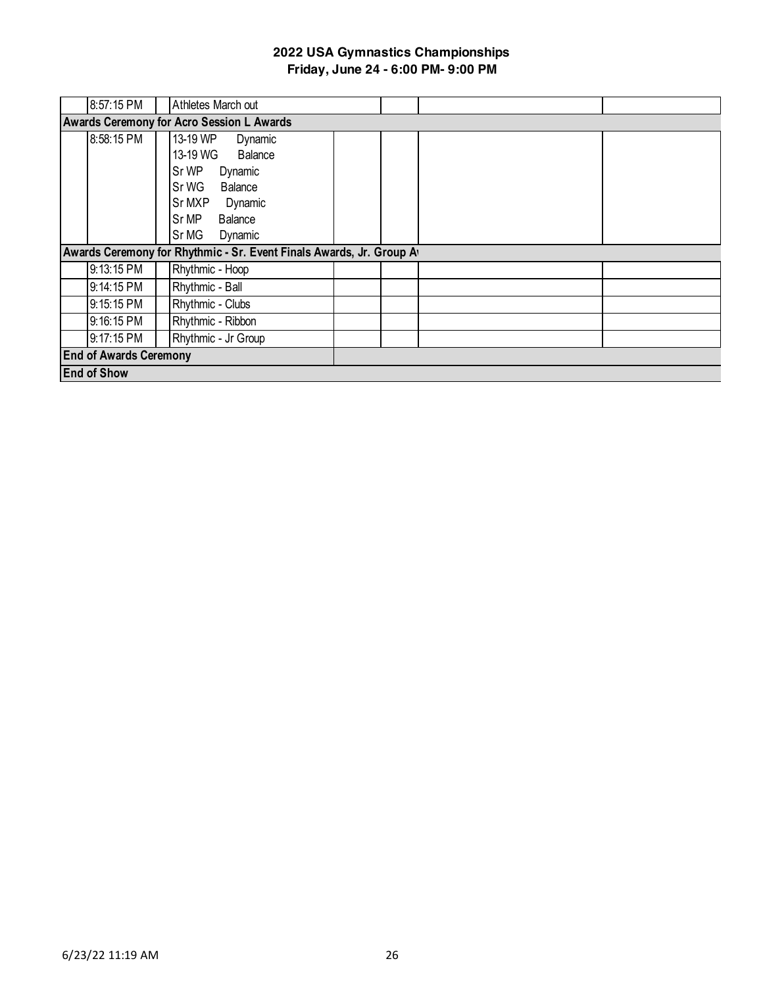| 8:57:15 PM                    | Athletes March out                                                  |
|-------------------------------|---------------------------------------------------------------------|
|                               | <b>Awards Ceremony for Acro Session L Awards</b>                    |
| 8:58:15 PM                    | 13-19 WP<br>Dynamic                                                 |
|                               | 13-19 WG<br><b>Balance</b>                                          |
|                               | Sr WP<br>Dynamic                                                    |
|                               | Sr WG<br>Balance                                                    |
|                               | Sr MXP<br>Dynamic                                                   |
|                               | Sr MP<br><b>Balance</b>                                             |
|                               | Sr MG<br>Dynamic                                                    |
|                               | Awards Ceremony for Rhythmic - Sr. Event Finals Awards, Jr. Group A |
| 9:13:15 PM                    | Rhythmic - Hoop                                                     |
| 9:14:15 PM                    | Rhythmic - Ball                                                     |
| 9:15:15 PM                    | Rhythmic - Clubs                                                    |
| 9:16:15 PM                    | Rhythmic - Ribbon                                                   |
| 9:17:15 PM                    | Rhythmic - Jr Group                                                 |
| <b>End of Awards Ceremony</b> |                                                                     |
| <b>End of Show</b>            |                                                                     |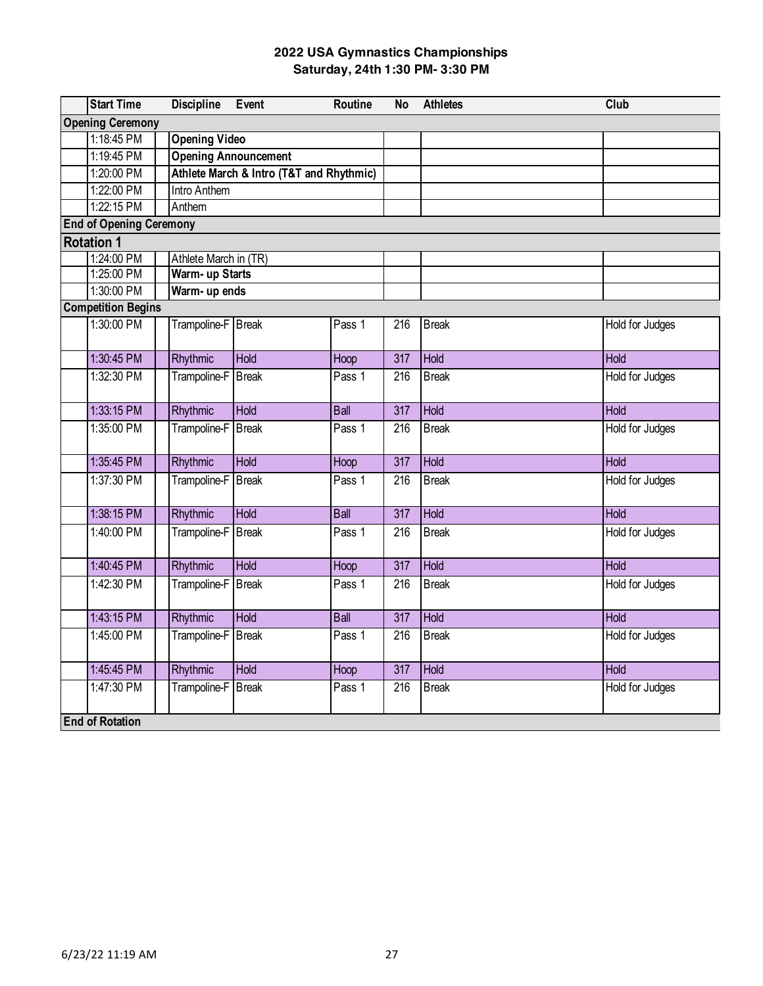|                   | <b>Start Time</b>              | <b>Discipline</b>           | Event                                    | Routine     | <b>No</b>        | <b>Athletes</b> | Club                   |  |  |  |
|-------------------|--------------------------------|-----------------------------|------------------------------------------|-------------|------------------|-----------------|------------------------|--|--|--|
|                   | <b>Opening Ceremony</b>        |                             |                                          |             |                  |                 |                        |  |  |  |
|                   | 1:18:45 PM                     | <b>Opening Video</b>        |                                          |             |                  |                 |                        |  |  |  |
|                   | 1:19:45 PM                     | <b>Opening Announcement</b> |                                          |             |                  |                 |                        |  |  |  |
|                   | 1:20:00 PM                     |                             | Athlete March & Intro (T&T and Rhythmic) |             |                  |                 |                        |  |  |  |
|                   | 1:22:00 PM                     | <b>Intro Anthem</b>         |                                          |             |                  |                 |                        |  |  |  |
|                   | 1:22:15 PM                     | Anthem                      |                                          |             |                  |                 |                        |  |  |  |
|                   | <b>End of Opening Ceremony</b> |                             |                                          |             |                  |                 |                        |  |  |  |
| <b>Rotation 1</b> |                                |                             |                                          |             |                  |                 |                        |  |  |  |
|                   | 1:24:00 PM                     | Athlete March in (TR)       |                                          |             |                  |                 |                        |  |  |  |
|                   | 1:25:00 PM                     | Warm- up Starts             |                                          |             |                  |                 |                        |  |  |  |
|                   | 1:30:00 PM                     | Warm- up ends               |                                          |             |                  |                 |                        |  |  |  |
|                   | <b>Competition Begins</b>      |                             |                                          |             |                  |                 |                        |  |  |  |
|                   | 1:30:00 PM                     | Trampoline-F Break          |                                          | Pass 1      | 216              | <b>Break</b>    | Hold for Judges        |  |  |  |
|                   | 1:30:45 PM                     | Rhythmic                    | <b>Hold</b>                              | Hoop        | $\overline{317}$ | <b>Hold</b>     | Hold                   |  |  |  |
|                   | 1:32:30 PM                     | Trampoline-F                | <b>Break</b>                             | Pass 1      | 216              | <b>Break</b>    | <b>Hold for Judges</b> |  |  |  |
|                   | 1:33:15 PM                     | Rhythmic                    | <b>Hold</b>                              | <b>Ball</b> | $\overline{317}$ | Hold            | Hold                   |  |  |  |
|                   | 1:35:00 PM                     | Trampoline-F                | <b>Break</b>                             | Pass 1      | 216              | <b>Break</b>    | Hold for Judges        |  |  |  |
|                   | 1:35:45 PM                     | <b>Rhythmic</b>             | <b>Hold</b>                              | Hoop        | $\overline{317}$ | <b>Hold</b>     | <b>Hold</b>            |  |  |  |
|                   | 1:37:30 PM                     | Trampoline-F                | <b>Break</b>                             | Pass 1      | $\overline{216}$ | <b>Break</b>    | <b>Hold for Judges</b> |  |  |  |
|                   | 1:38:15 PM                     | Rhythmic                    | <b>Hold</b>                              | <b>Ball</b> | $\overline{317}$ | Hold            | <b>Hold</b>            |  |  |  |
|                   | 1:40:00 PM                     | Trampoline-F                | <b>Break</b>                             | Pass 1      | 216              | <b>Break</b>    | Hold for Judges        |  |  |  |
|                   | 1:40:45 PM                     | <b>Rhythmic</b>             | <b>Hold</b>                              | Hoop        | $\overline{317}$ | <b>Hold</b>     | <b>Hold</b>            |  |  |  |
|                   | 1:42:30 PM                     | Trampoline-F                | <b>Break</b>                             | Pass 1      | 216              | <b>Break</b>    | <b>Hold for Judges</b> |  |  |  |
|                   | 1:43:15 PM                     | Rhythmic                    | <b>Hold</b>                              | <b>Ball</b> | $\overline{317}$ | Hold            | <b>Hold</b>            |  |  |  |
|                   | 1:45:00 PM                     | Trampoline-F                | <b>Break</b>                             | Pass 1      | $\overline{216}$ | <b>Break</b>    | Hold for Judges        |  |  |  |
|                   | 1:45:45 PM                     | Rhythmic                    | <b>Hold</b>                              | Hoop        | $\overline{317}$ | <b>Hold</b>     | Hold                   |  |  |  |
|                   | 1:47:30 PM                     | Trampoline-F                | <b>Break</b>                             | Pass 1      | $\overline{216}$ | <b>Break</b>    | <b>Hold for Judges</b> |  |  |  |
|                   | <b>End of Rotation</b>         |                             |                                          |             |                  |                 |                        |  |  |  |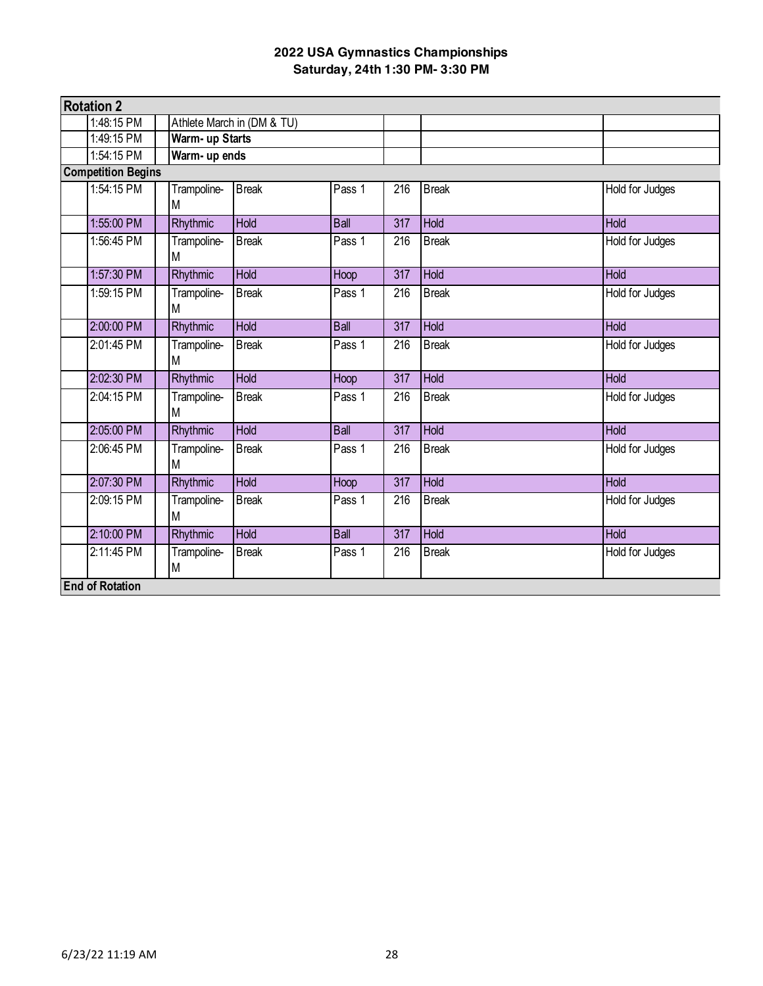| <b>Rotation 2</b>         |  |                            |              |             |                  |              |                        |  |
|---------------------------|--|----------------------------|--------------|-------------|------------------|--------------|------------------------|--|
| 1:48:15 PM                |  | Athlete March in (DM & TU) |              |             |                  |              |                        |  |
| 1:49:15 PM                |  | Warm- up Starts            |              |             |                  |              |                        |  |
| 1:54:15 PM                |  | Warm- up ends              |              |             |                  |              |                        |  |
| <b>Competition Begins</b> |  |                            |              |             |                  |              |                        |  |
| 1:54:15 PM                |  | Trampoline-<br>M           | <b>Break</b> | Pass 1      | 216              | <b>Break</b> | Hold for Judges        |  |
| 1:55:00 PM                |  | <b>Rhythmic</b>            | <b>Hold</b>  | <b>Ball</b> | $\overline{317}$ | Hold         | <b>Hold</b>            |  |
| 1:56:45 PM                |  | Trampoline-<br>М           | <b>Break</b> | Pass 1      | 216              | <b>Break</b> | Hold for Judges        |  |
| 1:57:30 PM                |  | Rhythmic                   | <b>Hold</b>  | Hoop        | $\overline{317}$ | <b>Hold</b>  | <b>Hold</b>            |  |
| 1:59:15 PM                |  | Trampoline-<br>M           | <b>Break</b> | Pass 1      | 216              | <b>Break</b> | Hold for Judges        |  |
| 2:00:00 PM                |  | Rhythmic                   | <b>Hold</b>  | <b>Ball</b> | $\overline{317}$ | <b>Hold</b>  | <b>Hold</b>            |  |
| 2:01:45 PM                |  | Trampoline-<br>M           | <b>Break</b> | Pass 1      | 216              | <b>Break</b> | Hold for Judges        |  |
| 2:02:30 PM                |  | Rhythmic                   | Hold         | Hoop        | 317              | Hold         | Hold                   |  |
| 2:04:15 PM                |  | Trampoline-<br>M           | <b>Break</b> | Pass 1      | 216              | <b>Break</b> | Hold for Judges        |  |
| 2:05:00 PM                |  | Rhythmic                   | Hold         | <b>Ball</b> | 317              | Hold         | <b>Hold</b>            |  |
| 2:06:45 PM                |  | Trampoline-<br>M           | <b>Break</b> | Pass 1      | 216              | <b>Break</b> | Hold for Judges        |  |
| 2:07:30 PM                |  | Rhythmic                   | <b>Hold</b>  | Hoop        | 317              | Hold         | Hold                   |  |
| 2:09:15 PM                |  | Trampoline-<br>M           | <b>Break</b> | Pass 1      | $\overline{216}$ | <b>Break</b> | <b>Hold for Judges</b> |  |
| 2:10:00 PM                |  | Rhythmic                   | <b>Hold</b>  | <b>Ball</b> | 317              | Hold         | <b>Hold</b>            |  |
| 2:11:45 PM                |  | Trampoline-<br>M           | <b>Break</b> | Pass 1      | 216              | <b>Break</b> | Hold for Judges        |  |
| <b>End of Rotation</b>    |  |                            |              |             |                  |              |                        |  |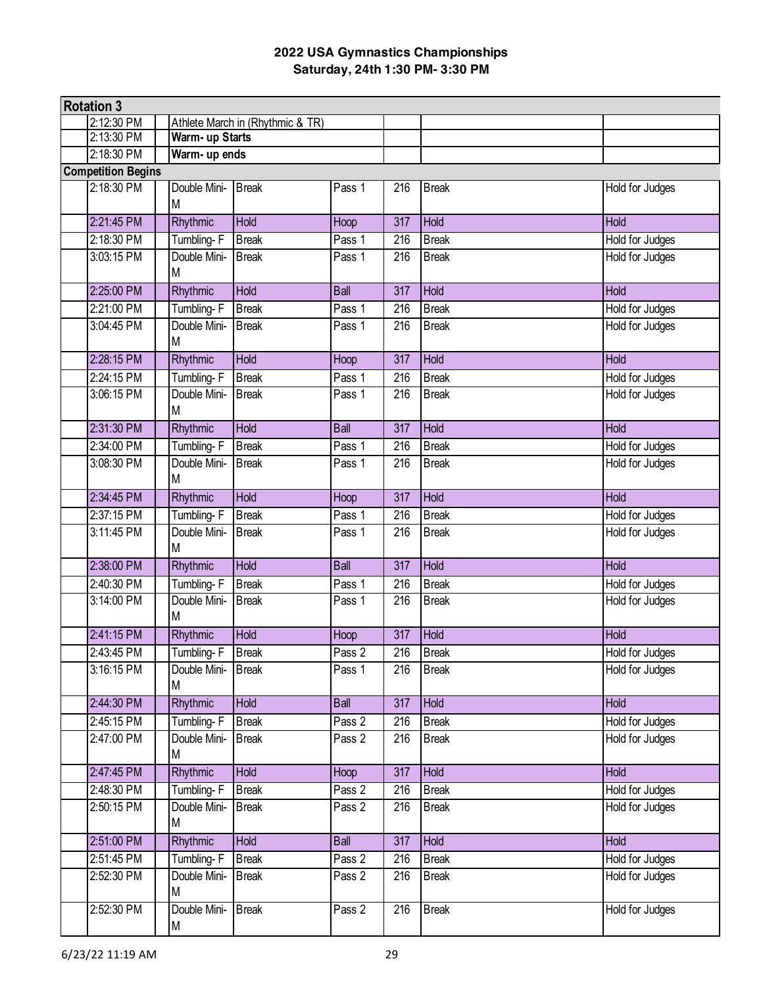| <b>Rotation 3</b>         |                   |                                  |             |                  |              |                        |
|---------------------------|-------------------|----------------------------------|-------------|------------------|--------------|------------------------|
| 2:12:30 PM                |                   | Athlete March in (Rhythmic & TR) |             |                  |              |                        |
| 2:13:30 PM                | Warm- up Starts   |                                  |             |                  |              |                        |
| 2:18:30 PM                |                   | Warm- up ends                    |             |                  |              |                        |
| <b>Competition Begins</b> |                   |                                  |             |                  |              |                        |
| 2:18:30 PM                | Double Mini-<br>M | <b>Break</b>                     | Pass 1      | 216              | <b>Break</b> | Hold for Judges        |
| 2:21:45 PM                | Rhythmic          | Hold                             | Hoop        | 317              | Hold         | Hold                   |
| 2:18:30 PM                | Tumbling-F        | <b>Break</b>                     | Pass 1      | 216              | <b>Break</b> | Hold for Judges        |
| 3:03:15 PM                | Double Mini-<br>M | <b>Break</b>                     | Pass 1      | 216              | <b>Break</b> | <b>Hold for Judges</b> |
| 2:25:00 PM                | Rhythmic          | <b>Hold</b>                      | <b>Ball</b> | $\overline{317}$ | <b>Hold</b>  | <b>Hold</b>            |
| 2:21:00 PM                | Tumbling-F        | <b>Break</b>                     | Pass 1      | 216              | <b>Break</b> | Hold for Judges        |
| 3:04:45 PM                | Double Mini-<br>M | <b>Break</b>                     | Pass 1      | 216              | <b>Break</b> | Hold for Judges        |
| 2:28:15 PM                | Rhythmic          | <b>Hold</b>                      | Hoop        | 317              | <b>Hold</b>  | <b>Hold</b>            |
| 2:24:15 PM                | Tumbling-F        | <b>Break</b>                     | Pass 1      | 216              | <b>Break</b> | Hold for Judges        |
| 3:06:15 PM                | Double Mini-<br>M | <b>Break</b>                     | Pass 1      | 216              | <b>Break</b> | Hold for Judges        |
| 2:31:30 PM                | Rhythmic          | Hold                             | Ball        | 317              | Hold         | Hold                   |
| 2:34:00 PM                | Tumbling-F        | <b>Break</b>                     | Pass 1      | 216              | <b>Break</b> | Hold for Judges        |
| 3:08:30 PM                | Double Mini-<br>M | <b>Break</b>                     | Pass 1      | 216              | <b>Break</b> | Hold for Judges        |
| 2:34:45 PM                | Rhythmic          | Hold                             | Hoop        | $\overline{317}$ | Hold         | Hold                   |
| 2:37:15 PM                | Tumbling-F        | <b>Break</b>                     | Pass 1      | 216              | <b>Break</b> | Hold for Judges        |
| 3:11:45 PM                | Double Mini-<br>M | <b>Break</b>                     | Pass 1      | 216              | <b>Break</b> | Hold for Judges        |
| 2:38:00 PM                | Rhythmic          | Hold                             | Ball        | 317              | Hold         | Hold                   |
| 2:40:30 PM                | Tumbling-F        | <b>Break</b>                     | Pass 1      | $\overline{216}$ | <b>Break</b> | <b>Hold for Judges</b> |
| 3:14:00 PM                | Double Mini-<br>M | <b>Break</b>                     | Pass 1      | 216              | <b>Break</b> | Hold for Judges        |
| 2:41:15 PM                | Rhythmic          | Hold                             | Hoop        | $\overline{317}$ | Hold         | Hold                   |
| 2:43:45 PM                | Tumbling-F        | <b>Break</b>                     | Pass 2      | 216              | <b>Break</b> | Hold for Judges        |
| 3:16:15 PM                | Double Mini-<br>Μ | <b>Break</b>                     | Pass 1      | 216              | <b>Break</b> | Hold for Judges        |
| 2:44:30 PM                | Rhythmic          | <b>Hold</b>                      | <b>Ball</b> | 317              | <b>Hold</b>  | Hold                   |
| 2:45:15 PM                | Tumbling-F        | <b>Break</b>                     | Pass 2      | 216              | <b>Break</b> | Hold for Judges        |
| 2:47:00 PM                | Double Mini-<br>M | <b>Break</b>                     | Pass 2      | 216              | <b>Break</b> | Hold for Judges        |
| 2:47:45 PM                | Rhythmic          | <b>Hold</b>                      | Hoop        | 317              | <b>Hold</b>  | Hold                   |
| 2:48:30 PM                | Tumbling-F        | <b>Break</b>                     | Pass 2      | 216              | <b>Break</b> | <b>Hold for Judges</b> |
| 2:50:15 PM                | Double Mini-<br>M | <b>Break</b>                     | Pass 2      | 216              | <b>Break</b> | Hold for Judges        |
| 2:51:00 PM                | Rhythmic          | Hold                             | <b>Ball</b> | 317              | Hold         | Hold                   |
| 2:51:45 PM                | Tumbling-F        | <b>Break</b>                     | Pass 2      | 216              | <b>Break</b> | Hold for Judges        |
| 2:52:30 PM                | Double Mini-<br>M | <b>Break</b>                     | Pass 2      | 216              | <b>Break</b> | Hold for Judges        |
| 2:52:30 PM                | Double Mini-<br>M | <b>Break</b>                     | Pass 2      | 216              | <b>Break</b> | Hold for Judges        |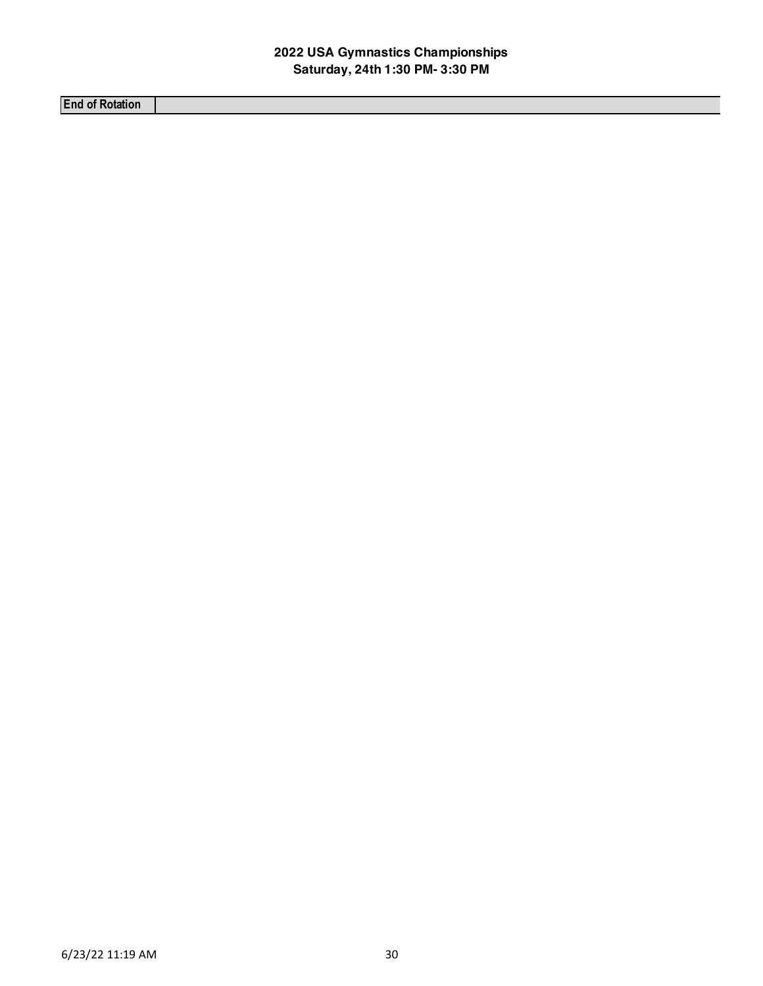**End of Rotation**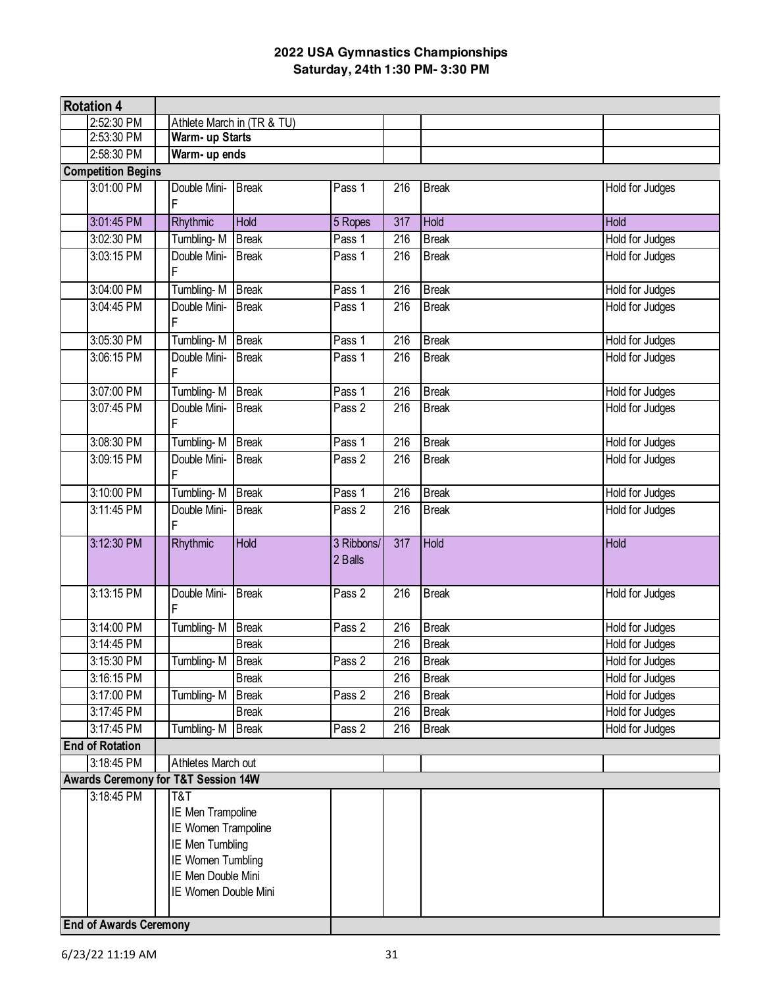|                               | <b>Rotation 4</b>         |                                                                                                                                       |                            |                       |                  |              |                        |
|-------------------------------|---------------------------|---------------------------------------------------------------------------------------------------------------------------------------|----------------------------|-----------------------|------------------|--------------|------------------------|
|                               | 2:52:30 PM                |                                                                                                                                       | Athlete March in (TR & TU) |                       |                  |              |                        |
|                               | 2:53:30 PM                | Warm- up Starts                                                                                                                       |                            |                       |                  |              |                        |
|                               | 2:58:30 PM                | Warm- up ends                                                                                                                         |                            |                       |                  |              |                        |
|                               | <b>Competition Begins</b> |                                                                                                                                       |                            |                       |                  |              |                        |
|                               | 3:01:00 PM                | Double Mini-<br>F                                                                                                                     | <b>Break</b>               | Pass 1                | 216              | <b>Break</b> | Hold for Judges        |
|                               | 3:01:45 PM                | Rhythmic                                                                                                                              | Hold                       | 5 Ropes               | 317              | Hold         | Hold                   |
|                               | 3:02:30 PM                | Tumbling-M                                                                                                                            | <b>Break</b>               | Pass 1                | $\overline{216}$ | <b>Break</b> | <b>Hold for Judges</b> |
|                               | 3:03:15 PM                | Double Mini-<br>F                                                                                                                     | <b>Break</b>               | Pass 1                | 216              | <b>Break</b> | Hold for Judges        |
|                               | 3:04:00 PM                | Tumbling-M                                                                                                                            | <b>Break</b>               | Pass 1                | $\overline{216}$ | <b>Break</b> | <b>Hold for Judges</b> |
|                               | 3:04:45 PM                | Double Mini-<br>F                                                                                                                     | <b>Break</b>               | Pass 1                | $\overline{216}$ | <b>Break</b> | <b>Hold for Judges</b> |
|                               | 3:05:30 PM                | Tumbling-M                                                                                                                            | <b>Break</b>               | Pass 1                | 216              | <b>Break</b> | Hold for Judges        |
|                               | 3:06:15 PM                | Double Mini-<br>F                                                                                                                     | <b>Break</b>               | Pass 1                | 216              | <b>Break</b> | <b>Hold for Judges</b> |
|                               | 3:07:00 PM                | Tumbling-M                                                                                                                            | <b>Break</b>               | Pass 1                | 216              | <b>Break</b> | Hold for Judges        |
|                               | 3:07:45 PM                | Double Mini-<br>F                                                                                                                     | <b>Break</b>               | Pass 2                | 216              | <b>Break</b> | Hold for Judges        |
|                               | 3:08:30 PM                | Tumbling-M                                                                                                                            | <b>Break</b>               | Pass 1                | 216              | <b>Break</b> | Hold for Judges        |
|                               | 3:09:15 PM                | Double Mini-<br>F                                                                                                                     | <b>Break</b>               | Pass 2                | 216              | <b>Break</b> | Hold for Judges        |
|                               | 3:10:00 PM                | Tumbling-M                                                                                                                            | <b>Break</b>               | Pass 1                | $\overline{216}$ | <b>Break</b> | Hold for Judges        |
|                               | 3:11:45 PM                | Double Mini-<br>F                                                                                                                     | <b>Break</b>               | Pass 2                | 216              | <b>Break</b> | Hold for Judges        |
|                               | 3:12:30 PM                | Rhythmic                                                                                                                              | <b>Hold</b>                | 3 Ribbons/<br>2 Balls | $\overline{317}$ | <b>Hold</b>  | <b>Hold</b>            |
|                               | 3:13:15 PM                | Double Mini-<br>F                                                                                                                     | <b>Break</b>               | Pass 2                | 216              | <b>Break</b> | Hold for Judges        |
|                               | 3:14:00 PM                | Tumbling-M                                                                                                                            | <b>Break</b>               | Pass 2                | $\overline{216}$ | <b>Break</b> | <b>Hold for Judges</b> |
|                               | 3:14:45 PM                |                                                                                                                                       | <b>Break</b>               |                       | 216              | <b>Break</b> | <b>Hold for Judges</b> |
|                               | 3:15:30 PM                | Tumbling-M                                                                                                                            | <b>Break</b>               | Pass 2                | $\overline{216}$ | <b>Break</b> | Hold for Judges        |
|                               | 3:16:15 PM                |                                                                                                                                       | <b>Break</b>               |                       | 216              | <b>Break</b> | Hold for Judges        |
|                               | 3:17:00 PM                | Tumbling-M                                                                                                                            | <b>Break</b>               | Pass 2                | $\overline{216}$ | <b>Break</b> | <b>Hold for Judges</b> |
|                               | 3:17:45 PM                |                                                                                                                                       | <b>Break</b>               |                       | 216              | <b>Break</b> | Hold for Judges        |
|                               | 3:17:45 PM                | Tumbling-M                                                                                                                            | <b>Break</b>               | Pass 2                | 216              | <b>Break</b> | Hold for Judges        |
|                               | <b>End of Rotation</b>    |                                                                                                                                       |                            |                       |                  |              |                        |
|                               | 3:18:45 PM                | Athletes March out                                                                                                                    |                            |                       |                  |              |                        |
|                               |                           | Awards Ceremony for T&T Session 14W                                                                                                   |                            |                       |                  |              |                        |
|                               | 3:18:45 PM                | T&T<br>IE Men Trampoline<br>IE Women Trampoline<br>IE Men Tumbling<br>IE Women Tumbling<br>IE Men Double Mini<br>IE Women Double Mini |                            |                       |                  |              |                        |
| <b>End of Awards Ceremony</b> |                           |                                                                                                                                       |                            |                       |                  |              |                        |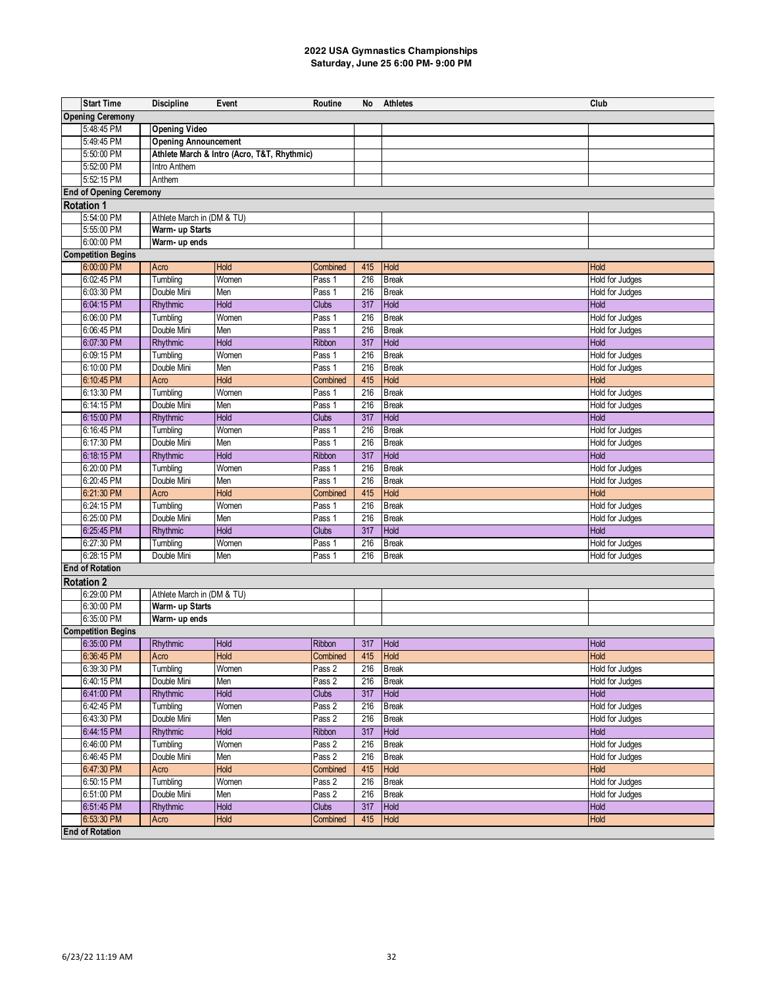| <b>Opening Ceremony</b><br>5:48:45 PM<br><b>Opening Video</b><br>5:49:45 PM<br><b>Opening Announcement</b><br>Athlete March & Intro (Acro, T&T, Rhythmic)<br>5:50:00 PM<br>5:52:00 PM<br>Intro Anthem<br>5:52:15 PM<br>Anthem<br><b>End of Opening Ceremony</b><br><b>Rotation 1</b><br>5:54:00 PM<br>Athlete March in (DM & TU)<br>5:55:00 PM<br>Warm- up Starts<br>6:00:00 PM<br>Warm- up ends<br><b>Competition Begins</b><br>6:00:00 PM<br>Hold<br>Acro<br>415<br>Hold<br>Hold<br>Combined<br>6:02:45 PM<br>Tumbling<br>Women<br>216<br><b>Break</b><br>Hold for Judges<br>Pass 1<br>Double Mini<br>6:03:30 PM<br>Men<br>216<br><b>Break</b><br>Hold for Judges<br>Pass 1<br>Hold<br>317<br>Hold<br>6:04:15 PM<br>Rhythmic<br><b>Clubs</b><br>Hold<br>6:06:00 PM<br>216<br>Tumbling<br>Women<br>Pass 1<br><b>Break</b><br>Hold for Judges<br>6:06:45 PM<br>Double Mini<br>Men<br>Pass 1<br>216<br><b>Break</b><br>Hold for Judges<br>6:07:30 PM<br>Hold<br>Hold<br>Hold<br>Rhythmic<br>Ribbon<br>317<br>216<br><b>Break</b><br>6:09:15 PM<br>Tumbling<br>Women<br>Pass 1<br>Hold for Judges<br>6:10:00 PM<br>Double Mini<br>Pass 1<br>216<br><b>Break</b><br>Men<br>Hold for Judges<br>6:10:45 PM<br>Hold<br>Hold<br>415<br><b>Hold</b><br>Acro<br>Combined<br>Tumbling<br>216<br>6:13:30 PM<br>Women<br>Pass 1<br><b>Break</b><br>Hold for Judges<br>Double Mini<br>6:14:15 PM<br>Men<br>Pass 1<br>216<br><b>Break</b><br>Hold for Judges<br>6:15:00 PM<br>Hold<br>Hold<br>Rhythmic<br><b>Clubs</b><br>317<br>Hold<br>6:16:45 PM<br>216<br>Tumbling<br>Women<br>Pass 1<br><b>Break</b><br>Hold for Judges<br>Double Mini<br>6:17:30 PM<br>Men<br>Pass 1<br>216<br><b>Break</b><br>Hold for Judges<br>Hold<br>Hold<br>Hold<br>6:18:15 PM<br>Rhythmic<br>Ribbon<br>317<br>6:20:00 PM<br>216<br>Tumbling<br>Women<br>Pass 1<br><b>Break</b><br>Hold for Judges<br>Double Mini<br>216<br>6:20:45 PM<br>Men<br>Pass 1<br><b>Break</b><br>Hold for Judges<br>6:21:30 PM<br>Hold<br>Hold<br>Acro<br>415<br>Hold<br>Combined<br>6:24:15 PM<br>Tumbling<br>Women<br>Pass 1<br>216<br><b>Break</b><br>Hold for Judges<br>Double Mini<br>6:25:00 PM<br>Men<br>216<br>Hold for Judges<br>Pass 1<br><b>Break</b><br>Hold<br>Rhythmic<br>317<br>Hold<br>6:25:45 PM<br><b>Clubs</b><br>Hold<br>6:27:30 PM<br>216<br>Tumbling<br>Women<br>Pass 1<br><b>Break</b><br>Hold for Judges<br>6:28:15 PM<br>Double Mini<br>216<br>Hold for Judges<br>Men<br>Pass 1<br><b>Break</b><br><b>End of Rotation</b><br><b>Rotation 2</b><br>6:29:00 PM<br>Athlete March in (DM & TU)<br>6:30:00 PM<br>Warm- up Starts<br>6:35:00 PM<br>Warm- up ends<br><b>Competition Begins</b><br>6:35:00 PM<br>Ribbon<br>317<br>Rhythmic<br>Hold<br>Hold<br>Hold<br>Hold<br>415 Hold<br>Hold<br>6:36:45 PM<br>Acro<br>Combined<br>6:39:30 PM<br>Pass 2<br>Tumbling<br>Women<br>216<br><b>Break</b><br>Hold for Judges<br>Double Mini<br>6:40:15 PM<br>Men<br>Pass 2<br>216<br><b>Break</b><br>Hold for Judges<br>6:41:00 PM<br>Hold<br>Hold<br>Rhythmic<br>Clubs<br>317<br><b>Hold</b><br>6:42:45 PM<br>Tumbling<br>Pass <sub>2</sub><br>216<br>Hold for Judges<br>Women<br><b>Break</b><br>Double Mini<br>6:43:30 PM<br>Men<br>Pass 2<br>216<br><b>Break</b><br>Hold for Judges<br>6:44:15 PM<br>Hold<br>Rhythmic<br>Ribbon<br>317<br>Hold<br><b>Hold</b><br>6:46:00 PM<br>Tumbling<br>Pass 2<br>216<br>Hold for Judges<br>Women<br><b>Break</b><br>6:46:45 PM<br>Double Mini<br>Pass 2<br>Men<br>216<br><b>Break</b><br>Hold for Judges<br>6:47:30 PM<br>Hold<br>Hold<br>Acro<br>Combined<br>415<br>Hold<br>6:50:15 PM<br>Tumbling<br>Pass 2<br>216<br>Hold for Judges<br>Women<br><b>Break</b><br>6:51:00 PM<br>Double Mini<br>Pass 2<br>216<br>Hold for Judges<br>Men<br><b>Break</b><br>6:51:45 PM<br>Rhythmic<br>Hold<br><b>Clubs</b><br>317<br>Hold<br>Hold<br>6:53:30 PM<br>Hold<br>415<br>Acro<br>Combined<br><b>Hold</b><br>Hold | <b>Start Time</b> | <b>Discipline</b> | Event | Routine | No | <b>Athletes</b> | Club |  |  |  |
|-------------------------------------------------------------------------------------------------------------------------------------------------------------------------------------------------------------------------------------------------------------------------------------------------------------------------------------------------------------------------------------------------------------------------------------------------------------------------------------------------------------------------------------------------------------------------------------------------------------------------------------------------------------------------------------------------------------------------------------------------------------------------------------------------------------------------------------------------------------------------------------------------------------------------------------------------------------------------------------------------------------------------------------------------------------------------------------------------------------------------------------------------------------------------------------------------------------------------------------------------------------------------------------------------------------------------------------------------------------------------------------------------------------------------------------------------------------------------------------------------------------------------------------------------------------------------------------------------------------------------------------------------------------------------------------------------------------------------------------------------------------------------------------------------------------------------------------------------------------------------------------------------------------------------------------------------------------------------------------------------------------------------------------------------------------------------------------------------------------------------------------------------------------------------------------------------------------------------------------------------------------------------------------------------------------------------------------------------------------------------------------------------------------------------------------------------------------------------------------------------------------------------------------------------------------------------------------------------------------------------------------------------------------------------------------------------------------------------------------------------------------------------------------------------------------------------------------------------------------------------------------------------------------------------------------------------------------------------------------------------------------------------------------------------------------------------------------------------------------------------------------------------------------------------------------------------------------------------------------------------------------------------------------------------------------------------------------------------------------------------------------------------------------------------------------------------------------------------------------------------------------------------------------------------------------------------------------------------------------------------------------------------------------------------------------------------------------------------------------------------------------------------------------------------------------------------------------------------------------------------------------------------------|-------------------|-------------------|-------|---------|----|-----------------|------|--|--|--|
|                                                                                                                                                                                                                                                                                                                                                                                                                                                                                                                                                                                                                                                                                                                                                                                                                                                                                                                                                                                                                                                                                                                                                                                                                                                                                                                                                                                                                                                                                                                                                                                                                                                                                                                                                                                                                                                                                                                                                                                                                                                                                                                                                                                                                                                                                                                                                                                                                                                                                                                                                                                                                                                                                                                                                                                                                                                                                                                                                                                                                                                                                                                                                                                                                                                                                                                                                                                                                                                                                                                                                                                                                                                                                                                                                                                                                                                                                                       |                   |                   |       |         |    |                 |      |  |  |  |
|                                                                                                                                                                                                                                                                                                                                                                                                                                                                                                                                                                                                                                                                                                                                                                                                                                                                                                                                                                                                                                                                                                                                                                                                                                                                                                                                                                                                                                                                                                                                                                                                                                                                                                                                                                                                                                                                                                                                                                                                                                                                                                                                                                                                                                                                                                                                                                                                                                                                                                                                                                                                                                                                                                                                                                                                                                                                                                                                                                                                                                                                                                                                                                                                                                                                                                                                                                                                                                                                                                                                                                                                                                                                                                                                                                                                                                                                                                       |                   |                   |       |         |    |                 |      |  |  |  |
|                                                                                                                                                                                                                                                                                                                                                                                                                                                                                                                                                                                                                                                                                                                                                                                                                                                                                                                                                                                                                                                                                                                                                                                                                                                                                                                                                                                                                                                                                                                                                                                                                                                                                                                                                                                                                                                                                                                                                                                                                                                                                                                                                                                                                                                                                                                                                                                                                                                                                                                                                                                                                                                                                                                                                                                                                                                                                                                                                                                                                                                                                                                                                                                                                                                                                                                                                                                                                                                                                                                                                                                                                                                                                                                                                                                                                                                                                                       |                   |                   |       |         |    |                 |      |  |  |  |
|                                                                                                                                                                                                                                                                                                                                                                                                                                                                                                                                                                                                                                                                                                                                                                                                                                                                                                                                                                                                                                                                                                                                                                                                                                                                                                                                                                                                                                                                                                                                                                                                                                                                                                                                                                                                                                                                                                                                                                                                                                                                                                                                                                                                                                                                                                                                                                                                                                                                                                                                                                                                                                                                                                                                                                                                                                                                                                                                                                                                                                                                                                                                                                                                                                                                                                                                                                                                                                                                                                                                                                                                                                                                                                                                                                                                                                                                                                       |                   |                   |       |         |    |                 |      |  |  |  |
|                                                                                                                                                                                                                                                                                                                                                                                                                                                                                                                                                                                                                                                                                                                                                                                                                                                                                                                                                                                                                                                                                                                                                                                                                                                                                                                                                                                                                                                                                                                                                                                                                                                                                                                                                                                                                                                                                                                                                                                                                                                                                                                                                                                                                                                                                                                                                                                                                                                                                                                                                                                                                                                                                                                                                                                                                                                                                                                                                                                                                                                                                                                                                                                                                                                                                                                                                                                                                                                                                                                                                                                                                                                                                                                                                                                                                                                                                                       |                   |                   |       |         |    |                 |      |  |  |  |
|                                                                                                                                                                                                                                                                                                                                                                                                                                                                                                                                                                                                                                                                                                                                                                                                                                                                                                                                                                                                                                                                                                                                                                                                                                                                                                                                                                                                                                                                                                                                                                                                                                                                                                                                                                                                                                                                                                                                                                                                                                                                                                                                                                                                                                                                                                                                                                                                                                                                                                                                                                                                                                                                                                                                                                                                                                                                                                                                                                                                                                                                                                                                                                                                                                                                                                                                                                                                                                                                                                                                                                                                                                                                                                                                                                                                                                                                                                       |                   |                   |       |         |    |                 |      |  |  |  |
|                                                                                                                                                                                                                                                                                                                                                                                                                                                                                                                                                                                                                                                                                                                                                                                                                                                                                                                                                                                                                                                                                                                                                                                                                                                                                                                                                                                                                                                                                                                                                                                                                                                                                                                                                                                                                                                                                                                                                                                                                                                                                                                                                                                                                                                                                                                                                                                                                                                                                                                                                                                                                                                                                                                                                                                                                                                                                                                                                                                                                                                                                                                                                                                                                                                                                                                                                                                                                                                                                                                                                                                                                                                                                                                                                                                                                                                                                                       |                   |                   |       |         |    |                 |      |  |  |  |
|                                                                                                                                                                                                                                                                                                                                                                                                                                                                                                                                                                                                                                                                                                                                                                                                                                                                                                                                                                                                                                                                                                                                                                                                                                                                                                                                                                                                                                                                                                                                                                                                                                                                                                                                                                                                                                                                                                                                                                                                                                                                                                                                                                                                                                                                                                                                                                                                                                                                                                                                                                                                                                                                                                                                                                                                                                                                                                                                                                                                                                                                                                                                                                                                                                                                                                                                                                                                                                                                                                                                                                                                                                                                                                                                                                                                                                                                                                       |                   |                   |       |         |    |                 |      |  |  |  |
|                                                                                                                                                                                                                                                                                                                                                                                                                                                                                                                                                                                                                                                                                                                                                                                                                                                                                                                                                                                                                                                                                                                                                                                                                                                                                                                                                                                                                                                                                                                                                                                                                                                                                                                                                                                                                                                                                                                                                                                                                                                                                                                                                                                                                                                                                                                                                                                                                                                                                                                                                                                                                                                                                                                                                                                                                                                                                                                                                                                                                                                                                                                                                                                                                                                                                                                                                                                                                                                                                                                                                                                                                                                                                                                                                                                                                                                                                                       |                   |                   |       |         |    |                 |      |  |  |  |
|                                                                                                                                                                                                                                                                                                                                                                                                                                                                                                                                                                                                                                                                                                                                                                                                                                                                                                                                                                                                                                                                                                                                                                                                                                                                                                                                                                                                                                                                                                                                                                                                                                                                                                                                                                                                                                                                                                                                                                                                                                                                                                                                                                                                                                                                                                                                                                                                                                                                                                                                                                                                                                                                                                                                                                                                                                                                                                                                                                                                                                                                                                                                                                                                                                                                                                                                                                                                                                                                                                                                                                                                                                                                                                                                                                                                                                                                                                       |                   |                   |       |         |    |                 |      |  |  |  |
|                                                                                                                                                                                                                                                                                                                                                                                                                                                                                                                                                                                                                                                                                                                                                                                                                                                                                                                                                                                                                                                                                                                                                                                                                                                                                                                                                                                                                                                                                                                                                                                                                                                                                                                                                                                                                                                                                                                                                                                                                                                                                                                                                                                                                                                                                                                                                                                                                                                                                                                                                                                                                                                                                                                                                                                                                                                                                                                                                                                                                                                                                                                                                                                                                                                                                                                                                                                                                                                                                                                                                                                                                                                                                                                                                                                                                                                                                                       |                   |                   |       |         |    |                 |      |  |  |  |
|                                                                                                                                                                                                                                                                                                                                                                                                                                                                                                                                                                                                                                                                                                                                                                                                                                                                                                                                                                                                                                                                                                                                                                                                                                                                                                                                                                                                                                                                                                                                                                                                                                                                                                                                                                                                                                                                                                                                                                                                                                                                                                                                                                                                                                                                                                                                                                                                                                                                                                                                                                                                                                                                                                                                                                                                                                                                                                                                                                                                                                                                                                                                                                                                                                                                                                                                                                                                                                                                                                                                                                                                                                                                                                                                                                                                                                                                                                       |                   |                   |       |         |    |                 |      |  |  |  |
|                                                                                                                                                                                                                                                                                                                                                                                                                                                                                                                                                                                                                                                                                                                                                                                                                                                                                                                                                                                                                                                                                                                                                                                                                                                                                                                                                                                                                                                                                                                                                                                                                                                                                                                                                                                                                                                                                                                                                                                                                                                                                                                                                                                                                                                                                                                                                                                                                                                                                                                                                                                                                                                                                                                                                                                                                                                                                                                                                                                                                                                                                                                                                                                                                                                                                                                                                                                                                                                                                                                                                                                                                                                                                                                                                                                                                                                                                                       |                   |                   |       |         |    |                 |      |  |  |  |
|                                                                                                                                                                                                                                                                                                                                                                                                                                                                                                                                                                                                                                                                                                                                                                                                                                                                                                                                                                                                                                                                                                                                                                                                                                                                                                                                                                                                                                                                                                                                                                                                                                                                                                                                                                                                                                                                                                                                                                                                                                                                                                                                                                                                                                                                                                                                                                                                                                                                                                                                                                                                                                                                                                                                                                                                                                                                                                                                                                                                                                                                                                                                                                                                                                                                                                                                                                                                                                                                                                                                                                                                                                                                                                                                                                                                                                                                                                       |                   |                   |       |         |    |                 |      |  |  |  |
|                                                                                                                                                                                                                                                                                                                                                                                                                                                                                                                                                                                                                                                                                                                                                                                                                                                                                                                                                                                                                                                                                                                                                                                                                                                                                                                                                                                                                                                                                                                                                                                                                                                                                                                                                                                                                                                                                                                                                                                                                                                                                                                                                                                                                                                                                                                                                                                                                                                                                                                                                                                                                                                                                                                                                                                                                                                                                                                                                                                                                                                                                                                                                                                                                                                                                                                                                                                                                                                                                                                                                                                                                                                                                                                                                                                                                                                                                                       |                   |                   |       |         |    |                 |      |  |  |  |
|                                                                                                                                                                                                                                                                                                                                                                                                                                                                                                                                                                                                                                                                                                                                                                                                                                                                                                                                                                                                                                                                                                                                                                                                                                                                                                                                                                                                                                                                                                                                                                                                                                                                                                                                                                                                                                                                                                                                                                                                                                                                                                                                                                                                                                                                                                                                                                                                                                                                                                                                                                                                                                                                                                                                                                                                                                                                                                                                                                                                                                                                                                                                                                                                                                                                                                                                                                                                                                                                                                                                                                                                                                                                                                                                                                                                                                                                                                       |                   |                   |       |         |    |                 |      |  |  |  |
|                                                                                                                                                                                                                                                                                                                                                                                                                                                                                                                                                                                                                                                                                                                                                                                                                                                                                                                                                                                                                                                                                                                                                                                                                                                                                                                                                                                                                                                                                                                                                                                                                                                                                                                                                                                                                                                                                                                                                                                                                                                                                                                                                                                                                                                                                                                                                                                                                                                                                                                                                                                                                                                                                                                                                                                                                                                                                                                                                                                                                                                                                                                                                                                                                                                                                                                                                                                                                                                                                                                                                                                                                                                                                                                                                                                                                                                                                                       |                   |                   |       |         |    |                 |      |  |  |  |
|                                                                                                                                                                                                                                                                                                                                                                                                                                                                                                                                                                                                                                                                                                                                                                                                                                                                                                                                                                                                                                                                                                                                                                                                                                                                                                                                                                                                                                                                                                                                                                                                                                                                                                                                                                                                                                                                                                                                                                                                                                                                                                                                                                                                                                                                                                                                                                                                                                                                                                                                                                                                                                                                                                                                                                                                                                                                                                                                                                                                                                                                                                                                                                                                                                                                                                                                                                                                                                                                                                                                                                                                                                                                                                                                                                                                                                                                                                       |                   |                   |       |         |    |                 |      |  |  |  |
|                                                                                                                                                                                                                                                                                                                                                                                                                                                                                                                                                                                                                                                                                                                                                                                                                                                                                                                                                                                                                                                                                                                                                                                                                                                                                                                                                                                                                                                                                                                                                                                                                                                                                                                                                                                                                                                                                                                                                                                                                                                                                                                                                                                                                                                                                                                                                                                                                                                                                                                                                                                                                                                                                                                                                                                                                                                                                                                                                                                                                                                                                                                                                                                                                                                                                                                                                                                                                                                                                                                                                                                                                                                                                                                                                                                                                                                                                                       |                   |                   |       |         |    |                 |      |  |  |  |
|                                                                                                                                                                                                                                                                                                                                                                                                                                                                                                                                                                                                                                                                                                                                                                                                                                                                                                                                                                                                                                                                                                                                                                                                                                                                                                                                                                                                                                                                                                                                                                                                                                                                                                                                                                                                                                                                                                                                                                                                                                                                                                                                                                                                                                                                                                                                                                                                                                                                                                                                                                                                                                                                                                                                                                                                                                                                                                                                                                                                                                                                                                                                                                                                                                                                                                                                                                                                                                                                                                                                                                                                                                                                                                                                                                                                                                                                                                       |                   |                   |       |         |    |                 |      |  |  |  |
|                                                                                                                                                                                                                                                                                                                                                                                                                                                                                                                                                                                                                                                                                                                                                                                                                                                                                                                                                                                                                                                                                                                                                                                                                                                                                                                                                                                                                                                                                                                                                                                                                                                                                                                                                                                                                                                                                                                                                                                                                                                                                                                                                                                                                                                                                                                                                                                                                                                                                                                                                                                                                                                                                                                                                                                                                                                                                                                                                                                                                                                                                                                                                                                                                                                                                                                                                                                                                                                                                                                                                                                                                                                                                                                                                                                                                                                                                                       |                   |                   |       |         |    |                 |      |  |  |  |
|                                                                                                                                                                                                                                                                                                                                                                                                                                                                                                                                                                                                                                                                                                                                                                                                                                                                                                                                                                                                                                                                                                                                                                                                                                                                                                                                                                                                                                                                                                                                                                                                                                                                                                                                                                                                                                                                                                                                                                                                                                                                                                                                                                                                                                                                                                                                                                                                                                                                                                                                                                                                                                                                                                                                                                                                                                                                                                                                                                                                                                                                                                                                                                                                                                                                                                                                                                                                                                                                                                                                                                                                                                                                                                                                                                                                                                                                                                       |                   |                   |       |         |    |                 |      |  |  |  |
|                                                                                                                                                                                                                                                                                                                                                                                                                                                                                                                                                                                                                                                                                                                                                                                                                                                                                                                                                                                                                                                                                                                                                                                                                                                                                                                                                                                                                                                                                                                                                                                                                                                                                                                                                                                                                                                                                                                                                                                                                                                                                                                                                                                                                                                                                                                                                                                                                                                                                                                                                                                                                                                                                                                                                                                                                                                                                                                                                                                                                                                                                                                                                                                                                                                                                                                                                                                                                                                                                                                                                                                                                                                                                                                                                                                                                                                                                                       |                   |                   |       |         |    |                 |      |  |  |  |
|                                                                                                                                                                                                                                                                                                                                                                                                                                                                                                                                                                                                                                                                                                                                                                                                                                                                                                                                                                                                                                                                                                                                                                                                                                                                                                                                                                                                                                                                                                                                                                                                                                                                                                                                                                                                                                                                                                                                                                                                                                                                                                                                                                                                                                                                                                                                                                                                                                                                                                                                                                                                                                                                                                                                                                                                                                                                                                                                                                                                                                                                                                                                                                                                                                                                                                                                                                                                                                                                                                                                                                                                                                                                                                                                                                                                                                                                                                       |                   |                   |       |         |    |                 |      |  |  |  |
|                                                                                                                                                                                                                                                                                                                                                                                                                                                                                                                                                                                                                                                                                                                                                                                                                                                                                                                                                                                                                                                                                                                                                                                                                                                                                                                                                                                                                                                                                                                                                                                                                                                                                                                                                                                                                                                                                                                                                                                                                                                                                                                                                                                                                                                                                                                                                                                                                                                                                                                                                                                                                                                                                                                                                                                                                                                                                                                                                                                                                                                                                                                                                                                                                                                                                                                                                                                                                                                                                                                                                                                                                                                                                                                                                                                                                                                                                                       |                   |                   |       |         |    |                 |      |  |  |  |
|                                                                                                                                                                                                                                                                                                                                                                                                                                                                                                                                                                                                                                                                                                                                                                                                                                                                                                                                                                                                                                                                                                                                                                                                                                                                                                                                                                                                                                                                                                                                                                                                                                                                                                                                                                                                                                                                                                                                                                                                                                                                                                                                                                                                                                                                                                                                                                                                                                                                                                                                                                                                                                                                                                                                                                                                                                                                                                                                                                                                                                                                                                                                                                                                                                                                                                                                                                                                                                                                                                                                                                                                                                                                                                                                                                                                                                                                                                       |                   |                   |       |         |    |                 |      |  |  |  |
|                                                                                                                                                                                                                                                                                                                                                                                                                                                                                                                                                                                                                                                                                                                                                                                                                                                                                                                                                                                                                                                                                                                                                                                                                                                                                                                                                                                                                                                                                                                                                                                                                                                                                                                                                                                                                                                                                                                                                                                                                                                                                                                                                                                                                                                                                                                                                                                                                                                                                                                                                                                                                                                                                                                                                                                                                                                                                                                                                                                                                                                                                                                                                                                                                                                                                                                                                                                                                                                                                                                                                                                                                                                                                                                                                                                                                                                                                                       |                   |                   |       |         |    |                 |      |  |  |  |
|                                                                                                                                                                                                                                                                                                                                                                                                                                                                                                                                                                                                                                                                                                                                                                                                                                                                                                                                                                                                                                                                                                                                                                                                                                                                                                                                                                                                                                                                                                                                                                                                                                                                                                                                                                                                                                                                                                                                                                                                                                                                                                                                                                                                                                                                                                                                                                                                                                                                                                                                                                                                                                                                                                                                                                                                                                                                                                                                                                                                                                                                                                                                                                                                                                                                                                                                                                                                                                                                                                                                                                                                                                                                                                                                                                                                                                                                                                       |                   |                   |       |         |    |                 |      |  |  |  |
|                                                                                                                                                                                                                                                                                                                                                                                                                                                                                                                                                                                                                                                                                                                                                                                                                                                                                                                                                                                                                                                                                                                                                                                                                                                                                                                                                                                                                                                                                                                                                                                                                                                                                                                                                                                                                                                                                                                                                                                                                                                                                                                                                                                                                                                                                                                                                                                                                                                                                                                                                                                                                                                                                                                                                                                                                                                                                                                                                                                                                                                                                                                                                                                                                                                                                                                                                                                                                                                                                                                                                                                                                                                                                                                                                                                                                                                                                                       |                   |                   |       |         |    |                 |      |  |  |  |
|                                                                                                                                                                                                                                                                                                                                                                                                                                                                                                                                                                                                                                                                                                                                                                                                                                                                                                                                                                                                                                                                                                                                                                                                                                                                                                                                                                                                                                                                                                                                                                                                                                                                                                                                                                                                                                                                                                                                                                                                                                                                                                                                                                                                                                                                                                                                                                                                                                                                                                                                                                                                                                                                                                                                                                                                                                                                                                                                                                                                                                                                                                                                                                                                                                                                                                                                                                                                                                                                                                                                                                                                                                                                                                                                                                                                                                                                                                       |                   |                   |       |         |    |                 |      |  |  |  |
|                                                                                                                                                                                                                                                                                                                                                                                                                                                                                                                                                                                                                                                                                                                                                                                                                                                                                                                                                                                                                                                                                                                                                                                                                                                                                                                                                                                                                                                                                                                                                                                                                                                                                                                                                                                                                                                                                                                                                                                                                                                                                                                                                                                                                                                                                                                                                                                                                                                                                                                                                                                                                                                                                                                                                                                                                                                                                                                                                                                                                                                                                                                                                                                                                                                                                                                                                                                                                                                                                                                                                                                                                                                                                                                                                                                                                                                                                                       |                   |                   |       |         |    |                 |      |  |  |  |
|                                                                                                                                                                                                                                                                                                                                                                                                                                                                                                                                                                                                                                                                                                                                                                                                                                                                                                                                                                                                                                                                                                                                                                                                                                                                                                                                                                                                                                                                                                                                                                                                                                                                                                                                                                                                                                                                                                                                                                                                                                                                                                                                                                                                                                                                                                                                                                                                                                                                                                                                                                                                                                                                                                                                                                                                                                                                                                                                                                                                                                                                                                                                                                                                                                                                                                                                                                                                                                                                                                                                                                                                                                                                                                                                                                                                                                                                                                       |                   |                   |       |         |    |                 |      |  |  |  |
|                                                                                                                                                                                                                                                                                                                                                                                                                                                                                                                                                                                                                                                                                                                                                                                                                                                                                                                                                                                                                                                                                                                                                                                                                                                                                                                                                                                                                                                                                                                                                                                                                                                                                                                                                                                                                                                                                                                                                                                                                                                                                                                                                                                                                                                                                                                                                                                                                                                                                                                                                                                                                                                                                                                                                                                                                                                                                                                                                                                                                                                                                                                                                                                                                                                                                                                                                                                                                                                                                                                                                                                                                                                                                                                                                                                                                                                                                                       |                   |                   |       |         |    |                 |      |  |  |  |
|                                                                                                                                                                                                                                                                                                                                                                                                                                                                                                                                                                                                                                                                                                                                                                                                                                                                                                                                                                                                                                                                                                                                                                                                                                                                                                                                                                                                                                                                                                                                                                                                                                                                                                                                                                                                                                                                                                                                                                                                                                                                                                                                                                                                                                                                                                                                                                                                                                                                                                                                                                                                                                                                                                                                                                                                                                                                                                                                                                                                                                                                                                                                                                                                                                                                                                                                                                                                                                                                                                                                                                                                                                                                                                                                                                                                                                                                                                       |                   |                   |       |         |    |                 |      |  |  |  |
|                                                                                                                                                                                                                                                                                                                                                                                                                                                                                                                                                                                                                                                                                                                                                                                                                                                                                                                                                                                                                                                                                                                                                                                                                                                                                                                                                                                                                                                                                                                                                                                                                                                                                                                                                                                                                                                                                                                                                                                                                                                                                                                                                                                                                                                                                                                                                                                                                                                                                                                                                                                                                                                                                                                                                                                                                                                                                                                                                                                                                                                                                                                                                                                                                                                                                                                                                                                                                                                                                                                                                                                                                                                                                                                                                                                                                                                                                                       |                   |                   |       |         |    |                 |      |  |  |  |
|                                                                                                                                                                                                                                                                                                                                                                                                                                                                                                                                                                                                                                                                                                                                                                                                                                                                                                                                                                                                                                                                                                                                                                                                                                                                                                                                                                                                                                                                                                                                                                                                                                                                                                                                                                                                                                                                                                                                                                                                                                                                                                                                                                                                                                                                                                                                                                                                                                                                                                                                                                                                                                                                                                                                                                                                                                                                                                                                                                                                                                                                                                                                                                                                                                                                                                                                                                                                                                                                                                                                                                                                                                                                                                                                                                                                                                                                                                       |                   |                   |       |         |    |                 |      |  |  |  |
|                                                                                                                                                                                                                                                                                                                                                                                                                                                                                                                                                                                                                                                                                                                                                                                                                                                                                                                                                                                                                                                                                                                                                                                                                                                                                                                                                                                                                                                                                                                                                                                                                                                                                                                                                                                                                                                                                                                                                                                                                                                                                                                                                                                                                                                                                                                                                                                                                                                                                                                                                                                                                                                                                                                                                                                                                                                                                                                                                                                                                                                                                                                                                                                                                                                                                                                                                                                                                                                                                                                                                                                                                                                                                                                                                                                                                                                                                                       |                   |                   |       |         |    |                 |      |  |  |  |
|                                                                                                                                                                                                                                                                                                                                                                                                                                                                                                                                                                                                                                                                                                                                                                                                                                                                                                                                                                                                                                                                                                                                                                                                                                                                                                                                                                                                                                                                                                                                                                                                                                                                                                                                                                                                                                                                                                                                                                                                                                                                                                                                                                                                                                                                                                                                                                                                                                                                                                                                                                                                                                                                                                                                                                                                                                                                                                                                                                                                                                                                                                                                                                                                                                                                                                                                                                                                                                                                                                                                                                                                                                                                                                                                                                                                                                                                                                       |                   |                   |       |         |    |                 |      |  |  |  |
|                                                                                                                                                                                                                                                                                                                                                                                                                                                                                                                                                                                                                                                                                                                                                                                                                                                                                                                                                                                                                                                                                                                                                                                                                                                                                                                                                                                                                                                                                                                                                                                                                                                                                                                                                                                                                                                                                                                                                                                                                                                                                                                                                                                                                                                                                                                                                                                                                                                                                                                                                                                                                                                                                                                                                                                                                                                                                                                                                                                                                                                                                                                                                                                                                                                                                                                                                                                                                                                                                                                                                                                                                                                                                                                                                                                                                                                                                                       |                   |                   |       |         |    |                 |      |  |  |  |
|                                                                                                                                                                                                                                                                                                                                                                                                                                                                                                                                                                                                                                                                                                                                                                                                                                                                                                                                                                                                                                                                                                                                                                                                                                                                                                                                                                                                                                                                                                                                                                                                                                                                                                                                                                                                                                                                                                                                                                                                                                                                                                                                                                                                                                                                                                                                                                                                                                                                                                                                                                                                                                                                                                                                                                                                                                                                                                                                                                                                                                                                                                                                                                                                                                                                                                                                                                                                                                                                                                                                                                                                                                                                                                                                                                                                                                                                                                       |                   |                   |       |         |    |                 |      |  |  |  |
|                                                                                                                                                                                                                                                                                                                                                                                                                                                                                                                                                                                                                                                                                                                                                                                                                                                                                                                                                                                                                                                                                                                                                                                                                                                                                                                                                                                                                                                                                                                                                                                                                                                                                                                                                                                                                                                                                                                                                                                                                                                                                                                                                                                                                                                                                                                                                                                                                                                                                                                                                                                                                                                                                                                                                                                                                                                                                                                                                                                                                                                                                                                                                                                                                                                                                                                                                                                                                                                                                                                                                                                                                                                                                                                                                                                                                                                                                                       |                   |                   |       |         |    |                 |      |  |  |  |
|                                                                                                                                                                                                                                                                                                                                                                                                                                                                                                                                                                                                                                                                                                                                                                                                                                                                                                                                                                                                                                                                                                                                                                                                                                                                                                                                                                                                                                                                                                                                                                                                                                                                                                                                                                                                                                                                                                                                                                                                                                                                                                                                                                                                                                                                                                                                                                                                                                                                                                                                                                                                                                                                                                                                                                                                                                                                                                                                                                                                                                                                                                                                                                                                                                                                                                                                                                                                                                                                                                                                                                                                                                                                                                                                                                                                                                                                                                       |                   |                   |       |         |    |                 |      |  |  |  |
|                                                                                                                                                                                                                                                                                                                                                                                                                                                                                                                                                                                                                                                                                                                                                                                                                                                                                                                                                                                                                                                                                                                                                                                                                                                                                                                                                                                                                                                                                                                                                                                                                                                                                                                                                                                                                                                                                                                                                                                                                                                                                                                                                                                                                                                                                                                                                                                                                                                                                                                                                                                                                                                                                                                                                                                                                                                                                                                                                                                                                                                                                                                                                                                                                                                                                                                                                                                                                                                                                                                                                                                                                                                                                                                                                                                                                                                                                                       |                   |                   |       |         |    |                 |      |  |  |  |
|                                                                                                                                                                                                                                                                                                                                                                                                                                                                                                                                                                                                                                                                                                                                                                                                                                                                                                                                                                                                                                                                                                                                                                                                                                                                                                                                                                                                                                                                                                                                                                                                                                                                                                                                                                                                                                                                                                                                                                                                                                                                                                                                                                                                                                                                                                                                                                                                                                                                                                                                                                                                                                                                                                                                                                                                                                                                                                                                                                                                                                                                                                                                                                                                                                                                                                                                                                                                                                                                                                                                                                                                                                                                                                                                                                                                                                                                                                       |                   |                   |       |         |    |                 |      |  |  |  |
|                                                                                                                                                                                                                                                                                                                                                                                                                                                                                                                                                                                                                                                                                                                                                                                                                                                                                                                                                                                                                                                                                                                                                                                                                                                                                                                                                                                                                                                                                                                                                                                                                                                                                                                                                                                                                                                                                                                                                                                                                                                                                                                                                                                                                                                                                                                                                                                                                                                                                                                                                                                                                                                                                                                                                                                                                                                                                                                                                                                                                                                                                                                                                                                                                                                                                                                                                                                                                                                                                                                                                                                                                                                                                                                                                                                                                                                                                                       |                   |                   |       |         |    |                 |      |  |  |  |
|                                                                                                                                                                                                                                                                                                                                                                                                                                                                                                                                                                                                                                                                                                                                                                                                                                                                                                                                                                                                                                                                                                                                                                                                                                                                                                                                                                                                                                                                                                                                                                                                                                                                                                                                                                                                                                                                                                                                                                                                                                                                                                                                                                                                                                                                                                                                                                                                                                                                                                                                                                                                                                                                                                                                                                                                                                                                                                                                                                                                                                                                                                                                                                                                                                                                                                                                                                                                                                                                                                                                                                                                                                                                                                                                                                                                                                                                                                       |                   |                   |       |         |    |                 |      |  |  |  |
|                                                                                                                                                                                                                                                                                                                                                                                                                                                                                                                                                                                                                                                                                                                                                                                                                                                                                                                                                                                                                                                                                                                                                                                                                                                                                                                                                                                                                                                                                                                                                                                                                                                                                                                                                                                                                                                                                                                                                                                                                                                                                                                                                                                                                                                                                                                                                                                                                                                                                                                                                                                                                                                                                                                                                                                                                                                                                                                                                                                                                                                                                                                                                                                                                                                                                                                                                                                                                                                                                                                                                                                                                                                                                                                                                                                                                                                                                                       |                   |                   |       |         |    |                 |      |  |  |  |
|                                                                                                                                                                                                                                                                                                                                                                                                                                                                                                                                                                                                                                                                                                                                                                                                                                                                                                                                                                                                                                                                                                                                                                                                                                                                                                                                                                                                                                                                                                                                                                                                                                                                                                                                                                                                                                                                                                                                                                                                                                                                                                                                                                                                                                                                                                                                                                                                                                                                                                                                                                                                                                                                                                                                                                                                                                                                                                                                                                                                                                                                                                                                                                                                                                                                                                                                                                                                                                                                                                                                                                                                                                                                                                                                                                                                                                                                                                       |                   |                   |       |         |    |                 |      |  |  |  |
|                                                                                                                                                                                                                                                                                                                                                                                                                                                                                                                                                                                                                                                                                                                                                                                                                                                                                                                                                                                                                                                                                                                                                                                                                                                                                                                                                                                                                                                                                                                                                                                                                                                                                                                                                                                                                                                                                                                                                                                                                                                                                                                                                                                                                                                                                                                                                                                                                                                                                                                                                                                                                                                                                                                                                                                                                                                                                                                                                                                                                                                                                                                                                                                                                                                                                                                                                                                                                                                                                                                                                                                                                                                                                                                                                                                                                                                                                                       |                   |                   |       |         |    |                 |      |  |  |  |
|                                                                                                                                                                                                                                                                                                                                                                                                                                                                                                                                                                                                                                                                                                                                                                                                                                                                                                                                                                                                                                                                                                                                                                                                                                                                                                                                                                                                                                                                                                                                                                                                                                                                                                                                                                                                                                                                                                                                                                                                                                                                                                                                                                                                                                                                                                                                                                                                                                                                                                                                                                                                                                                                                                                                                                                                                                                                                                                                                                                                                                                                                                                                                                                                                                                                                                                                                                                                                                                                                                                                                                                                                                                                                                                                                                                                                                                                                                       |                   |                   |       |         |    |                 |      |  |  |  |
|                                                                                                                                                                                                                                                                                                                                                                                                                                                                                                                                                                                                                                                                                                                                                                                                                                                                                                                                                                                                                                                                                                                                                                                                                                                                                                                                                                                                                                                                                                                                                                                                                                                                                                                                                                                                                                                                                                                                                                                                                                                                                                                                                                                                                                                                                                                                                                                                                                                                                                                                                                                                                                                                                                                                                                                                                                                                                                                                                                                                                                                                                                                                                                                                                                                                                                                                                                                                                                                                                                                                                                                                                                                                                                                                                                                                                                                                                                       |                   |                   |       |         |    |                 |      |  |  |  |
|                                                                                                                                                                                                                                                                                                                                                                                                                                                                                                                                                                                                                                                                                                                                                                                                                                                                                                                                                                                                                                                                                                                                                                                                                                                                                                                                                                                                                                                                                                                                                                                                                                                                                                                                                                                                                                                                                                                                                                                                                                                                                                                                                                                                                                                                                                                                                                                                                                                                                                                                                                                                                                                                                                                                                                                                                                                                                                                                                                                                                                                                                                                                                                                                                                                                                                                                                                                                                                                                                                                                                                                                                                                                                                                                                                                                                                                                                                       |                   |                   |       |         |    |                 |      |  |  |  |
|                                                                                                                                                                                                                                                                                                                                                                                                                                                                                                                                                                                                                                                                                                                                                                                                                                                                                                                                                                                                                                                                                                                                                                                                                                                                                                                                                                                                                                                                                                                                                                                                                                                                                                                                                                                                                                                                                                                                                                                                                                                                                                                                                                                                                                                                                                                                                                                                                                                                                                                                                                                                                                                                                                                                                                                                                                                                                                                                                                                                                                                                                                                                                                                                                                                                                                                                                                                                                                                                                                                                                                                                                                                                                                                                                                                                                                                                                                       |                   |                   |       |         |    |                 |      |  |  |  |
|                                                                                                                                                                                                                                                                                                                                                                                                                                                                                                                                                                                                                                                                                                                                                                                                                                                                                                                                                                                                                                                                                                                                                                                                                                                                                                                                                                                                                                                                                                                                                                                                                                                                                                                                                                                                                                                                                                                                                                                                                                                                                                                                                                                                                                                                                                                                                                                                                                                                                                                                                                                                                                                                                                                                                                                                                                                                                                                                                                                                                                                                                                                                                                                                                                                                                                                                                                                                                                                                                                                                                                                                                                                                                                                                                                                                                                                                                                       |                   |                   |       |         |    |                 |      |  |  |  |
|                                                                                                                                                                                                                                                                                                                                                                                                                                                                                                                                                                                                                                                                                                                                                                                                                                                                                                                                                                                                                                                                                                                                                                                                                                                                                                                                                                                                                                                                                                                                                                                                                                                                                                                                                                                                                                                                                                                                                                                                                                                                                                                                                                                                                                                                                                                                                                                                                                                                                                                                                                                                                                                                                                                                                                                                                                                                                                                                                                                                                                                                                                                                                                                                                                                                                                                                                                                                                                                                                                                                                                                                                                                                                                                                                                                                                                                                                                       |                   |                   |       |         |    |                 |      |  |  |  |
|                                                                                                                                                                                                                                                                                                                                                                                                                                                                                                                                                                                                                                                                                                                                                                                                                                                                                                                                                                                                                                                                                                                                                                                                                                                                                                                                                                                                                                                                                                                                                                                                                                                                                                                                                                                                                                                                                                                                                                                                                                                                                                                                                                                                                                                                                                                                                                                                                                                                                                                                                                                                                                                                                                                                                                                                                                                                                                                                                                                                                                                                                                                                                                                                                                                                                                                                                                                                                                                                                                                                                                                                                                                                                                                                                                                                                                                                                                       |                   |                   |       |         |    |                 |      |  |  |  |
|                                                                                                                                                                                                                                                                                                                                                                                                                                                                                                                                                                                                                                                                                                                                                                                                                                                                                                                                                                                                                                                                                                                                                                                                                                                                                                                                                                                                                                                                                                                                                                                                                                                                                                                                                                                                                                                                                                                                                                                                                                                                                                                                                                                                                                                                                                                                                                                                                                                                                                                                                                                                                                                                                                                                                                                                                                                                                                                                                                                                                                                                                                                                                                                                                                                                                                                                                                                                                                                                                                                                                                                                                                                                                                                                                                                                                                                                                                       |                   |                   |       |         |    |                 |      |  |  |  |
| <b>End of Rotation</b>                                                                                                                                                                                                                                                                                                                                                                                                                                                                                                                                                                                                                                                                                                                                                                                                                                                                                                                                                                                                                                                                                                                                                                                                                                                                                                                                                                                                                                                                                                                                                                                                                                                                                                                                                                                                                                                                                                                                                                                                                                                                                                                                                                                                                                                                                                                                                                                                                                                                                                                                                                                                                                                                                                                                                                                                                                                                                                                                                                                                                                                                                                                                                                                                                                                                                                                                                                                                                                                                                                                                                                                                                                                                                                                                                                                                                                                                                |                   |                   |       |         |    |                 |      |  |  |  |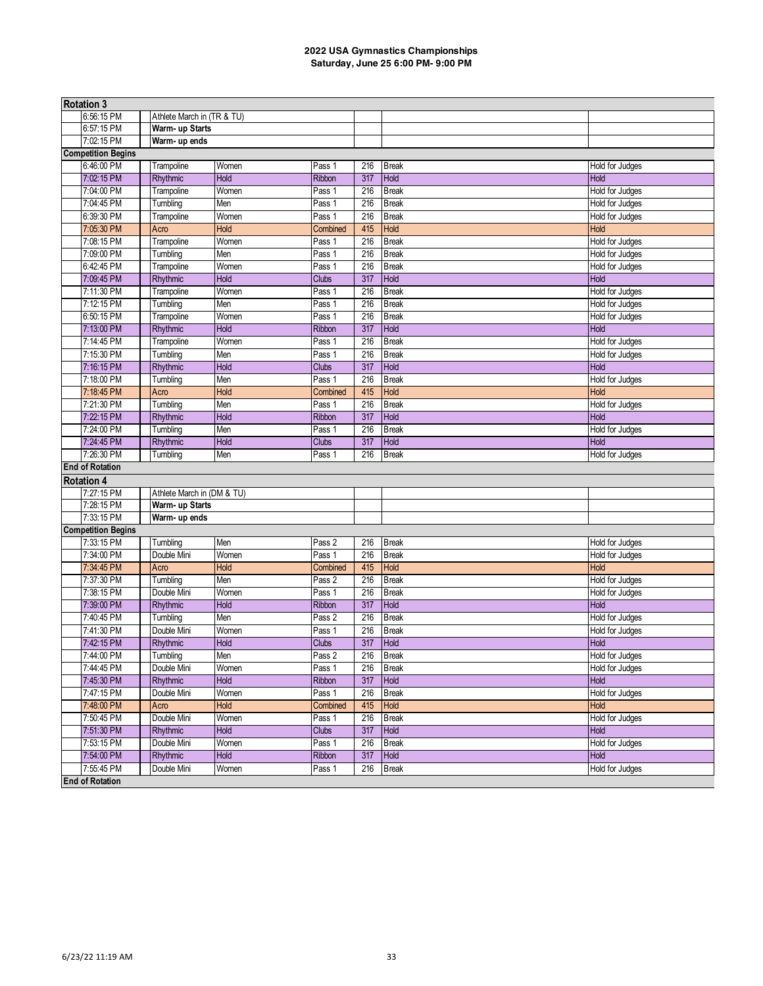| <b>Rotation 3</b>         |                            |       |                   |     |              |                        |  |  |  |
|---------------------------|----------------------------|-------|-------------------|-----|--------------|------------------------|--|--|--|
| 6:56:15 PM                | Athlete March in (TR & TU) |       |                   |     |              |                        |  |  |  |
| 6:57:15 PM                | Warm- up Starts            |       |                   |     |              |                        |  |  |  |
| 7:02:15 PM                | Warm- up ends              |       |                   |     |              |                        |  |  |  |
| <b>Competition Begins</b> |                            |       |                   |     |              |                        |  |  |  |
| 6:46:00 PM                | Trampoline                 | Women | Pass 1            | 216 | <b>Break</b> | Hold for Judges        |  |  |  |
| 7:02:15 PM                | Rhythmic                   | Hold  | Ribbon            | 317 | Hold         | Hold                   |  |  |  |
| 7:04:00 PM                | Trampoline                 | Women | Pass 1            | 216 | <b>Break</b> | Hold for Judges        |  |  |  |
| 7:04:45 PM                | Tumbling                   | Men   | Pass 1            | 216 | <b>Break</b> | Hold for Judges        |  |  |  |
| 6:39:30 PM                | Trampoline                 | Women | Pass 1            | 216 | <b>Break</b> | Hold for Judges        |  |  |  |
| 7:05:30 PM                | Acro                       | Hold  | Combined          | 415 | Hold         | Hold                   |  |  |  |
| 7:08:15 PM                | Trampoline                 | Women | Pass 1            | 216 | <b>Break</b> | Hold for Judges        |  |  |  |
| 7:09:00 PM                | Tumbling                   | Men   | Pass 1            | 216 | <b>Break</b> | Hold for Judges        |  |  |  |
| 6:42:45 PM                | Trampoline                 | Women | Pass 1            | 216 | <b>Break</b> | Hold for Judges        |  |  |  |
| 7:09:45 PM                | Rhythmic                   | Hold  | <b>Clubs</b>      | 317 | Hold         | Hold                   |  |  |  |
| 7:11:30 PM                | Trampoline                 | Women | Pass 1            | 216 | <b>Break</b> | Hold for Judges        |  |  |  |
| 7:12:15 PM                | Tumbling                   | Men   | Pass 1            | 216 | <b>Break</b> | Hold for Judges        |  |  |  |
| 6:50:15 PM                | Trampoline                 | Women | Pass 1            | 216 | <b>Break</b> | Hold for Judges        |  |  |  |
| 7:13:00 PM                | Rhythmic                   | Hold  | <b>Ribbon</b>     | 317 | Hold         | Hold                   |  |  |  |
| 7:14:45 PM                | Trampoline                 | Women | Pass 1            | 216 | <b>Break</b> | Hold for Judges        |  |  |  |
| 7:15:30 PM                | Tumbling                   | Men   | Pass 1            | 216 | <b>Break</b> | Hold for Judges        |  |  |  |
| 7:16:15 PM                | Rhythmic                   | Hold  | <b>Clubs</b>      | 317 | <b>Hold</b>  | Hold                   |  |  |  |
| 7:18:00 PM                | Tumbling                   | Men   | Pass 1            | 216 | <b>Break</b> | <b>Hold for Judges</b> |  |  |  |
| 7:18:45 PM                | Acro                       | Hold  | Combined          | 415 | Hold         | Hold                   |  |  |  |
| 7:21:30 PM                | Tumbling                   | Men   | Pass 1            | 216 | <b>Break</b> | Hold for Judges        |  |  |  |
| 7:22:15 PM                | Rhythmic                   | Hold  | Ribbon            | 317 | Hold         | Hold                   |  |  |  |
| 7:24:00 PM                | Tumbling                   | Men   | Pass 1            | 216 | <b>Break</b> | Hold for Judges        |  |  |  |
| 7:24:45 PM                | Rhythmic                   | Hold  | <b>Clubs</b>      | 317 | Hold         | Hold                   |  |  |  |
| 7:26:30 PM                | Tumbling                   | Men   | Pass 1            | 216 | <b>Break</b> | Hold for Judges        |  |  |  |
| <b>End of Rotation</b>    |                            |       |                   |     |              |                        |  |  |  |
| <b>Rotation 4</b>         |                            |       |                   |     |              |                        |  |  |  |
| 7:27:15 PM                | Athlete March in (DM & TU) |       |                   |     |              |                        |  |  |  |
| 7:28:15 PM                | Warm- up Starts            |       |                   |     |              |                        |  |  |  |
| 7:33:15 PM                | Warm- up ends              |       |                   |     |              |                        |  |  |  |
| <b>Competition Begins</b> |                            |       |                   |     |              |                        |  |  |  |
| 7:33:15 PM                | Tumbling                   | Men   | Pass 2            | 216 | <b>Break</b> | Hold for Judges        |  |  |  |
| 7:34:00 PM                | Double Mini                | Women | Pass 1            | 216 | <b>Break</b> | Hold for Judges        |  |  |  |
| 7:34:45 PM                | Acro                       | Hold  | Combined          | 415 | Hold         | <b>Hold</b>            |  |  |  |
| 7:37:30 PM                | Tumbling                   | Men   | Pass 2            | 216 | <b>Break</b> | Hold for Judges        |  |  |  |
| 7:38:15 PM                | Double Mini                | Women | Pass 1            | 216 | <b>Break</b> | Hold for Judges        |  |  |  |
| 7:39:00 PM                | Rhythmic                   | Hold  | Ribbon            | 317 | Hold         | Hold                   |  |  |  |
| 7:40:45 PM                | Tumbling                   | Men   | Pass 2            | 216 | <b>Break</b> | Hold for Judges        |  |  |  |
| 7:41:30 PM                | Double Mini                | Women | Pass 1            | 216 | <b>Break</b> | Hold for Judges        |  |  |  |
| 7:42:15 PM                | <b>Rhythmic</b>            | Hold  | <b>Clubs</b>      | 317 | Hold         | <b>Hold</b>            |  |  |  |
| 7:44:00 PM                | Tumbling                   | Men   | Pass <sub>2</sub> |     | 216 Break    | Hold for Judges        |  |  |  |
| 7:44:45 PM                | Double Mini                | Women | Pass 1            | 216 | <b>Break</b> | Hold for Judges        |  |  |  |
| 7:45:30 PM                | Rhythmic                   | Hold  | Ribbon            | 317 | Hold         | <b>Hold</b>            |  |  |  |
| 7:47:15 PM                | Double Mini                | Women | Pass 1            | 216 | <b>Break</b> | Hold for Judges        |  |  |  |
| 7:48:00 PM                | Acro                       | Hold  | Combined          | 415 | Hold         | Hold                   |  |  |  |
| 7:50:45 PM                | Double Mini                | Women | Pass 1            | 216 | <b>Break</b> | Hold for Judges        |  |  |  |
| 7:51:30 PM                | Rhythmic                   | Hold  | Clubs             | 317 | Hold         | Hold                   |  |  |  |
| 7:53:15 PM                | Double Mini                | Women | Pass <sub>1</sub> | 216 | <b>Break</b> | Hold for Judges        |  |  |  |
| 7:54:00 PM                | Rhythmic                   | Hold  | Ribbon            | 317 | Hold         | <b>Hold</b>            |  |  |  |
| 7:55:45 PM                | Double Mini                | Women | Pass 1            | 216 | <b>Break</b> | Hold for Judges        |  |  |  |
| <b>End of Rotation</b>    |                            |       |                   |     |              |                        |  |  |  |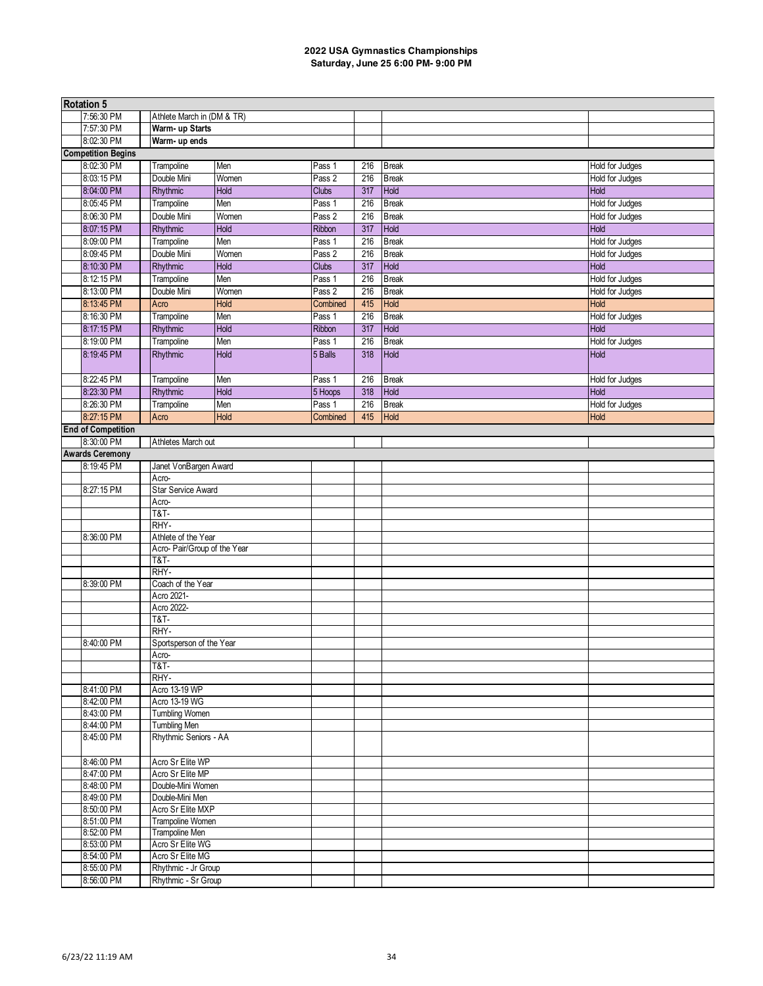| <b>Rotation 5</b>         |                              |       |              |     |              |                         |  |  |  |
|---------------------------|------------------------------|-------|--------------|-----|--------------|-------------------------|--|--|--|
| 7:56:30 PM                | Athlete March in (DM & TR)   |       |              |     |              |                         |  |  |  |
| 7:57:30 PM                | Warm- up Starts              |       |              |     |              |                         |  |  |  |
| 8:02:30 PM                | Warm- up ends                |       |              |     |              |                         |  |  |  |
| <b>Competition Begins</b> |                              |       |              |     |              |                         |  |  |  |
| 8:02:30 PM                | Trampoline                   | Men   | Pass 1       | 216 | <b>Break</b> | Hold for Judges         |  |  |  |
| 8:03:15 PM                | Double Mini                  | Women | Pass 2       | 216 | <b>Break</b> |                         |  |  |  |
|                           | Rhythmic                     | Hold  |              |     | Hold         | Hold for Judges<br>Hold |  |  |  |
| 8:04:00 PM                |                              |       | <b>Clubs</b> | 317 |              |                         |  |  |  |
| 8:05:45 PM                | Trampoline                   | Men   | Pass 1       | 216 | <b>Break</b> | Hold for Judges         |  |  |  |
| 8:06:30 PM                | Double Mini                  | Women | Pass 2       | 216 | <b>Break</b> | Hold for Judges         |  |  |  |
| 8:07:15 PM                | Rhythmic                     | Hold  | Ribbon       | 317 | Hold         | <b>Hold</b>             |  |  |  |
| 8:09:00 PM                | Trampoline                   | Men   | Pass 1       | 216 | <b>Break</b> | Hold for Judges         |  |  |  |
| 8:09:45 PM                | Double Mini                  | Women | Pass 2       | 216 | <b>Break</b> | Hold for Judges         |  |  |  |
| 8:10:30 PM                | Rhythmic                     | Hold  | <b>Clubs</b> | 317 | Hold         | Hold                    |  |  |  |
| 8:12:15 PM                | Trampoline                   | Men   | Pass 1       | 216 | <b>Break</b> | Hold for Judges         |  |  |  |
| 8:13:00 PM                | Double Mini                  | Women | Pass 2       | 216 | <b>Break</b> | Hold for Judges         |  |  |  |
| 8:13:45 PM                | Acro                         | Hold  | Combined     | 415 | Hold         | <b>Hold</b>             |  |  |  |
| 8:16:30 PM                | Trampoline                   | Men   | Pass 1       | 216 | <b>Break</b> | Hold for Judges         |  |  |  |
| 8:17:15 PM                | Rhythmic                     | Hold  | Ribbon       | 317 | Hold         | <b>Hold</b>             |  |  |  |
| 8:19:00 PM                | Trampoline                   | Men   | Pass 1       | 216 | <b>Break</b> | Hold for Judges         |  |  |  |
| 8:19:45 PM                | Rhythmic                     | Hold  | 5 Balls      | 318 | <b>Hold</b>  | <b>Hold</b>             |  |  |  |
|                           |                              |       |              |     |              |                         |  |  |  |
| 8:22:45 PM                | Trampoline                   | Men   | Pass 1       | 216 | <b>Break</b> |                         |  |  |  |
|                           |                              |       |              |     |              | Hold for Judges         |  |  |  |
| 8:23:30 PM                | Rhythmic                     | Hold  | 5 Hoops      | 318 | Hold         | Hold                    |  |  |  |
| 8:26:30 PM                | Trampoline                   | Men   | Pass 1       | 216 | <b>Break</b> | Hold for Judges         |  |  |  |
| 8:27:15 PM                | Acro                         | Hold  | Combined     | 415 | Hold         | Hold                    |  |  |  |
| <b>End of Competition</b> |                              |       |              |     |              |                         |  |  |  |
| 8:30:00 PM                | Athletes March out           |       |              |     |              |                         |  |  |  |
| <b>Awards Ceremony</b>    |                              |       |              |     |              |                         |  |  |  |
| 8:19:45 PM                | Janet VonBargen Award        |       |              |     |              |                         |  |  |  |
|                           | Acro-                        |       |              |     |              |                         |  |  |  |
| 8:27:15 PM                | <b>Star Service Award</b>    |       |              |     |              |                         |  |  |  |
|                           | Acro-                        |       |              |     |              |                         |  |  |  |
|                           | <b>T&amp;T-</b>              |       |              |     |              |                         |  |  |  |
|                           | RHY-                         |       |              |     |              |                         |  |  |  |
| 8:36:00 PM                | Athlete of the Year          |       |              |     |              |                         |  |  |  |
|                           | Acro- Pair/Group of the Year |       |              |     |              |                         |  |  |  |
|                           | <b>T&amp;T-</b>              |       |              |     |              |                         |  |  |  |
|                           | RHY-                         |       |              |     |              |                         |  |  |  |
| 8:39:00 PM                | Coach of the Year            |       |              |     |              |                         |  |  |  |
|                           | Acro 2021-                   |       |              |     |              |                         |  |  |  |
|                           | Acro 2022-                   |       |              |     |              |                         |  |  |  |
|                           | <b>T&amp;T-</b>              |       |              |     |              |                         |  |  |  |
|                           | RHY-                         |       |              |     |              |                         |  |  |  |
| 8:40:00 PM                | Sportsperson of the Year     |       |              |     |              |                         |  |  |  |
|                           | Acro-                        |       |              |     |              |                         |  |  |  |
|                           | <b>T&amp;T-</b>              |       |              |     |              |                         |  |  |  |
|                           | RHY-                         |       |              |     |              |                         |  |  |  |
| 8:41:00 PM                | Acro 13-19 WP                |       |              |     |              |                         |  |  |  |
| 8:42:00 PM                | Acro 13-19 WG                |       |              |     |              |                         |  |  |  |
| 8:43:00 PM                | <b>Tumbling Women</b>        |       |              |     |              |                         |  |  |  |
| 8:44:00 PM                | Tumbling Men                 |       |              |     |              |                         |  |  |  |
| 8:45:00 PM                | Rhythmic Seniors - AA        |       |              |     |              |                         |  |  |  |
|                           |                              |       |              |     |              |                         |  |  |  |
| 8:46:00 PM                | Acro Sr Elite WP             |       |              |     |              |                         |  |  |  |
| 8:47:00 PM                | Acro Sr Elite MP             |       |              |     |              |                         |  |  |  |
| 8:48:00 PM                | Double-Mini Women            |       |              |     |              |                         |  |  |  |
| 8:49:00 PM                | Double-Mini Men              |       |              |     |              |                         |  |  |  |
| 8:50:00 PM                | Acro Sr Elite MXP            |       |              |     |              |                         |  |  |  |
| 8:51:00 PM                | Trampoline Women             |       |              |     |              |                         |  |  |  |
| 8:52:00 PM                | Trampoline Men               |       |              |     |              |                         |  |  |  |
| 8:53:00 PM                | Acro Sr Elite WG             |       |              |     |              |                         |  |  |  |
| 8:54:00 PM                | Acro Sr Elite MG             |       |              |     |              |                         |  |  |  |
| 8:55:00 PM                | Rhythmic - Jr Group          |       |              |     |              |                         |  |  |  |
| 8:56:00 PM                | Rhythmic - Sr Group          |       |              |     |              |                         |  |  |  |
|                           |                              |       |              |     |              |                         |  |  |  |